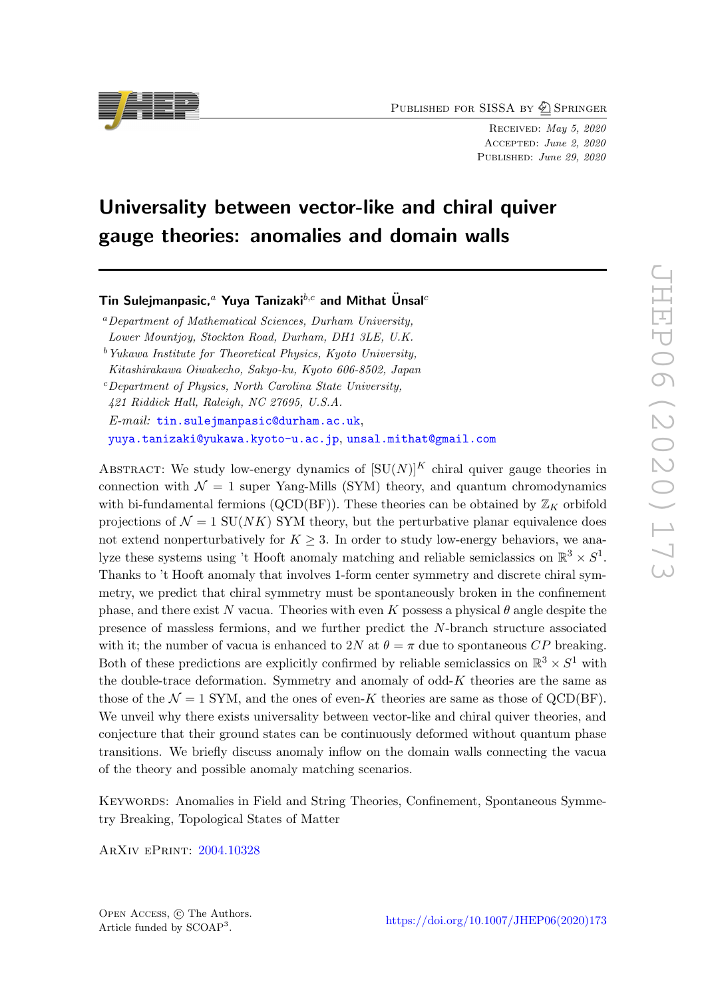PUBLISHED FOR SISSA BY 2 SPRINGER

Received: May 5, 2020 Accepted: June 2, 2020 PUBLISHED: June 29, 2020

# Universality between vector-like and chiral quiver gauge theories: anomalies and domain walls

Tin Sulejmanpasic,<sup>a</sup> Yuya Tanizaki<sup>b,c</sup> and Mithat Unsal<sup>c</sup>

<sup>a</sup>Department of Mathematical Sciences, Durham University, Lower Mountjoy, Stockton Road, Durham, DH1 3LE, U.K.  $b$  Yukawa Institute for Theoretical Physics, Kyoto University,

Kitashirakawa Oiwakecho, Sakyo-ku, Kyoto 606-8502, Japan

 $c$ Department of Physics, North Carolina State University,

421 Riddick Hall, Raleigh, NC 27695, U.S.A.

 $E-mail:$  [tin.sulejmanpasic@durham.ac.uk](mailto:tin.sulejmanpasic@durham.ac.uk),

[yuya.tanizaki@yukawa.kyoto-u.ac.jp](mailto:yuya.tanizaki@yukawa.kyoto-u.ac.jp), [unsal.mithat@gmail.com](mailto:unsal.mithat@gmail.com)

ABSTRACT: We study low-energy dynamics of  $[SU(N)]^K$  chiral quiver gauge theories in connection with  $\mathcal{N} = 1$  super Yang-Mills (SYM) theory, and quantum chromodynamics with bi-fundamental fermions (QCD(BF)). These theories can be obtained by  $\mathbb{Z}_K$  orbifold projections of  $\mathcal{N} = 1$  SU(NK) SYM theory, but the perturbative planar equivalence does not extend nonperturbatively for  $K \geq 3$ . In order to study low-energy behaviors, we analyze these systems using 't Hooft anomaly matching and reliable semiclassics on  $\mathbb{R}^3 \times S^1$ . Thanks to 't Hooft anomaly that involves 1-form center symmetry and discrete chiral symmetry, we predict that chiral symmetry must be spontaneously broken in the confinement phase, and there exist N vacua. Theories with even K possess a physical  $\theta$  angle despite the presence of massless fermions, and we further predict the N-branch structure associated with it; the number of vacua is enhanced to 2N at  $\theta = \pi$  due to spontaneous CP breaking. Both of these predictions are explicitly confirmed by reliable semiclassics on  $\mathbb{R}^3 \times S^1$  with the double-trace deformation. Symmetry and anomaly of odd- $K$  theories are the same as those of the  $\mathcal{N} = 1$  SYM, and the ones of even-K theories are same as those of QCD(BF). We unveil why there exists universality between vector-like and chiral quiver theories, and conjecture that their ground states can be continuously deformed without quantum phase transitions. We briefly discuss anomaly inflow on the domain walls connecting the vacua of the theory and possible anomaly matching scenarios.

Keywords: Anomalies in Field and String Theories, Confinement, Spontaneous Symmetry Breaking, Topological States of Matter

ArXiv ePrint: [2004.10328](https://arxiv.org/abs/2004.10328)

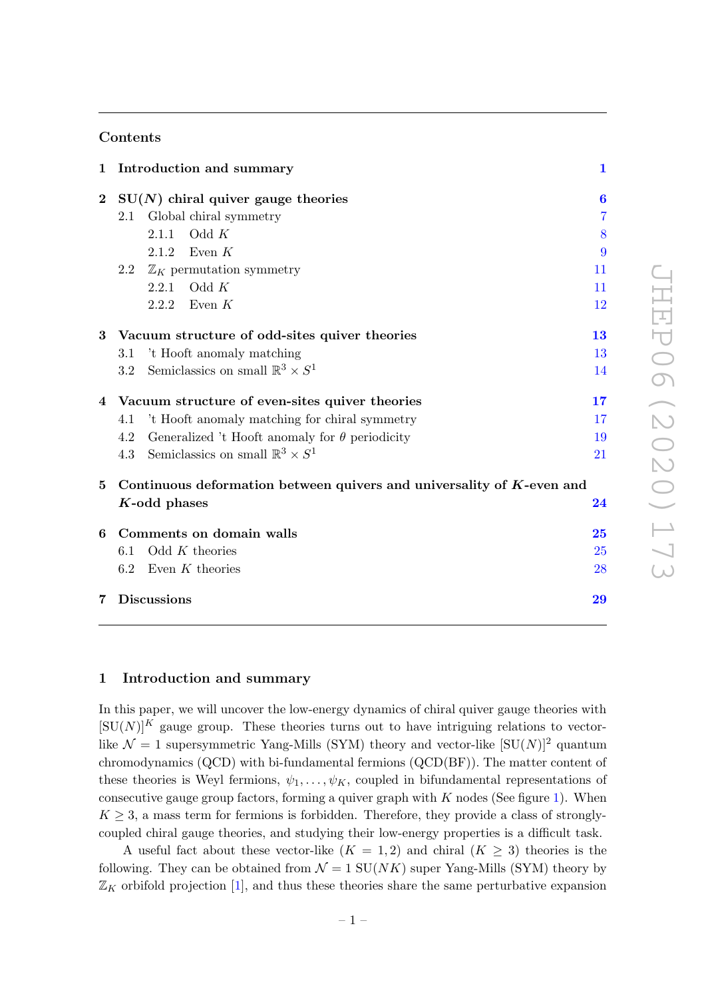# Contents

| $\mathbf 1$ | Introduction and summary                                              | $\mathbf{1}$   |
|-------------|-----------------------------------------------------------------------|----------------|
| $\bf{2}$    | $SU(N)$ chiral quiver gauge theories                                  | $\bf{6}$       |
|             | 2.1 Global chiral symmetry                                            | $\overline{7}$ |
|             | 2.1.1 Odd $K$                                                         | 8              |
|             | 2.1.2 Even $K$                                                        | 9              |
|             | $\mathbb{Z}_K$ permutation symmetry<br>$2.2\,$                        | 11             |
|             | Odd $K$<br>2.2.1                                                      | 11             |
|             | 2.2.2 Even $K$                                                        | 12             |
|             | 3 Vacuum structure of odd-sites quiver theories                       | 13             |
|             | 't Hooft anomaly matching<br>3.1                                      | 13             |
|             | 3.2 Semiclassics on small $\mathbb{R}^3 \times S^1$                   | 14             |
|             | 4 Vacuum structure of even-sites quiver theories                      | 17             |
|             | 't Hooft anomaly matching for chiral symmetry<br>4.1                  | 17             |
|             | Generalized 't Hooft anomaly for $\theta$ periodicity<br>4.2          | 19             |
|             | Semiclassics on small $\mathbb{R}^3 \times S^1$<br>4.3                | 21             |
| $\bf{5}$    | Continuous deformation between quivers and universality of K-even and |                |
|             | $K$ -odd phases                                                       | $\bf{24}$      |
| 6           | Comments on domain walls                                              | 25             |
|             | Odd $K$ theories<br>6.1                                               | 25             |
|             | 6.2<br>Even $K$ theories                                              | 28             |
|             | 7 Discussions                                                         | 29             |

# <span id="page-1-0"></span>1 Introduction and summary

In this paper, we will uncover the low-energy dynamics of chiral quiver gauge theories with  $[SU(N)]^K$  gauge group. These theories turns out to have intriguing relations to vectorlike  $\mathcal{N} = 1$  supersymmetric Yang-Mills (SYM) theory and vector-like  $[SU(N)]^2$  quantum chromodynamics (QCD) with bi-fundamental fermions (QCD(BF)). The matter content of these theories is Weyl fermions,  $\psi_1, \ldots, \psi_K$ , coupled in bifundamental representations of consecutive gauge group factors, forming a quiver graph with  $K$  nodes (See figure [1\)](#page-2-0). When  $K \geq 3$ , a mass term for fermions is forbidden. Therefore, they provide a class of stronglycoupled chiral gauge theories, and studying their low-energy properties is a difficult task.

A useful fact about these vector-like  $(K = 1, 2)$  and chiral  $(K \geq 3)$  theories is the following. They can be obtained from  $\mathcal{N} = 1$  SU(NK) super Yang-Mills (SYM) theory by  $\mathbb{Z}_K$  orbifold projection [\[1\]](#page-30-0), and thus these theories share the same perturbative expansion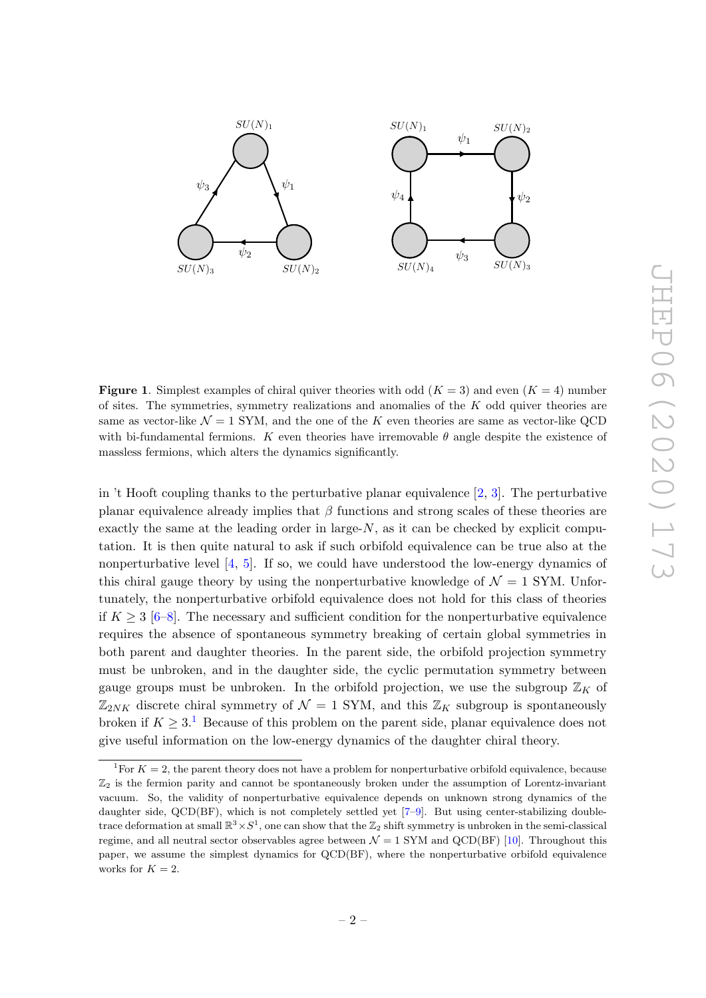

<span id="page-2-0"></span>**Figure 1.** Simplest examples of chiral quiver theories with odd  $(K = 3)$  and even  $(K = 4)$  number of sites. The symmetries, symmetry realizations and anomalies of the  $K$  odd quiver theories are same as vector-like  $\mathcal{N} = 1$  SYM, and the one of the K even theories are same as vector-like QCD with bi-fundamental fermions. K even theories have irremovable  $\theta$  angle despite the existence of massless fermions, which alters the dynamics significantly.

in 't Hooft coupling thanks to the perturbative planar equivalence [\[2,](#page-30-1) [3\]](#page-30-2). The perturbative planar equivalence already implies that  $\beta$  functions and strong scales of these theories are exactly the same at the leading order in large- $N$ , as it can be checked by explicit computation. It is then quite natural to ask if such orbifold equivalence can be true also at the nonperturbative level  $[4, 5]$  $[4, 5]$  $[4, 5]$ . If so, we could have understood the low-energy dynamics of this chiral gauge theory by using the nonperturbative knowledge of  $\mathcal{N} = 1$  SYM. Unfortunately, the nonperturbative orbifold equivalence does not hold for this class of theories if  $K \geq 3$  [\[6](#page-31-1)[–8\]](#page-31-2). The necessary and sufficient condition for the nonperturbative equivalence requires the absence of spontaneous symmetry breaking of certain global symmetries in both parent and daughter theories. In the parent side, the orbifold projection symmetry must be unbroken, and in the daughter side, the cyclic permutation symmetry between gauge groups must be unbroken. In the orbifold projection, we use the subgroup  $\mathbb{Z}_K$  of  $\mathbb{Z}_{2NK}$  discrete chiral symmetry of  $\mathcal{N}=1$  SYM, and this  $\mathbb{Z}_K$  subgroup is spontaneously broken if  $K \geq 3$ .<sup>[1](#page-2-1)</sup> Because of this problem on the parent side, planar equivalence does not give useful information on the low-energy dynamics of the daughter chiral theory.

<span id="page-2-1"></span><sup>&</sup>lt;sup>1</sup>For  $K = 2$ , the parent theory does not have a problem for nonperturbative orbifold equivalence, because  $\mathbb{Z}_2$  is the fermion parity and cannot be spontaneously broken under the assumption of Lorentz-invariant vacuum. So, the validity of nonperturbative equivalence depends on unknown strong dynamics of the daughter side, QCD(BF), which is not completely settled yet [\[7–](#page-31-3)[9\]](#page-31-4). But using center-stabilizing doubletrace deformation at small  $\mathbb{R}^3 \times S^1$ , one can show that the  $\mathbb{Z}_2$  shift symmetry is unbroken in the semi-classical regime, and all neutral sector observables agree between  $\mathcal{N} = 1$  SYM and QCD(BF) [\[10\]](#page-31-5). Throughout this paper, we assume the simplest dynamics for QCD(BF), where the nonperturbative orbifold equivalence works for  $K = 2$ .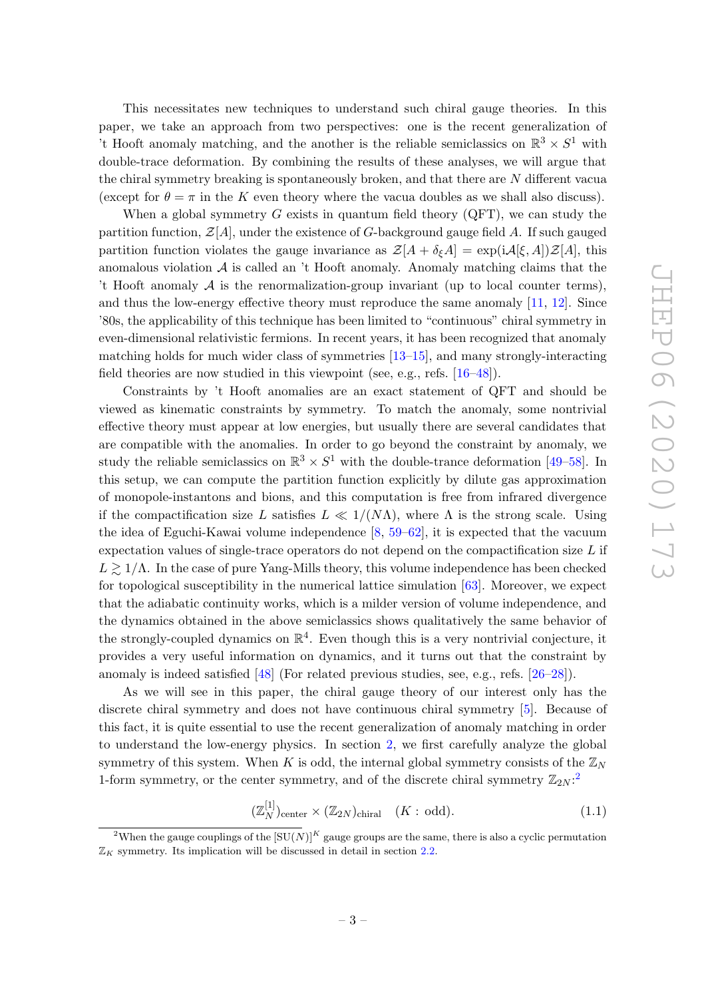This necessitates new techniques to understand such chiral gauge theories. In this paper, we take an approach from two perspectives: one is the recent generalization of 't Hooft anomaly matching, and the another is the reliable semiclassics on  $\mathbb{R}^3 \times S^1$  with double-trace deformation. By combining the results of these analyses, we will argue that the chiral symmetry breaking is spontaneously broken, and that there are N different vacua (except for  $\theta = \pi$  in the K even theory where the vacua doubles as we shall also discuss).

When a global symmetry  $G$  exists in quantum field theory  $(QFT)$ , we can study the partition function,  $\mathcal{Z}[A]$ , under the existence of G-background gauge field A. If such gauged partition function violates the gauge invariance as  $\mathcal{Z}[A + \delta_{\xi}A] = \exp(i\mathcal{A}[\xi, A])\mathcal{Z}[A]$ , this anomalous violation  $A$  is called an  $\prime$ t Hooft anomaly. Anomaly matching claims that the 't Hooft anomaly  $A$  is the renormalization-group invariant (up to local counter terms), and thus the low-energy effective theory must reproduce the same anomaly [\[11,](#page-31-6) [12\]](#page-31-7). Since '80s, the applicability of this technique has been limited to "continuous" chiral symmetry in even-dimensional relativistic fermions. In recent years, it has been recognized that anomaly matching holds for much wider class of symmetries [\[13–](#page-31-8)[15\]](#page-31-9), and many strongly-interacting field theories are now studied in this viewpoint (see, e.g., refs. [\[16–](#page-31-10)[48\]](#page-33-0)).

Constraints by 't Hooft anomalies are an exact statement of QFT and should be viewed as kinematic constraints by symmetry. To match the anomaly, some nontrivial effective theory must appear at low energies, but usually there are several candidates that are compatible with the anomalies. In order to go beyond the constraint by anomaly, we study the reliable semiclassics on  $\mathbb{R}^3 \times S^1$  with the double-trance deformation [\[49](#page-33-1)[–58\]](#page-33-2). In this setup, we can compute the partition function explicitly by dilute gas approximation of monopole-instantons and bions, and this computation is free from infrared divergence if the compactification size L satisfies  $L \ll 1/(N\Lambda)$ , where  $\Lambda$  is the strong scale. Using the idea of Eguchi-Kawai volume independence [\[8,](#page-31-2) [59](#page-33-3)[–62\]](#page-34-0), it is expected that the vacuum expectation values of single-trace operators do not depend on the compactification size  $L$  if  $L \gtrsim 1/\Lambda$ . In the case of pure Yang-Mills theory, this volume independence has been checked for topological susceptibility in the numerical lattice simulation [\[63\]](#page-34-1). Moreover, we expect that the adiabatic continuity works, which is a milder version of volume independence, and the dynamics obtained in the above semiclassics shows qualitatively the same behavior of the strongly-coupled dynamics on  $\mathbb{R}^4$ . Even though this is a very nontrivial conjecture, it provides a very useful information on dynamics, and it turns out that the constraint by anomaly is indeed satisfied [\[48\]](#page-33-0) (For related previous studies, see, e.g., refs. [\[26–](#page-32-0)[28\]](#page-32-1)).

As we will see in this paper, the chiral gauge theory of our interest only has the discrete chiral symmetry and does not have continuous chiral symmetry [\[5\]](#page-31-0). Because of this fact, it is quite essential to use the recent generalization of anomaly matching in order to understand the low-energy physics. In section [2,](#page-6-0) we first carefully analyze the global symmetry of this system. When K is odd, the internal global symmetry consists of the  $\mathbb{Z}_N$ 1-form symmetry, or the center symmetry, and of the discrete chiral symmetry  $\mathbb{Z}_{2N}$  $\mathbb{Z}_{2N}$  $\mathbb{Z}_{2N}$ :

<span id="page-3-1"></span>
$$
(\mathbb{Z}_N^{[1]})_{\text{center}} \times (\mathbb{Z}_{2N})_{\text{chiral}} \quad (K: \text{odd}).
$$
 (1.1)

<span id="page-3-0"></span><sup>&</sup>lt;sup>2</sup>When the gauge couplings of the  $[SU(N)]^K$  gauge groups are the same, there is also a cyclic permutation  $\mathbb{Z}_K$  symmetry. Its implication will be discussed in detail in section [2.2.](#page-11-0)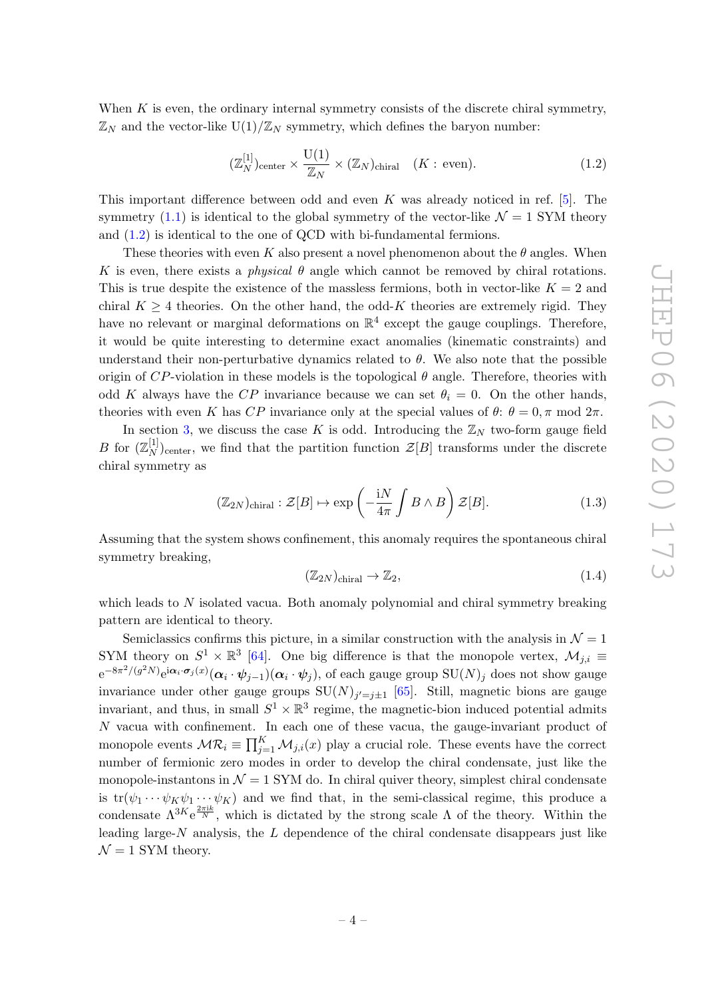When  $K$  is even, the ordinary internal symmetry consists of the discrete chiral symmetry,  $\mathbb{Z}_N$  and the vector-like  $U(1)/\mathbb{Z}_N$  symmetry, which defines the baryon number:

<span id="page-4-0"></span>
$$
(\mathbb{Z}_N^{[1]})_{\text{center}} \times \frac{\mathcal{U}(1)}{\mathbb{Z}_N} \times (\mathbb{Z}_N)_{\text{chiral}} \quad (K : \text{even}).
$$
 (1.2)

This important difference between odd and even  $K$  was already noticed in ref. [\[5\]](#page-31-0). The symmetry [\(1.1\)](#page-3-1) is identical to the global symmetry of the vector-like  $\mathcal{N} = 1$  SYM theory and [\(1.2\)](#page-4-0) is identical to the one of QCD with bi-fundamental fermions.

These theories with even K also present a novel phenomenon about the  $\theta$  angles. When K is even, there exists a *physical*  $\theta$  angle which cannot be removed by chiral rotations. This is true despite the existence of the massless fermions, both in vector-like  $K = 2$  and chiral  $K > 4$  theories. On the other hand, the odd-K theories are extremely rigid. They have no relevant or marginal deformations on  $\mathbb{R}^4$  except the gauge couplings. Therefore, it would be quite interesting to determine exact anomalies (kinematic constraints) and understand their non-perturbative dynamics related to  $\theta$ . We also note that the possible origin of  $CP$ -violation in these models is the topological  $\theta$  angle. Therefore, theories with odd K always have the CP invariance because we can set  $\theta_i = 0$ . On the other hands, theories with even K has CP invariance only at the special values of  $\theta$ :  $\theta = 0, \pi \text{ mod } 2\pi$ .

In section [3,](#page-13-0) we discuss the case K is odd. Introducing the  $\mathbb{Z}_N$  two-form gauge field *B* for  $(\mathbb{Z}_N^{[1]}$  $(X \mid Y)$ <sub>center</sub>, we find that the partition function  $\mathcal{Z}[B]$  transforms under the discrete chiral symmetry as

$$
(\mathbb{Z}_{2N})_{\text{chiral}} : \mathcal{Z}[B] \mapsto \exp\left(-\frac{iN}{4\pi} \int B \wedge B\right) \mathcal{Z}[B]. \tag{1.3}
$$

Assuming that the system shows confinement, this anomaly requires the spontaneous chiral symmetry breaking,

$$
(\mathbb{Z}_{2N})_{\text{chiral}} \to \mathbb{Z}_2,\tag{1.4}
$$

which leads to  $N$  isolated vacua. Both anomaly polynomial and chiral symmetry breaking pattern are identical to theory.

Semiclassics confirms this picture, in a similar construction with the analysis in  $\mathcal{N} = 1$ SYM theory on  $S^1 \times \mathbb{R}^3$  [\[64\]](#page-34-2). One big difference is that the monopole vertex,  $\mathcal{M}_{j,i} \equiv$  $e^{-8\pi^2/(g^2N)}e^{i\bm{\alpha}_i\cdot\bm{\sigma}_j(x)}(\bm{\alpha}_i\cdot\bm{\psi}_{j-1})(\bm{\alpha}_i\cdot\bm{\psi}_j),$  of each gauge group  $\mathrm{SU}(N)_j$  does not show gauge invariance under other gauge groups  $SU(N)_{j'=j\pm 1}$  [\[65\]](#page-34-3). Still, magnetic bions are gauge invariant, and thus, in small  $S^1 \times \mathbb{R}^3$  regime, the magnetic-bion induced potential admits N vacua with confinement. In each one of these vacua, the gauge-invariant product of monopole events  $\mathcal{MR}_i \equiv \prod_{j=1}^K \mathcal{M}_{j,i}(x)$  play a crucial role. These events have the correct number of fermionic zero modes in order to develop the chiral condensate, just like the monopole-instantons in  $\mathcal{N} = 1$  SYM do. In chiral quiver theory, simplest chiral condensate is  $tr(\psi_1 \cdots \psi_K \psi_1 \cdots \psi_K)$  and we find that, in the semi-classical regime, this produce a condensate  $\Lambda^{3K}e^{\frac{2\pi ik}{N}}$ , which is dictated by the strong scale  $\Lambda$  of the theory. Within the leading large- $N$  analysis, the  $L$  dependence of the chiral condensate disappears just like  $\mathcal{N}=1$  SYM theory.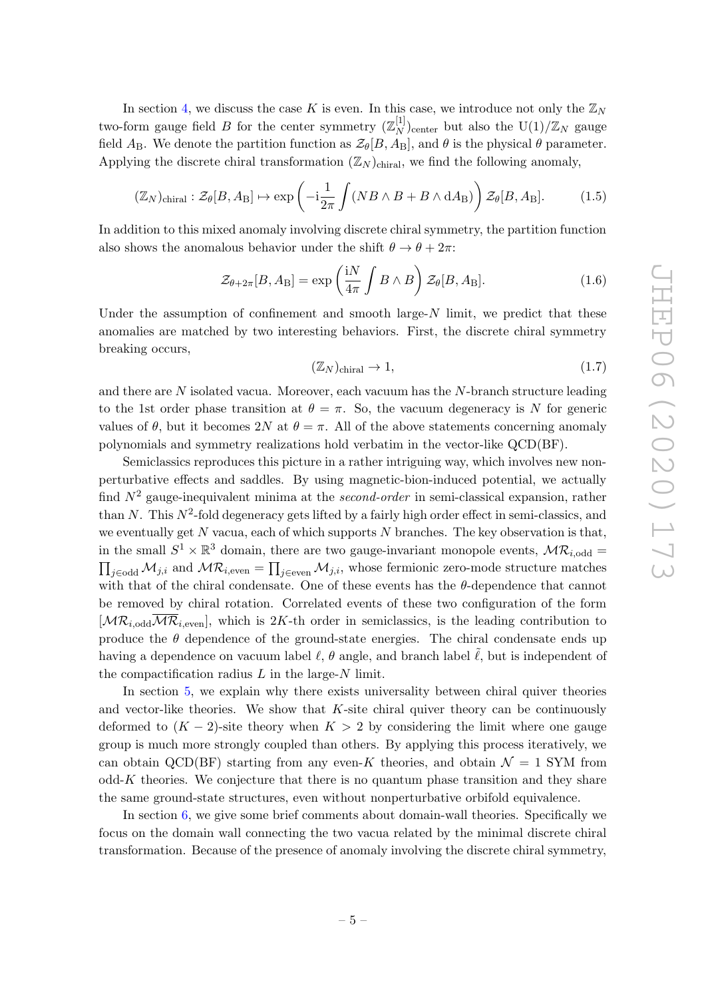In section [4,](#page-17-0) we discuss the case K is even. In this case, we introduce not only the  $\mathbb{Z}_N$ two-form gauge field B for the center symmetry  $(\mathbb{Z}_N^{[1]}$  $_{N}^{[1]}$ )<sub>center</sub> but also the U(1)/ $\mathbb{Z}_N$  gauge field  $A_B$ . We denote the partition function as  $\mathcal{Z}_{\theta}[B, A_B]$ , and  $\theta$  is the physical  $\theta$  parameter. Applying the discrete chiral transformation  $(\mathbb{Z}_N)_{\text{chiral}}$ , we find the following anomaly,

$$
(\mathbb{Z}_N)_{\text{chiral}} : \mathcal{Z}_{\theta}[B, A_{\text{B}}] \mapsto \exp\left(-i\frac{1}{2\pi} \int (NB \wedge B + B \wedge dA_{\text{B}})\right) \mathcal{Z}_{\theta}[B, A_{\text{B}}]. \tag{1.5}
$$

In addition to this mixed anomaly involving discrete chiral symmetry, the partition function also shows the anomalous behavior under the shift  $\theta \to \theta + 2\pi$ :

$$
\mathcal{Z}_{\theta+2\pi}[B, A_{\text{B}}] = \exp\left(\frac{\mathrm{i}N}{4\pi} \int B \wedge B\right) \mathcal{Z}_{\theta}[B, A_{\text{B}}]. \tag{1.6}
$$

Under the assumption of confinement and smooth large- $N$  limit, we predict that these anomalies are matched by two interesting behaviors. First, the discrete chiral symmetry breaking occurs,

$$
(\mathbb{Z}_N)_{\text{chiral}} \to 1,\tag{1.7}
$$

and there are  $N$  isolated vacua. Moreover, each vacuum has the  $N$ -branch structure leading to the 1st order phase transition at  $\theta = \pi$ . So, the vacuum degeneracy is N for generic values of  $\theta$ , but it becomes 2N at  $\theta = \pi$ . All of the above statements concerning anomaly polynomials and symmetry realizations hold verbatim in the vector-like QCD(BF).

Semiclassics reproduces this picture in a rather intriguing way, which involves new nonperturbative effects and saddles. By using magnetic-bion-induced potential, we actually find  $N^2$  gauge-inequivalent minima at the second-order in semi-classical expansion, rather than N. This  $N^2$ -fold degeneracy gets lifted by a fairly high order effect in semi-classics, and we eventually get  $N$  vacua, each of which supports  $N$  branches. The key observation is that, in the small  $S^1 \times \mathbb{R}^3$  domain, there are two gauge-invariant monopole events,  $\mathcal{MR}_{i,odd}$  $\prod_{j\in\text{odd}}\mathcal{M}_{j,i}$  and  $\mathcal{MR}_{i,\text{even}} = \prod_{j\in\text{even}}\mathcal{M}_{j,i}$ , whose fermionic zero-mode structure matches with that of the chiral condensate. One of these events has the  $\theta$ -dependence that cannot be removed by chiral rotation. Correlated events of these two configuration of the form  $[\mathcal{MR}_{i,\text{odd}}\overline{\mathcal{MR}}_{i,\text{even}}]$ , which is 2K-th order in semiclassics, is the leading contribution to produce the  $\theta$  dependence of the ground-state energies. The chiral condensate ends up having a dependence on vacuum label  $\ell$ ,  $\theta$  angle, and branch label  $\tilde{\ell}$ , but is independent of the compactification radius  $L$  in the large- $N$  limit.

In section [5,](#page-24-0) we explain why there exists universality between chiral quiver theories and vector-like theories. We show that  $K$ -site chiral quiver theory can be continuously deformed to  $(K-2)$ -site theory when  $K > 2$  by considering the limit where one gauge group is much more strongly coupled than others. By applying this process iteratively, we can obtain QCD(BF) starting from any even-K theories, and obtain  $\mathcal{N} = 1$  SYM from  $odd-K$  theories. We conjecture that there is no quantum phase transition and they share the same ground-state structures, even without nonperturbative orbifold equivalence.

In section [6,](#page-25-0) we give some brief comments about domain-wall theories. Specifically we focus on the domain wall connecting the two vacua related by the minimal discrete chiral transformation. Because of the presence of anomaly involving the discrete chiral symmetry,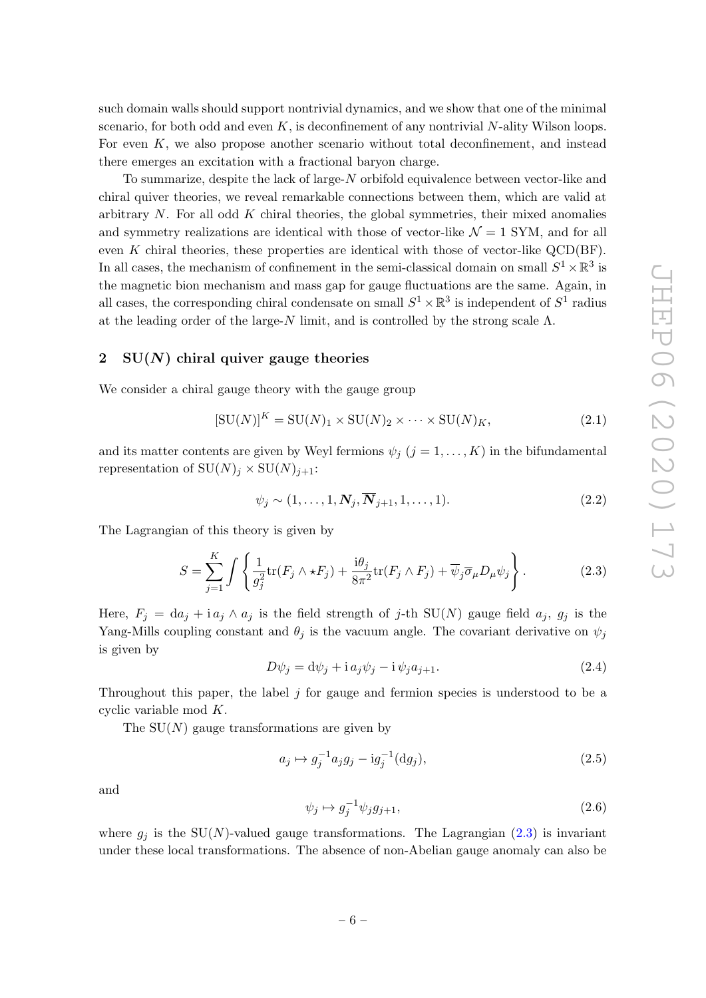such domain walls should support nontrivial dynamics, and we show that one of the minimal scenario, for both odd and even  $K$ , is deconfinement of any nontrivial N-ality Wilson loops. For even K, we also propose another scenario without total deconfinement, and instead there emerges an excitation with a fractional baryon charge.

To summarize, despite the lack of large-N orbifold equivalence between vector-like and chiral quiver theories, we reveal remarkable connections between them, which are valid at arbitrary  $N$ . For all odd  $K$  chiral theories, the global symmetries, their mixed anomalies and symmetry realizations are identical with those of vector-like  $\mathcal{N} = 1$  SYM, and for all even  $K$  chiral theories, these properties are identical with those of vector-like  $QCD(BF)$ . In all cases, the mechanism of confinement in the semi-classical domain on small  $S^1 \times \mathbb{R}^3$  is the magnetic bion mechanism and mass gap for gauge fluctuations are the same. Again, in all cases, the corresponding chiral condensate on small  $S^1 \times \mathbb{R}^3$  is independent of  $S^1$  radius at the leading order of the large- $N$  limit, and is controlled by the strong scale  $\Lambda$ .

# <span id="page-6-0"></span>2  $SU(N)$  chiral quiver gauge theories

We consider a chiral gauge theory with the gauge group

$$
[\text{SU}(N)]^K = \text{SU}(N)_1 \times \text{SU}(N)_2 \times \dots \times \text{SU}(N)_K, \tag{2.1}
$$

and its matter contents are given by Weyl fermions  $\psi_j$   $(j = 1, ..., K)$  in the bifundamental representation of  $SU(N)_i \times SU(N)_{i+1}$ :

$$
\psi_j \sim (1, \dots, 1, \mathbf{N}_j, \overline{\mathbf{N}}_{j+1}, 1, \dots, 1). \tag{2.2}
$$

The Lagrangian of this theory is given by

<span id="page-6-1"></span>
$$
S = \sum_{j=1}^{K} \int \left\{ \frac{1}{g_j^2} \text{tr}(F_j \wedge \star F_j) + \frac{\mathbf{i}\theta_j}{8\pi^2} \text{tr}(F_j \wedge F_j) + \overline{\psi}_j \overline{\sigma}_\mu D_\mu \psi_j \right\}.
$$
 (2.3)

Here,  $F_j = da_j + ia_j \wedge a_j$  is the field strength of j-th SU(N) gauge field  $a_j$ ,  $g_j$  is the Yang-Mills coupling constant and  $\theta_j$  is the vacuum angle. The covariant derivative on  $\psi_j$ is given by

$$
D\psi_j = d\psi_j + i a_j \psi_j - i \psi_j a_{j+1}.
$$
\n(2.4)

Throughout this paper, the label  $j$  for gauge and fermion species is understood to be a cyclic variable mod K.

The  $SU(N)$  gauge transformations are given by

$$
a_j \mapsto g_j^{-1} a_j g_j - ig_j^{-1}(dg_j), \tag{2.5}
$$

and

$$
\psi_j \mapsto g_j^{-1} \psi_j g_{j+1},\tag{2.6}
$$

where  $g_j$  is the SU(N)-valued gauge transformations. The Lagrangian [\(2.3\)](#page-6-1) is invariant under these local transformations. The absence of non-Abelian gauge anomaly can also be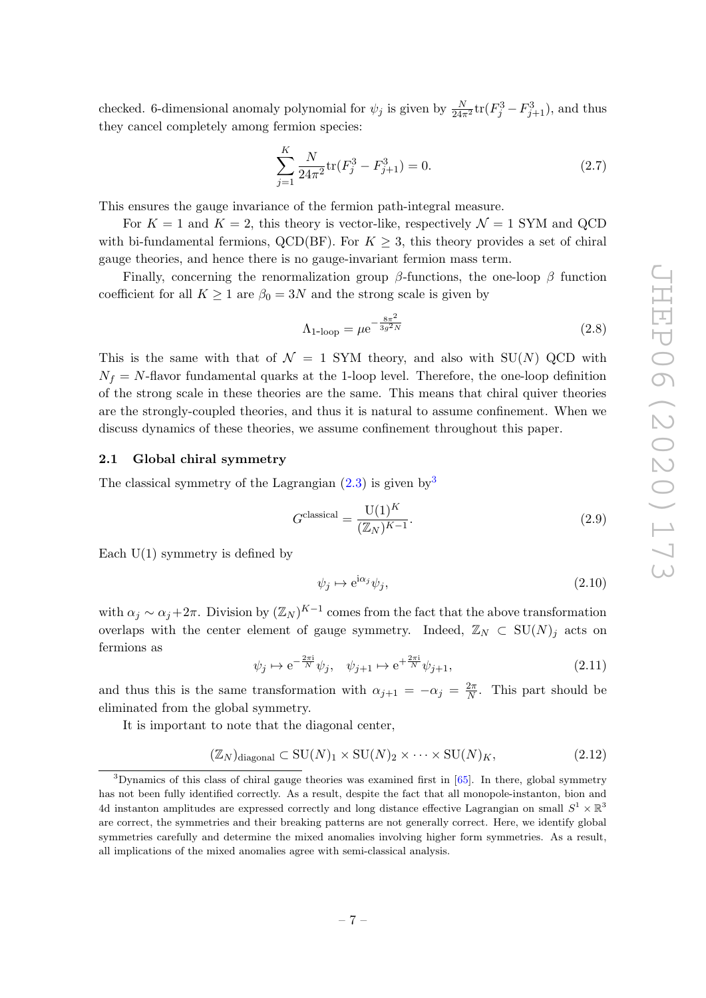checked. 6-dimensional anomaly polynomial for  $\psi_j$  is given by  $\frac{N}{24\pi^2} \text{tr}(F_j^3 - F_{j+1}^3)$ , and thus they cancel completely among fermion species:

$$
\sum_{j=1}^{K} \frac{N}{24\pi^2} \text{tr}(F_j^3 - F_{j+1}^3) = 0.
$$
 (2.7)

This ensures the gauge invariance of the fermion path-integral measure.

For  $K = 1$  and  $K = 2$ , this theory is vector-like, respectively  $\mathcal{N} = 1$  SYM and QCD with bi-fundamental fermions, QCD(BF). For  $K \geq 3$ , this theory provides a set of chiral gauge theories, and hence there is no gauge-invariant fermion mass term.

Finally, concerning the renormalization group  $\beta$ -functions, the one-loop  $\beta$  function coefficient for all  $K \ge 1$  are  $\beta_0 = 3N$  and the strong scale is given by

$$
\Lambda_{1\text{-loop}} = \mu e^{-\frac{8\pi^2}{3g^2 N}}
$$
\n(2.8)

This is the same with that of  $\mathcal{N} = 1$  SYM theory, and also with SU(N) QCD with  $N_f = N$ -flavor fundamental quarks at the 1-loop level. Therefore, the one-loop definition of the strong scale in these theories are the same. This means that chiral quiver theories are the strongly-coupled theories, and thus it is natural to assume confinement. When we discuss dynamics of these theories, we assume confinement throughout this paper.

### <span id="page-7-0"></span>2.1 Global chiral symmetry

The classical symmetry of the Lagrangian  $(2.3)$  is given by [3](#page-7-1)

$$
Gclassical = \frac{U(1)^K}{(\mathbb{Z}_N)^{K-1}}.
$$
\n(2.9)

Each  $U(1)$  symmetry is defined by

$$
\psi_j \mapsto e^{i\alpha_j} \psi_j,\tag{2.10}
$$

with  $\alpha_j \sim \alpha_j + 2\pi$ . Division by  $(\mathbb{Z}_N)^{K-1}$  comes from the fact that the above transformation overlaps with the center element of gauge symmetry. Indeed,  $\mathbb{Z}_N \subset \text{SU}(N)_j$  acts on fermions as

$$
\psi_j \mapsto e^{-\frac{2\pi i}{N}} \psi_j, \quad \psi_{j+1} \mapsto e^{+\frac{2\pi i}{N}} \psi_{j+1}, \tag{2.11}
$$

and thus this is the same transformation with  $\alpha_{j+1} = -\alpha_j = \frac{2\pi}{N}$  $\frac{2\pi}{N}$ . This part should be eliminated from the global symmetry.

It is important to note that the diagonal center,

$$
(\mathbb{Z}_N)_{\text{diagonal}} \subset \text{SU}(N)_1 \times \text{SU}(N)_2 \times \cdots \times \text{SU}(N)_K, \tag{2.12}
$$

<span id="page-7-1"></span><sup>&</sup>lt;sup>3</sup>Dynamics of this class of chiral gauge theories was examined first in [\[65\]](#page-34-3). In there, global symmetry has not been fully identified correctly. As a result, despite the fact that all monopole-instanton, bion and 4d instanton amplitudes are expressed correctly and long distance effective Lagrangian on small  $S^1 \times \mathbb{R}^3$ are correct, the symmetries and their breaking patterns are not generally correct. Here, we identify global symmetries carefully and determine the mixed anomalies involving higher form symmetries. As a result, all implications of the mixed anomalies agree with semi-classical analysis.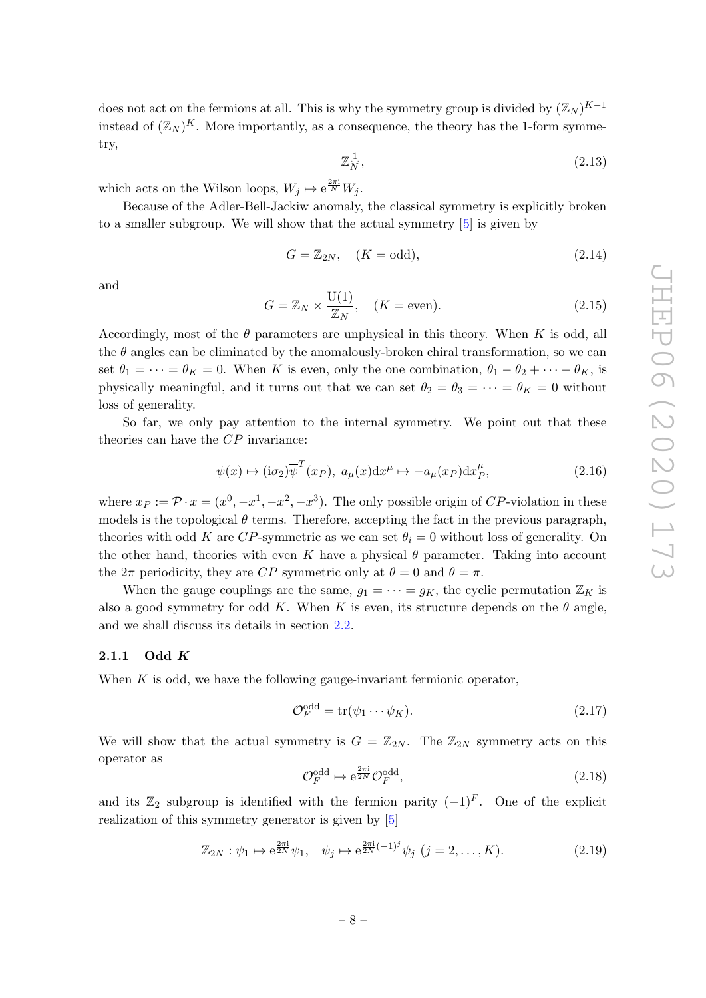does not act on the fermions at all. This is why the symmetry group is divided by  $(\mathbb{Z}_N)^{K-1}$ instead of  $(\mathbb{Z}_N)^K$ . More importantly, as a consequence, the theory has the 1-form symmetry,

$$
\mathbb{Z}_N^{[1]},\tag{2.13}
$$

which acts on the Wilson loops,  $W_j \mapsto e^{\frac{2\pi i}{N}} W_j$ .

Because of the Adler-Bell-Jackiw anomaly, the classical symmetry is explicitly broken to a smaller subgroup. We will show that the actual symmetry [\[5\]](#page-31-0) is given by

$$
G = \mathbb{Z}_{2N}, \quad (K = \text{odd}), \tag{2.14}
$$

and

$$
G = \mathbb{Z}_N \times \frac{\mathcal{U}(1)}{\mathbb{Z}_N}, \quad (K = \text{even}).
$$
\n(2.15)

Accordingly, most of the  $\theta$  parameters are unphysical in this theory. When K is odd, all the  $\theta$  angles can be eliminated by the anomalously-broken chiral transformation, so we can set  $\theta_1 = \cdots = \theta_K = 0$ . When K is even, only the one combination,  $\theta_1 - \theta_2 + \cdots - \theta_K$ , is physically meaningful, and it turns out that we can set  $\theta_2 = \theta_3 = \cdots = \theta_K = 0$  without loss of generality.

So far, we only pay attention to the internal symmetry. We point out that these theories can have the CP invariance:

$$
\psi(x) \mapsto (i\sigma_2)\overline{\psi}^T(x_P), \ a_\mu(x)dx^\mu \mapsto -a_\mu(x_P)dx_P^\mu,
$$
\n(2.16)

where  $x_P := \mathcal{P} \cdot x = (x^0, -x^1, -x^2, -x^3)$ . The only possible origin of CP-violation in these models is the topological  $\theta$  terms. Therefore, accepting the fact in the previous paragraph, theories with odd K are CP-symmetric as we can set  $\theta_i = 0$  without loss of generality. On the other hand, theories with even K have a physical  $\theta$  parameter. Taking into account the  $2\pi$  periodicity, they are CP symmetric only at  $\theta = 0$  and  $\theta = \pi$ .

When the gauge couplings are the same,  $q_1 = \cdots = q_K$ , the cyclic permutation  $\mathbb{Z}_K$  is also a good symmetry for odd K. When K is even, its structure depends on the  $\theta$  angle, and we shall discuss its details in section [2.2.](#page-11-0)

#### <span id="page-8-0"></span>2.1.1 Odd  $K$

When  $K$  is odd, we have the following gauge-invariant fermionic operator,

$$
\mathcal{O}_F^{\text{odd}} = \text{tr}(\psi_1 \cdots \psi_K). \tag{2.17}
$$

We will show that the actual symmetry is  $G = \mathbb{Z}_{2N}$ . The  $\mathbb{Z}_{2N}$  symmetry acts on this operator as

$$
\mathcal{O}_F^{\text{odd}} \mapsto e^{\frac{2\pi i}{2N}} \mathcal{O}_F^{\text{odd}},\tag{2.18}
$$

and its  $\mathbb{Z}_2$  subgroup is identified with the fermion parity  $(-1)^F$ . One of the explicit realization of this symmetry generator is given by [\[5\]](#page-31-0)

<span id="page-8-1"></span>
$$
\mathbb{Z}_{2N} : \psi_1 \mapsto e^{\frac{2\pi i}{2N}} \psi_1, \quad \psi_j \mapsto e^{\frac{2\pi i}{2N}(-1)^j} \psi_j \ (j = 2, \dots, K). \tag{2.19}
$$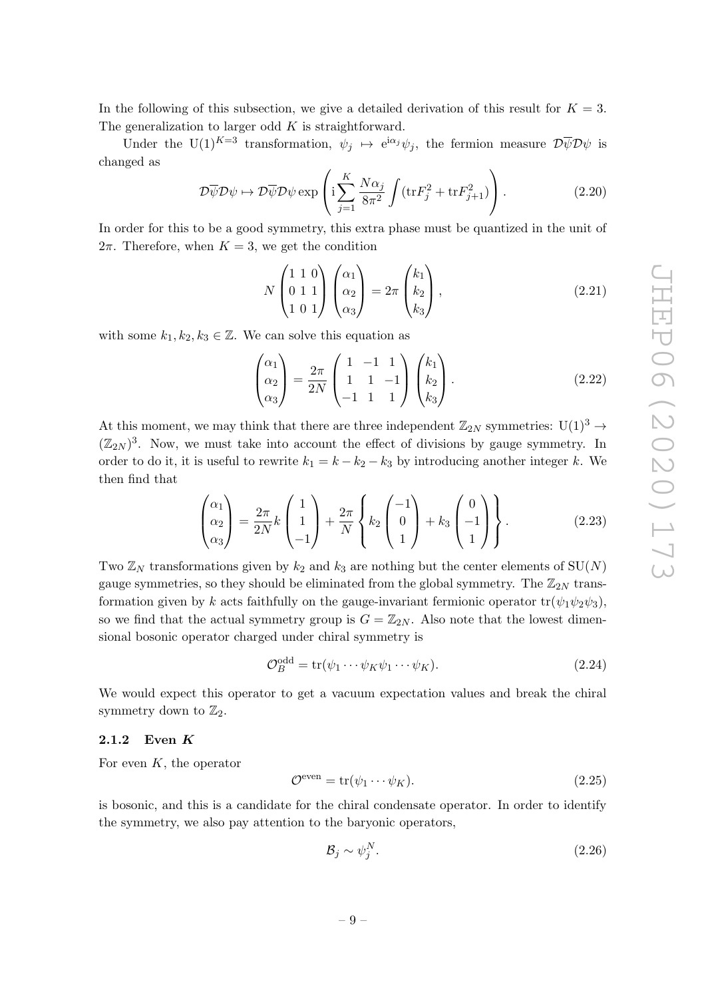In the following of this subsection, we give a detailed derivation of this result for  $K = 3$ . The generalization to larger odd  $K$  is straightforward.

Under the U(1)<sup>K=3</sup> transformation,  $\psi_j \leftrightarrow e^{i\alpha_j}\psi_j$ , the fermion measure  $\mathcal{D}\overline{\psi}\mathcal{D}\psi$  is changed as

<span id="page-9-1"></span>
$$
\mathcal{D}\overline{\psi}\mathcal{D}\psi \mapsto \mathcal{D}\overline{\psi}\mathcal{D}\psi \exp\left(i\sum_{j=1}^{K} \frac{N\alpha_j}{8\pi^2} \int (\text{tr}F_j^2 + \text{tr}F_{j+1}^2)\right).
$$
 (2.20)

In order for this to be a good symmetry, this extra phase must be quantized in the unit of  $2\pi$ . Therefore, when  $K = 3$ , we get the condition

$$
N\begin{pmatrix}1&1&0\\0&1&1\\1&0&1\end{pmatrix}\begin{pmatrix}\alpha_1\\ \alpha_2\\ \alpha_3\end{pmatrix} = 2\pi\begin{pmatrix}k_1\\k_2\\k_3\end{pmatrix},
$$
\n(2.21)

with some  $k_1, k_2, k_3 \in \mathbb{Z}$ . We can solve this equation as

$$
\begin{pmatrix} \alpha_1 \\ \alpha_2 \\ \alpha_3 \end{pmatrix} = \frac{2\pi}{2N} \begin{pmatrix} 1 & -1 & 1 \\ 1 & 1 & -1 \\ -1 & 1 & 1 \end{pmatrix} \begin{pmatrix} k_1 \\ k_2 \\ k_3 \end{pmatrix} . \tag{2.22}
$$

At this moment, we may think that there are three independent  $\mathbb{Z}_{2N}$  symmetries:  $U(1)^3 \rightarrow$  $(\mathbb{Z}_{2N})^3$ . Now, we must take into account the effect of divisions by gauge symmetry. In order to do it, it is useful to rewrite  $k_1 = k - k_2 - k_3$  by introducing another integer k. We then find that

$$
\begin{pmatrix} \alpha_1 \\ \alpha_2 \\ \alpha_3 \end{pmatrix} = \frac{2\pi}{2N} k \begin{pmatrix} 1 \\ 1 \\ -1 \end{pmatrix} + \frac{2\pi}{N} \begin{Bmatrix} k_2 \begin{pmatrix} -1 \\ 0 \\ 1 \end{pmatrix} + k_3 \begin{pmatrix} 0 \\ -1 \\ 1 \end{pmatrix} \end{Bmatrix}.
$$
 (2.23)

Two  $\mathbb{Z}_N$  transformations given by  $k_2$  and  $k_3$  are nothing but the center elements of  $SU(N)$ gauge symmetries, so they should be eliminated from the global symmetry. The  $\mathbb{Z}_{2N}$  transformation given by k acts faithfully on the gauge-invariant fermionic operator  $tr(\psi_1\psi_2\psi_3)$ , so we find that the actual symmetry group is  $G = \mathbb{Z}_{2N}$ . Also note that the lowest dimensional bosonic operator charged under chiral symmetry is

<span id="page-9-2"></span>
$$
\mathcal{O}_B^{\text{odd}} = \text{tr}(\psi_1 \cdots \psi_K \psi_1 \cdots \psi_K). \tag{2.24}
$$

We would expect this operator to get a vacuum expectation values and break the chiral symmetry down to  $\mathbb{Z}_2$ .

## <span id="page-9-0"></span>2.1.2 Even K

For even  $K$ , the operator

<span id="page-9-3"></span>
$$
\mathcal{O}^{\text{even}} = \text{tr}(\psi_1 \cdots \psi_K). \tag{2.25}
$$

is bosonic, and this is a candidate for the chiral condensate operator. In order to identify the symmetry, we also pay attention to the baryonic operators,

$$
\mathcal{B}_j \sim \psi_j^N. \tag{2.26}
$$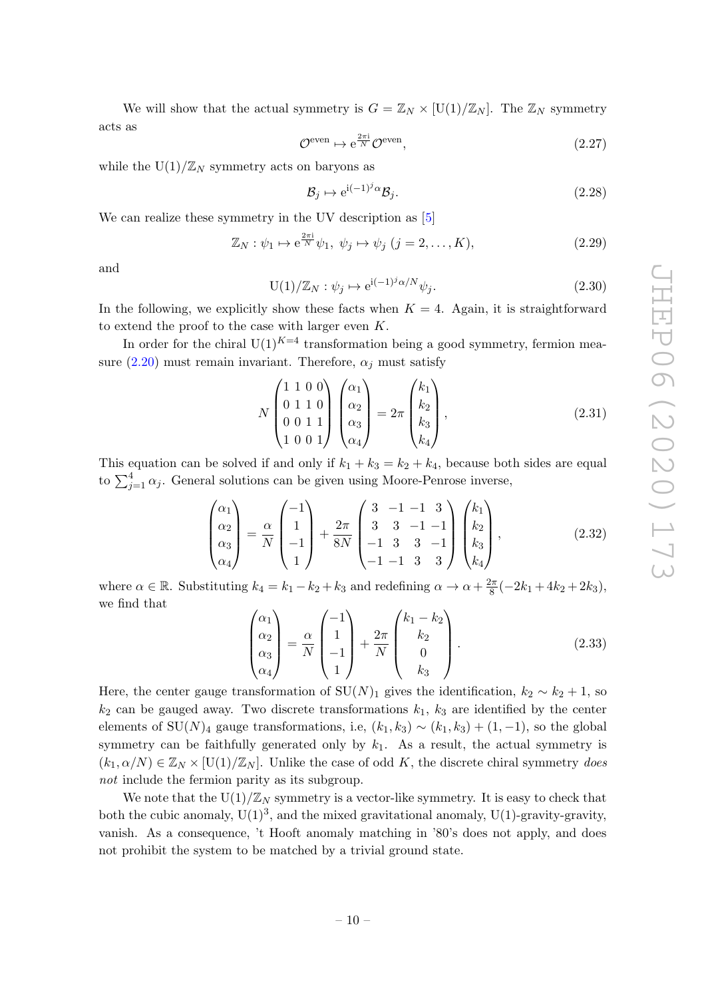We will show that the actual symmetry is  $G = \mathbb{Z}_N \times [U(1)/\mathbb{Z}_N]$ . The  $\mathbb{Z}_N$  symmetry acts as

$$
\mathcal{O}^{\text{even}} \mapsto e^{\frac{2\pi i}{N}} \mathcal{O}^{\text{even}},\tag{2.27}
$$

while the  $U(1)/\mathbb{Z}_N$  symmetry acts on baryons as

$$
\mathcal{B}_j \mapsto e^{i(-1)^j \alpha} \mathcal{B}_j. \tag{2.28}
$$

We can realize these symmetry in the UV description as [\[5\]](#page-31-0)

<span id="page-10-1"></span>
$$
\mathbb{Z}_N: \psi_1 \mapsto e^{\frac{2\pi i}{N}} \psi_1, \ \psi_j \mapsto \psi_j \ (j=2,\dots,K), \tag{2.29}
$$

and

<span id="page-10-0"></span>
$$
U(1)/\mathbb{Z}_N: \psi_j \mapsto e^{i(-1)^j \alpha/N} \psi_j.
$$
\n(2.30)

In the following, we explicitly show these facts when  $K = 4$ . Again, it is straightforward to extend the proof to the case with larger even K.

In order for the chiral  $U(1)^{K=4}$  transformation being a good symmetry, fermion measure  $(2.20)$  must remain invariant. Therefore,  $\alpha_i$  must satisfy

$$
N\begin{pmatrix} 1 & 1 & 0 & 0 \\ 0 & 1 & 1 & 0 \\ 0 & 0 & 1 & 1 \\ 1 & 0 & 0 & 1 \end{pmatrix} \begin{pmatrix} \alpha_1 \\ \alpha_2 \\ \alpha_3 \\ \alpha_4 \end{pmatrix} = 2\pi \begin{pmatrix} k_1 \\ k_2 \\ k_3 \\ k_4 \end{pmatrix},
$$
(2.31)

This equation can be solved if and only if  $k_1 + k_3 = k_2 + k_4$ , because both sides are equal to  $\sum_{j=1}^{4} \alpha_j$ . General solutions can be given using Moore-Penrose inverse,

$$
\begin{pmatrix} \alpha_1 \\ \alpha_2 \\ \alpha_3 \\ \alpha_4 \end{pmatrix} = \frac{\alpha}{N} \begin{pmatrix} -1 \\ 1 \\ -1 \\ 1 \end{pmatrix} + \frac{2\pi}{8N} \begin{pmatrix} 3 & -1 & -1 & 3 \\ 3 & 3 & -1 & -1 \\ -1 & 3 & 3 & -1 \\ -1 & -1 & 3 & 3 \end{pmatrix} \begin{pmatrix} k_1 \\ k_2 \\ k_3 \\ k_4 \end{pmatrix},
$$
(2.32)

where  $\alpha \in \mathbb{R}$ . Substituting  $k_4 = k_1 - k_2 + k_3$  and redefining  $\alpha \to \alpha + \frac{2\pi}{8}$  $\frac{2\pi}{8}(-2k_1+4k_2+2k_3),$ we find that

$$
\begin{pmatrix}\n\alpha_1 \\
\alpha_2 \\
\alpha_3 \\
\alpha_4\n\end{pmatrix} = \frac{\alpha}{N} \begin{pmatrix}\n-1 \\
1 \\
-1 \\
1\n\end{pmatrix} + \frac{2\pi}{N} \begin{pmatrix}\nk_1 - k_2 \\
k_2 \\
0 \\
k_3\n\end{pmatrix}.
$$
\n(2.33)

Here, the center gauge transformation of  $SU(N)_1$  gives the identification,  $k_2 \sim k_2 + 1$ , so  $k_2$  can be gauged away. Two discrete transformations  $k_1$ ,  $k_3$  are identified by the center elements of SU(N)<sub>4</sub> gauge transformations, i.e,  $(k_1, k_3) \sim (k_1, k_3) + (1, -1)$ , so the global symmetry can be faithfully generated only by  $k_1$ . As a result, the actual symmetry is  $(k_1, \alpha/N) \in \mathbb{Z}_N \times [U(1)/\mathbb{Z}_N]$ . Unlike the case of odd K, the discrete chiral symmetry does not include the fermion parity as its subgroup.

We note that the  $U(1)/\mathbb{Z}_N$  symmetry is a vector-like symmetry. It is easy to check that both the cubic anomaly,  $U(1)^3$ , and the mixed gravitational anomaly,  $U(1)$ -gravity-gravity, vanish. As a consequence, 't Hooft anomaly matching in '80's does not apply, and does not prohibit the system to be matched by a trivial ground state.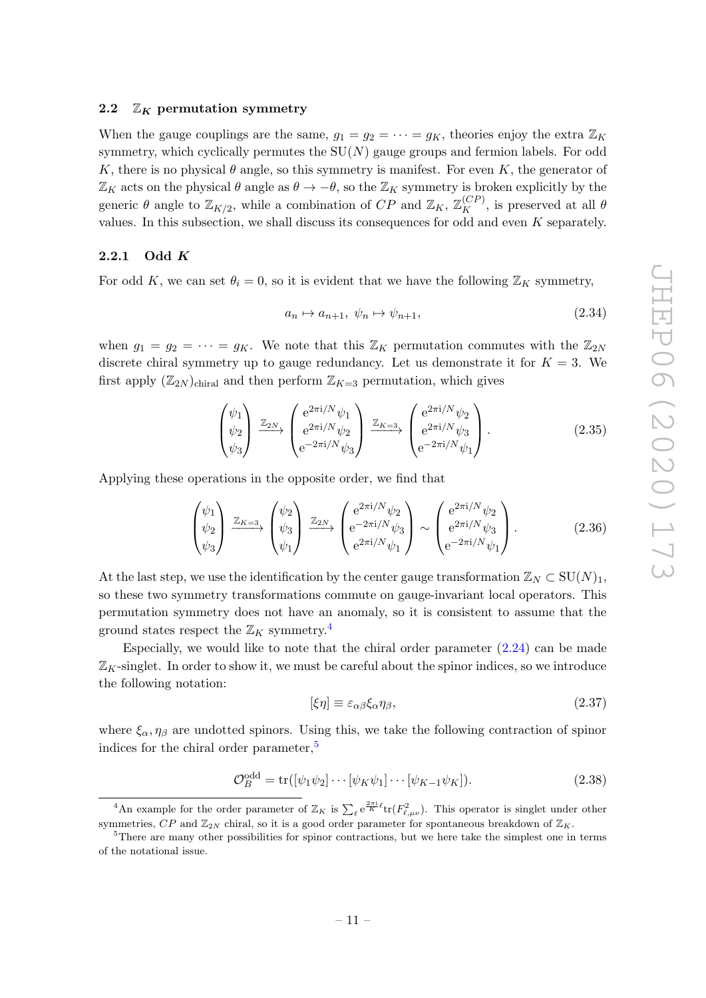#### <span id="page-11-0"></span>2.2  $\mathbb{Z}_K$  permutation symmetry

When the gauge couplings are the same,  $g_1 = g_2 = \cdots = g_K$ , theories enjoy the extra  $\mathbb{Z}_K$ symmetry, which cyclically permutes the  $SU(N)$  gauge groups and fermion labels. For odd K, there is no physical  $\theta$  angle, so this symmetry is manifest. For even K, the generator of  $\mathbb{Z}_K$  acts on the physical  $\theta$  angle as  $\theta \to -\theta$ , so the  $\mathbb{Z}_K$  symmetry is broken explicitly by the generic  $\theta$  angle to  $\mathbb{Z}_{K/2}$ , while a combination of  $CP$  and  $\mathbb{Z}_K$ ,  $\mathbb{Z}_K^{(CP)}$ , is preserved at all  $\theta$ values. In this subsection, we shall discuss its consequences for odd and even  $K$  separately.

#### <span id="page-11-1"></span>2.2.1 Odd  $K$

For odd K, we can set  $\theta_i = 0$ , so it is evident that we have the following  $\mathbb{Z}_K$  symmetry,

$$
a_n \mapsto a_{n+1}, \ \psi_n \mapsto \psi_{n+1}, \tag{2.34}
$$

when  $g_1 = g_2 = \cdots = g_K$ . We note that this  $\mathbb{Z}_K$  permutation commutes with the  $\mathbb{Z}_{2N}$ discrete chiral symmetry up to gauge redundancy. Let us demonstrate it for  $K = 3$ . We first apply  $(\mathbb{Z}_{2N})_{\text{chiral}}$  and then perform  $\mathbb{Z}_{K=3}$  permutation, which gives

$$
\begin{pmatrix} \psi_1 \\ \psi_2 \\ \psi_3 \end{pmatrix} \xrightarrow{\mathbb{Z}_{2N}} \begin{pmatrix} e^{2\pi i/N} \psi_1 \\ e^{2\pi i/N} \psi_2 \\ e^{-2\pi i/N} \psi_3 \end{pmatrix} \xrightarrow{\mathbb{Z}_{K=3}} \begin{pmatrix} e^{2\pi i/N} \psi_2 \\ e^{2\pi i/N} \psi_3 \\ e^{-2\pi i/N} \psi_1 \end{pmatrix} . \tag{2.35}
$$

Applying these operations in the opposite order, we find that

$$
\begin{pmatrix} \psi_1 \\ \psi_2 \\ \psi_3 \end{pmatrix} \xrightarrow{\mathbb{Z}_{K=3}} \begin{pmatrix} \psi_2 \\ \psi_3 \\ \psi_1 \end{pmatrix} \xrightarrow{\mathbb{Z}_{2N}} \begin{pmatrix} e^{2\pi i/N} \psi_2 \\ e^{-2\pi i/N} \psi_3 \\ e^{2\pi i/N} \psi_1 \end{pmatrix} \sim \begin{pmatrix} e^{2\pi i/N} \psi_2 \\ e^{2\pi i/N} \psi_3 \\ e^{-2\pi i/N} \psi_1 \end{pmatrix} . \tag{2.36}
$$

At the last step, we use the identification by the center gauge transformation  $\mathbb{Z}_N \subset \mathrm{SU}(N)_1$ , so these two symmetry transformations commute on gauge-invariant local operators. This permutation symmetry does not have an anomaly, so it is consistent to assume that the ground states respect the  $\mathbb{Z}_K$  symmetry.<sup>[4](#page-11-2)</sup>

Especially, we would like to note that the chiral order parameter  $(2.24)$  can be made  $\mathbb{Z}_K$ -singlet. In order to show it, we must be careful about the spinor indices, so we introduce the following notation:

$$
[\xi \eta] \equiv \varepsilon_{\alpha\beta} \xi_{\alpha} \eta_{\beta},\tag{2.37}
$$

where  $\xi_{\alpha}$ ,  $\eta_{\beta}$  are undotted spinors. Using this, we take the following contraction of spinor indices for the chiral order parameter,<sup>[5](#page-11-3)</sup>

$$
\mathcal{O}_B^{\text{odd}} = \text{tr}([\psi_1 \psi_2] \cdots [\psi_K \psi_1] \cdots [\psi_{K-1} \psi_K]). \tag{2.38}
$$

<span id="page-11-2"></span><sup>&</sup>lt;sup>4</sup>An example for the order parameter of  $\mathbb{Z}_K$  is  $\sum_{\ell} e^{\frac{2\pi i}{K} \ell} \text{tr}(F_{\ell,\mu\nu}^2)$ . This operator is singlet under other symmetries,  $CP$  and  $\mathbb{Z}_{2N}$  chiral, so it is a good order parameter for spontaneous breakdown of  $\mathbb{Z}_K$ .

<span id="page-11-3"></span><sup>5</sup>There are many other possibilities for spinor contractions, but we here take the simplest one in terms of the notational issue.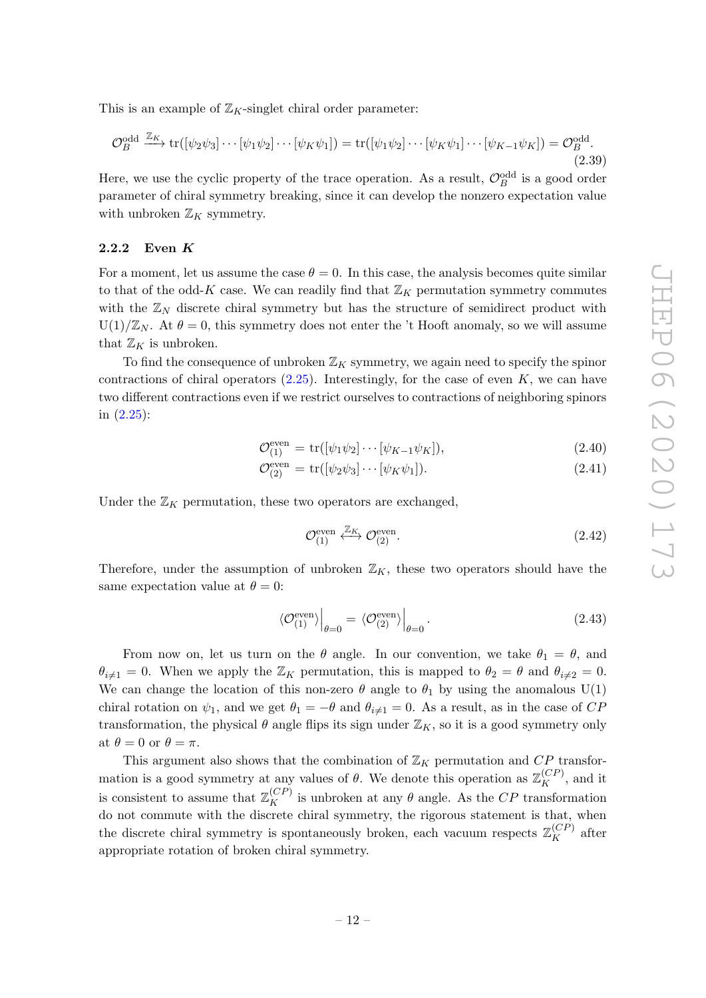This is an example of  $\mathbb{Z}_K$ -singlet chiral order parameter:

$$
\mathcal{O}_B^{\text{odd}} \xrightarrow{\mathbb{Z}_K} \text{tr}([\psi_2 \psi_3] \cdots [\psi_1 \psi_2] \cdots [\psi_K \psi_1]) = \text{tr}([\psi_1 \psi_2] \cdots [\psi_K \psi_1] \cdots [\psi_{K-1} \psi_K]) = \mathcal{O}_B^{\text{odd}}.
$$
\n(2.39)

Here, we use the cyclic property of the trace operation. As a result,  $\mathcal{O}_B^{\text{odd}}$  is a good order parameter of chiral symmetry breaking, since it can develop the nonzero expectation value with unbroken  $\mathbb{Z}_K$  symmetry.

#### <span id="page-12-0"></span>2.2.2 Even K

For a moment, let us assume the case  $\theta = 0$ . In this case, the analysis becomes quite similar to that of the odd-K case. We can readily find that  $\mathbb{Z}_K$  permutation symmetry commutes with the  $\mathbb{Z}_N$  discrete chiral symmetry but has the structure of semidirect product with  $U(1)/\mathbb{Z}_N$ . At  $\theta = 0$ , this symmetry does not enter the 't Hooft anomaly, so we will assume that  $\mathbb{Z}_K$  is unbroken.

To find the consequence of unbroken  $\mathbb{Z}_K$  symmetry, we again need to specify the spinor contractions of chiral operators  $(2.25)$ . Interestingly, for the case of even K, we can have two different contractions even if we restrict ourselves to contractions of neighboring spinors in [\(2.25\)](#page-9-3):

$$
\mathcal{O}_{(1)}^{\text{even}} = \text{tr}([\psi_1 \psi_2] \cdots [\psi_{K-1} \psi_K]),\tag{2.40}
$$

$$
\mathcal{O}_{(2)}^{\text{even}} = \text{tr}([\psi_2 \psi_3] \cdots [\psi_K \psi_1]). \tag{2.41}
$$

Under the  $\mathbb{Z}_K$  permutation, these two operators are exchanged,

$$
\mathcal{O}_{(1)}^{\text{even}} \stackrel{\mathbb{Z}_K}{\longleftrightarrow} \mathcal{O}_{(2)}^{\text{even}}.
$$
\n(2.42)

Therefore, under the assumption of unbroken  $\mathbb{Z}_K$ , these two operators should have the same expectation value at  $\theta = 0$ :

$$
\langle \mathcal{O}_{(1)}^{\text{even}} \rangle \Big|_{\theta=0} = \langle \mathcal{O}_{(2)}^{\text{even}} \rangle \Big|_{\theta=0} . \tag{2.43}
$$

From now on, let us turn on the  $\theta$  angle. In our convention, we take  $\theta_1 = \theta$ , and  $\theta_{i\neq 1} = 0$ . When we apply the  $\mathbb{Z}_K$  permutation, this is mapped to  $\theta_2 = \theta$  and  $\theta_{i\neq 2} = 0$ . We can change the location of this non-zero  $\theta$  angle to  $\theta_1$  by using the anomalous U(1) chiral rotation on  $\psi_1$ , and we get  $\theta_1 = -\theta$  and  $\theta_{i \neq 1} = 0$ . As a result, as in the case of CP transformation, the physical  $\theta$  angle flips its sign under  $\mathbb{Z}_K$ , so it is a good symmetry only at  $\theta = 0$  or  $\theta = \pi$ .

This argument also shows that the combination of  $\mathbb{Z}_K$  permutation and CP transformation is a good symmetry at any values of  $\theta$ . We denote this operation as  $\mathbb{Z}_K^{(CP)}$ , and it is consistent to assume that  $\mathbb{Z}_K^{(CP)}$  is unbroken at any  $\theta$  angle. As the CP transformation do not commute with the discrete chiral symmetry, the rigorous statement is that, when the discrete chiral symmetry is spontaneously broken, each vacuum respects  $\mathbb{Z}_K^{(CP)}$  after appropriate rotation of broken chiral symmetry.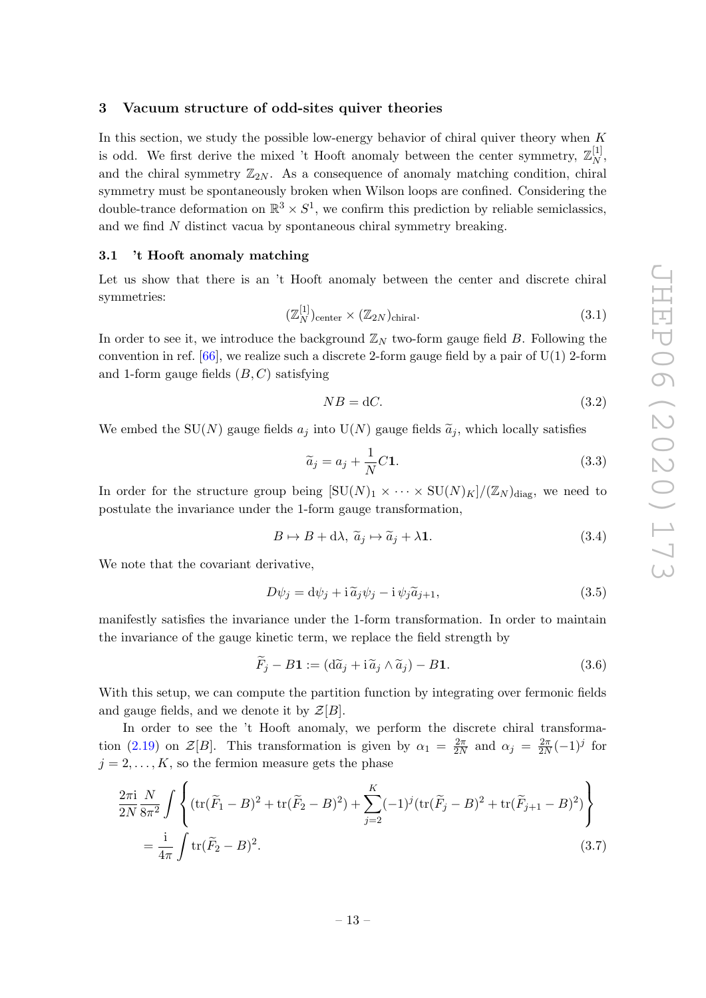#### <span id="page-13-0"></span>3 Vacuum structure of odd-sites quiver theories

In this section, we study the possible low-energy behavior of chiral quiver theory when  $K$ is odd. We first derive the mixed 't Hooft anomaly between the center symmetry,  $\mathbb{Z}_N^{[1]}$  $\frac{[1]}{N},$ and the chiral symmetry  $\mathbb{Z}_{2N}$ . As a consequence of anomaly matching condition, chiral symmetry must be spontaneously broken when Wilson loops are confined. Considering the double-trance deformation on  $\mathbb{R}^3 \times S^1$ , we confirm this prediction by reliable semiclassics, and we find  $N$  distinct vacua by spontaneous chiral symmetry breaking.

#### <span id="page-13-1"></span>3.1 't Hooft anomaly matching

Let us show that there is an 't Hooft anomaly between the center and discrete chiral symmetries:

$$
(\mathbb{Z}_N^{[1]})_{\text{center}} \times (\mathbb{Z}_{2N})_{\text{chiral}}.\tag{3.1}
$$

In order to see it, we introduce the background  $\mathbb{Z}_N$  two-form gauge field B. Following the convention in ref.  $[66]$ , we realize such a discrete 2-form gauge field by a pair of U(1) 2-form and 1-form gauge fields  $(B, C)$  satisfying

$$
NB = dC.\t\t(3.2)
$$

We embed the SU(N) gauge fields  $a_j$  into U(N) gauge fields  $\tilde{a}_j$ , which locally satisfies

$$
\widetilde{a}_j = a_j + \frac{1}{N}C\mathbf{1}.\tag{3.3}
$$

In order for the structure group being  $[\text{SU}(N)_1 \times \cdots \times \text{SU}(N)_K]/(\mathbb{Z}_N)_{\text{diag}}$ , we need to postulate the invariance under the 1-form gauge transformation,

$$
B \mapsto B + d\lambda, \ \widetilde{a}_j \mapsto \widetilde{a}_j + \lambda \mathbf{1}.\tag{3.4}
$$

We note that the covariant derivative,

$$
D\psi_j = d\psi_j + i\tilde{a}_j \psi_j - i\psi_j \tilde{a}_{j+1},\tag{3.5}
$$

manifestly satisfies the invariance under the 1-form transformation. In order to maintain the invariance of the gauge kinetic term, we replace the field strength by

$$
\widetilde{F}_j - B\mathbf{1} := (d\widetilde{a}_j + i\widetilde{a}_j \wedge \widetilde{a}_j) - B\mathbf{1}.
$$
\n(3.6)

With this setup, we can compute the partition function by integrating over fermonic fields and gauge fields, and we denote it by  $\mathcal{Z}[B]$ .

In order to see the 't Hooft anomaly, we perform the discrete chiral transforma-tion [\(2.19\)](#page-8-1) on  $\mathcal{Z}[B]$ . This transformation is given by  $\alpha_1 = \frac{2\pi}{2\lambda}$  $\frac{2\pi}{2N}$  and  $\alpha_j = \frac{2\pi}{2N}$  $\frac{2\pi}{2N}(-1)^j$  for  $j = 2, \ldots, K$ , so the fermion measure gets the phase

$$
\frac{2\pi i}{2N} \frac{N}{8\pi^2} \int \left\{ (\text{tr}(\widetilde{F}_1 - B)^2 + \text{tr}(\widetilde{F}_2 - B)^2) + \sum_{j=2}^K (-1)^j (\text{tr}(\widetilde{F}_j - B)^2 + \text{tr}(\widetilde{F}_{j+1} - B)^2) \right\}
$$
  
=  $\frac{i}{4\pi} \int \text{tr}(\widetilde{F}_2 - B)^2.$  (3.7)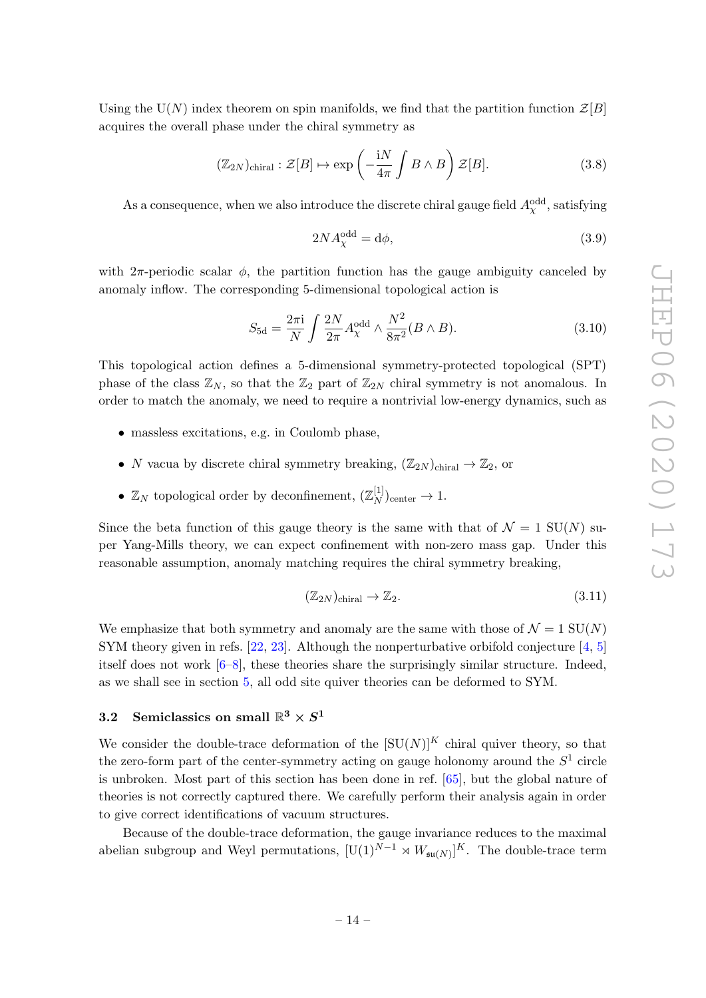Using the U(N) index theorem on spin manifolds, we find that the partition function  $\mathcal{Z}[B]$ acquires the overall phase under the chiral symmetry as

<span id="page-14-1"></span>
$$
(\mathbb{Z}_{2N})_{\text{chiral}} : \mathcal{Z}[B] \mapsto \exp\left(-\frac{\mathrm{i}N}{4\pi} \int B \wedge B\right) \mathcal{Z}[B]. \tag{3.8}
$$

As a consequence, when we also introduce the discrete chiral gauge field  $A_{\chi}^{\rm odd}$ , satisfying

$$
2NA_{\chi}^{\text{odd}} = \text{d}\phi,\tag{3.9}
$$

with  $2\pi$ -periodic scalar  $\phi$ , the partition function has the gauge ambiguity canceled by anomaly inflow. The corresponding 5-dimensional topological action is

$$
S_{\text{5d}} = \frac{2\pi \mathbf{i}}{N} \int \frac{2N}{2\pi} A_{\chi}^{\text{odd}} \wedge \frac{N^2}{8\pi^2} (B \wedge B). \tag{3.10}
$$

This topological action defines a 5-dimensional symmetry-protected topological (SPT) phase of the class  $\mathbb{Z}_N$ , so that the  $\mathbb{Z}_2$  part of  $\mathbb{Z}_{2N}$  chiral symmetry is not anomalous. In order to match the anomaly, we need to require a nontrivial low-energy dynamics, such as

- massless excitations, e.g. in Coulomb phase,
- N vacua by discrete chiral symmetry breaking,  $(\mathbb{Z}_{2N})$ <sub>chiral</sub>  $\rightarrow \mathbb{Z}_2$ , or
- $\mathbb{Z}_N$  topological order by deconfinement,  $(\mathbb{Z}_N^{[1]}$  $\binom{[1]}{N}$ center  $\rightarrow 1$ .

Since the beta function of this gauge theory is the same with that of  $\mathcal{N} = 1$  SU(N) super Yang-Mills theory, we can expect confinement with non-zero mass gap. Under this reasonable assumption, anomaly matching requires the chiral symmetry breaking,

$$
(\mathbb{Z}_{2N})_{\text{chiral}} \to \mathbb{Z}_2. \tag{3.11}
$$

We emphasize that both symmetry and anomaly are the same with those of  $\mathcal{N} = 1$  SU(N) SYM theory given in refs. [\[22,](#page-31-11) [23\]](#page-32-2). Although the nonperturbative orbifold conjecture [\[4,](#page-30-3) [5\]](#page-31-0) itself does not work  $[6–8]$  $[6–8]$ , these theories share the surprisingly similar structure. Indeed, as we shall see in section [5,](#page-24-0) all odd site quiver theories can be deformed to SYM.

# <span id="page-14-0"></span> $3.2 \quad \text{Semiclassics on small } \mathbb{R}^3 \times S^1$

We consider the double-trace deformation of the  $[SU(N)]^K$  chiral quiver theory, so that the zero-form part of the center-symmetry acting on gauge holonomy around the  $S^1$  circle is unbroken. Most part of this section has been done in ref. [\[65\]](#page-34-3), but the global nature of theories is not correctly captured there. We carefully perform their analysis again in order to give correct identifications of vacuum structures.

Because of the double-trace deformation, the gauge invariance reduces to the maximal abelian subgroup and Weyl permutations,  $[U(1)^{N-1} \rtimes W_{\mathfrak{su}(N)}]^K$ . The double-trace term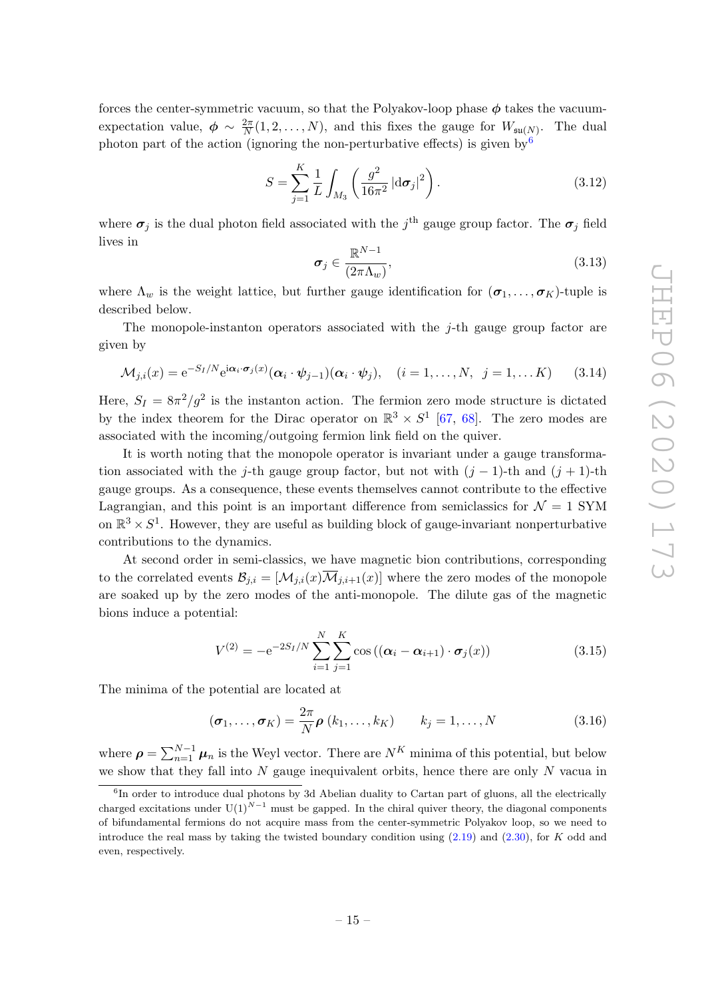forces the center-symmetric vacuum, so that the Polyakov-loop phase  $\phi$  takes the vacuumexpectation value,  $\phi \sim \frac{2\pi}{N}$  $\frac{2\pi}{N}(1, 2, \ldots, N)$ , and this fixes the gauge for  $W_{\mathfrak{su}(N)}$ . The dual photon part of the action (ignoring the non-perturbative effects) is given by  $6\%$  $6\%$ 

$$
S = \sum_{j=1}^{K} \frac{1}{L} \int_{M_3} \left( \frac{g^2}{16\pi^2} |d\sigma_j|^2 \right).
$$
 (3.12)

where  $\sigma_j$  is the dual photon field associated with the  $j^{\text{th}}$  gauge group factor. The  $\sigma_j$  field lives in

$$
\sigma_j \in \frac{\mathbb{R}^{N-1}}{(2\pi\Lambda_w)},\tag{3.13}
$$

where  $\Lambda_w$  is the weight lattice, but further gauge identification for  $(\sigma_1, \ldots, \sigma_K)$ -tuple is described below.

The monopole-instanton operators associated with the  $j$ -th gauge group factor are given by

<span id="page-15-1"></span>
$$
\mathcal{M}_{j,i}(x) = e^{-S_I/N} e^{i\alpha_i \cdot \boldsymbol{\sigma}_j(x)} (\alpha_i \cdot \boldsymbol{\psi}_{j-1}) (\alpha_i \cdot \boldsymbol{\psi}_j), \quad (i = 1, \dots, N, \ j = 1, \dots K)
$$
 (3.14)

Here,  $S_I = 8\pi^2/g^2$  is the instanton action. The fermion zero mode structure is dictated by the index theorem for the Dirac operator on  $\mathbb{R}^3 \times S^1$  [\[67,](#page-34-5) [68\]](#page-34-6). The zero modes are associated with the incoming/outgoing fermion link field on the quiver.

It is worth noting that the monopole operator is invariant under a gauge transformation associated with the j-th gauge group factor, but not with  $(j-1)$ -th and  $(j+1)$ -th gauge groups. As a consequence, these events themselves cannot contribute to the effective Lagrangian, and this point is an important difference from semiclassics for  $\mathcal{N} = 1$  SYM on  $\mathbb{R}^3 \times S^1$ . However, they are useful as building block of gauge-invariant nonperturbative contributions to the dynamics.

At second order in semi-classics, we have magnetic bion contributions, corresponding to the correlated events  $\mathcal{B}_{j,i} = [\mathcal{M}_{j,i}(x) \overline{\mathcal{M}}_{j,i+1}(x)]$  where the zero modes of the monopole are soaked up by the zero modes of the anti-monopole. The dilute gas of the magnetic bions induce a potential:

<span id="page-15-2"></span>
$$
V^{(2)} = -e^{-2S_I/N} \sum_{i=1}^{N} \sum_{j=1}^{K} \cos ((\alpha_i - \alpha_{i+1}) \cdot \sigma_j(x))
$$
 (3.15)

The minima of the potential are located at

<span id="page-15-3"></span>
$$
(\boldsymbol{\sigma}_1, \dots, \boldsymbol{\sigma}_K) = \frac{2\pi}{N} \boldsymbol{\rho} \left( k_1, \dots, k_K \right) \qquad k_j = 1, \dots, N \tag{3.16}
$$

where  $\rho = \sum_{n=1}^{N-1} \mu_n$  is the Weyl vector. There are  $N^K$  minima of this potential, but below we show that they fall into  $N$  gauge inequivalent orbits, hence there are only  $N$  vacua in

<span id="page-15-0"></span><sup>&</sup>lt;sup>6</sup>In order to introduce dual photons by 3d Abelian duality to Cartan part of gluons, all the electrically charged excitations under  $U(1)^{N-1}$  must be gapped. In the chiral quiver theory, the diagonal components of bifundamental fermions do not acquire mass from the center-symmetric Polyakov loop, so we need to introduce the real mass by taking the twisted boundary condition using  $(2.19)$  and  $(2.30)$ , for K odd and even, respectively.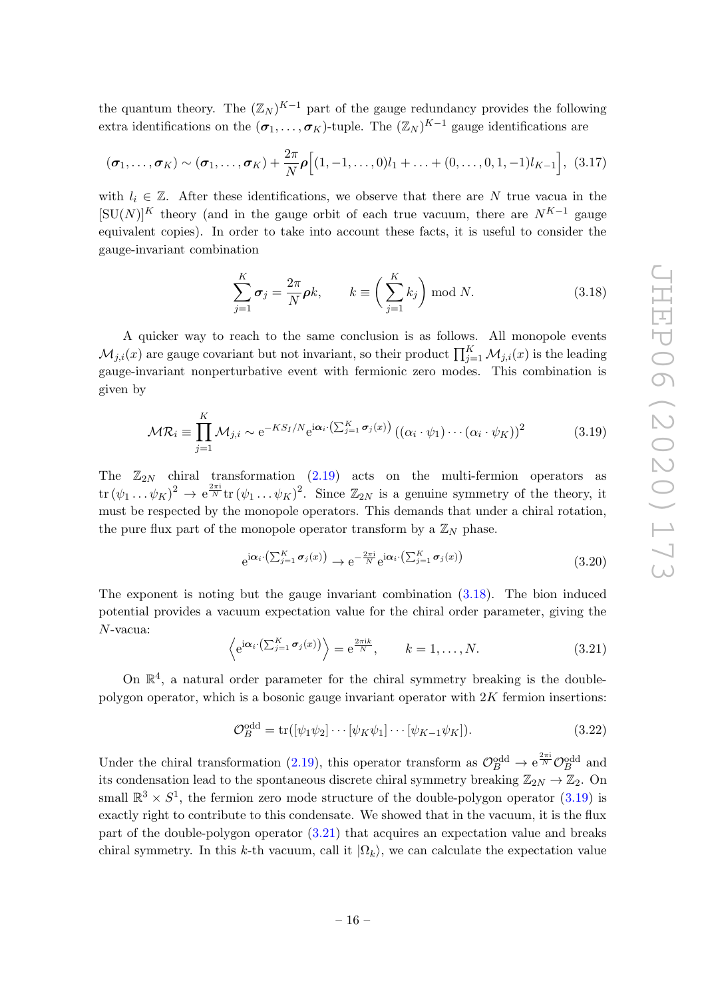the quantum theory. The  $(\mathbb{Z}_N)^{K-1}$  part of the gauge redundancy provides the following extra identifications on the  $(\sigma_1, \ldots, \sigma_K)$ -tuple. The  $(\mathbb{Z}_N)^{K-1}$  gauge identifications are

$$
(\boldsymbol{\sigma}_1, \ldots, \boldsymbol{\sigma}_K) \sim (\boldsymbol{\sigma}_1, \ldots, \boldsymbol{\sigma}_K) + \frac{2\pi}{N} \boldsymbol{\rho} \Big[ (1, -1, \ldots, 0) l_1 + \ldots + (0, \ldots, 0, 1, -1) l_{K-1} \Big], (3.17)
$$

with  $l_i \in \mathbb{Z}$ . After these identifications, we observe that there are N true vacua in the  $[SU(N)]^K$  theory (and in the gauge orbit of each true vacuum, there are  $N^{K-1}$  gauge equivalent copies). In order to take into account these facts, it is useful to consider the gauge-invariant combination

<span id="page-16-0"></span>
$$
\sum_{j=1}^{K} \sigma_j = \frac{2\pi}{N} \rho k, \qquad k \equiv \left(\sum_{j=1}^{K} k_j\right) \bmod N. \tag{3.18}
$$

A quicker way to reach to the same conclusion is as follows. All monopole events  $\mathcal{M}_{j,i}(x)$  are gauge covariant but not invariant, so their product  $\prod_{j=1}^K \mathcal{M}_{j,i}(x)$  is the leading gauge-invariant nonperturbative event with fermionic zero modes. This combination is given by

<span id="page-16-1"></span>
$$
\mathcal{MR}_i \equiv \prod_{j=1}^K \mathcal{M}_{j,i} \sim e^{-KS_I/N} e^{i\alpha_i \cdot (\sum_{j=1}^K \sigma_j(x))} \left( (\alpha_i \cdot \psi_1) \cdots (\alpha_i \cdot \psi_K) \right)^2 \tag{3.19}
$$

The  $\mathbb{Z}_{2N}$  chiral transformation [\(2.19\)](#page-8-1) acts on the multi-fermion operators as  $\text{tr}(\psi_1 \dots \psi_K)^2 \to e^{\frac{2\pi i}{N}} \text{tr}(\psi_1 \dots \psi_K)^2$ . Since  $\mathbb{Z}_{2N}$  is a genuine symmetry of the theory, it must be respected by the monopole operators. This demands that under a chiral rotation, the pure flux part of the monopole operator transform by a  $\mathbb{Z}_N$  phase.

$$
e^{i\alpha_i \cdot \left(\sum_{j=1}^K \sigma_j(x)\right)} \to e^{-\frac{2\pi i}{N}} e^{i\alpha_i \cdot \left(\sum_{j=1}^K \sigma_j(x)\right)}
$$
(3.20)

The exponent is noting but the gauge invariant combination [\(3.18\)](#page-16-0). The bion induced potential provides a vacuum expectation value for the chiral order parameter, giving the N-vacua:

<span id="page-16-2"></span>
$$
\left\langle e^{i\boldsymbol{\alpha}_i \cdot (\sum_{j=1}^K \boldsymbol{\sigma}_j(x))} \right\rangle = e^{\frac{2\pi i k}{N}}, \qquad k = 1, ..., N.
$$
\n(3.21)

On  $\mathbb{R}^4$ , a natural order parameter for the chiral symmetry breaking is the doublepolygon operator, which is a bosonic gauge invariant operator with  $2K$  fermion insertions:

$$
\mathcal{O}_B^{\text{odd}} = \text{tr}([\psi_1 \psi_2] \cdots [\psi_K \psi_1] \cdots [\psi_{K-1} \psi_K]). \tag{3.22}
$$

Under the chiral transformation [\(2.19\)](#page-8-1), this operator transform as  $\mathcal{O}_B^{\text{odd}} \to e^{\frac{2\pi i}{N}} \mathcal{O}_B^{\text{odd}}$  and its condensation lead to the spontaneous discrete chiral symmetry breaking  $\mathbb{Z}_{2N} \to \mathbb{Z}_2$ . On small  $\mathbb{R}^3 \times S^1$ , the fermion zero mode structure of the double-polygon operator [\(3.19\)](#page-16-1) is exactly right to contribute to this condensate. We showed that in the vacuum, it is the flux part of the double-polygon operator [\(3.21\)](#page-16-2) that acquires an expectation value and breaks chiral symmetry. In this k-th vacuum, call it  $|\Omega_k\rangle$ , we can calculate the expectation value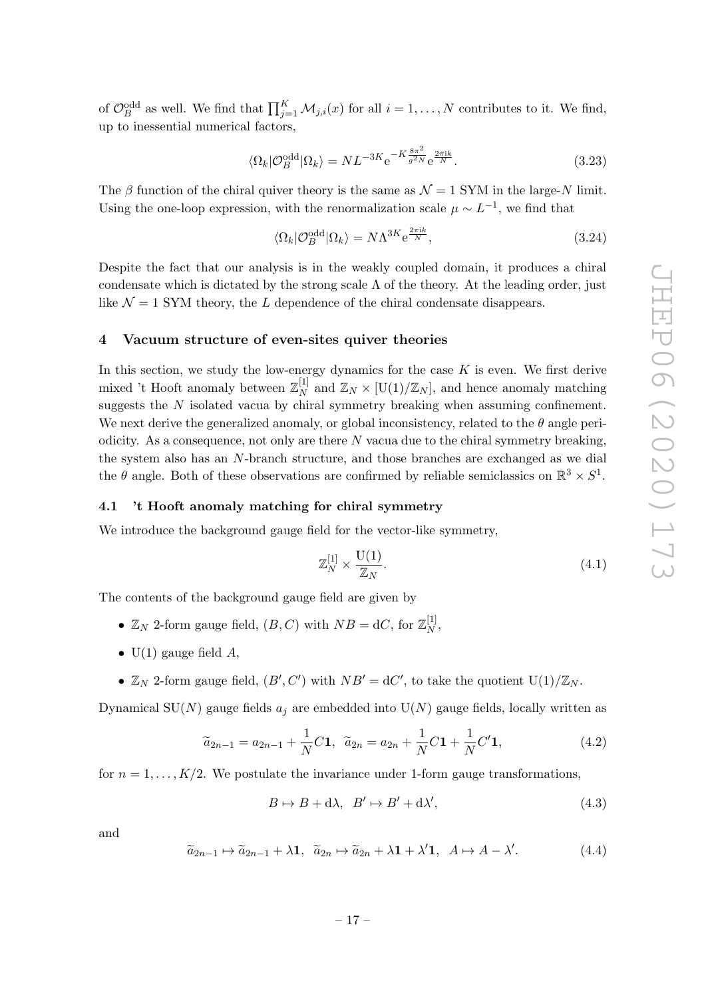of  $\mathcal{O}_B^{\text{odd}}$  as well. We find that  $\prod_{j=1}^K \mathcal{M}_{j,i}(x)$  for all  $i = 1, \ldots, N$  contributes to it. We find, up to inessential numerical factors,

$$
\langle \Omega_k | \mathcal{O}_B^{\text{odd}} | \Omega_k \rangle = N L^{-3K} e^{-K \frac{8\pi^2}{g^2 N}} e^{\frac{2\pi i k}{N}}.
$$
\n(3.23)

The β function of the chiral quiver theory is the same as  $\mathcal{N} = 1$  SYM in the large-N limit. Using the one-loop expression, with the renormalization scale  $\mu \sim L^{-1}$ , we find that

$$
\langle \Omega_k | \mathcal{O}_B^{\text{odd}} | \Omega_k \rangle = N \Lambda^{3K} e^{\frac{2\pi ik}{N}}, \tag{3.24}
$$

Despite the fact that our analysis is in the weakly coupled domain, it produces a chiral condensate which is dictated by the strong scale  $\Lambda$  of the theory. At the leading order, just like  $\mathcal{N} = 1$  SYM theory, the L dependence of the chiral condensate disappears.

#### <span id="page-17-0"></span>4 Vacuum structure of even-sites quiver theories

In this section, we study the low-energy dynamics for the case  $K$  is even. We first derive mixed 't Hooft anomaly between  $\mathbb{Z}_N^{[1]}$  $\mathbb{Z}_N^{\{1\}}$  and  $\mathbb{Z}_N \times [\mathrm{U}(1)/\mathbb{Z}_N]$ , and hence anomaly matching suggests the N isolated vacua by chiral symmetry breaking when assuming confinement. We next derive the generalized anomaly, or global inconsistency, related to the  $\theta$  angle periodicity. As a consequence, not only are there  $N$  vacua due to the chiral symmetry breaking, the system also has an N-branch structure, and those branches are exchanged as we dial the  $\theta$  angle. Both of these observations are confirmed by reliable semiclassics on  $\mathbb{R}^3 \times S^1$ .

#### <span id="page-17-1"></span>4.1 't Hooft anomaly matching for chiral symmetry

We introduce the background gauge field for the vector-like symmetry,

$$
\mathbb{Z}_N^{[1]} \times \frac{\mathcal{U}(1)}{\mathbb{Z}_N}.\tag{4.1}
$$

The contents of the background gauge field are given by

- $\mathbb{Z}_N$  2-form gauge field,  $(B, C)$  with  $NB = dC$ , for  $\mathbb{Z}_N^{[1]}$  $\frac{1}{N}$
- $U(1)$  gauge field A,
- $\mathbb{Z}_N$  2-form gauge field,  $(B', C')$  with  $NB' = dC'$ , to take the quotient  $U(1)/\mathbb{Z}_N$ .

Dynamical SU(N) gauge fields  $a_i$  are embedded into U(N) gauge fields, locally written as

$$
\widetilde{a}_{2n-1} = a_{2n-1} + \frac{1}{N}C\mathbf{1}, \quad \widetilde{a}_{2n} = a_{2n} + \frac{1}{N}C\mathbf{1} + \frac{1}{N}C'\mathbf{1},\tag{4.2}
$$

for  $n = 1, \ldots, K/2$ . We postulate the invariance under 1-form gauge transformations,

$$
B \mapsto B + d\lambda, \quad B' \mapsto B' + d\lambda', \tag{4.3}
$$

and

$$
\widetilde{a}_{2n-1} \mapsto \widetilde{a}_{2n-1} + \lambda \mathbf{1}, \quad \widetilde{a}_{2n} \mapsto \widetilde{a}_{2n} + \lambda \mathbf{1} + \lambda' \mathbf{1}, \quad A \mapsto A - \lambda'.
$$
 (4.4)

$$
-17-
$$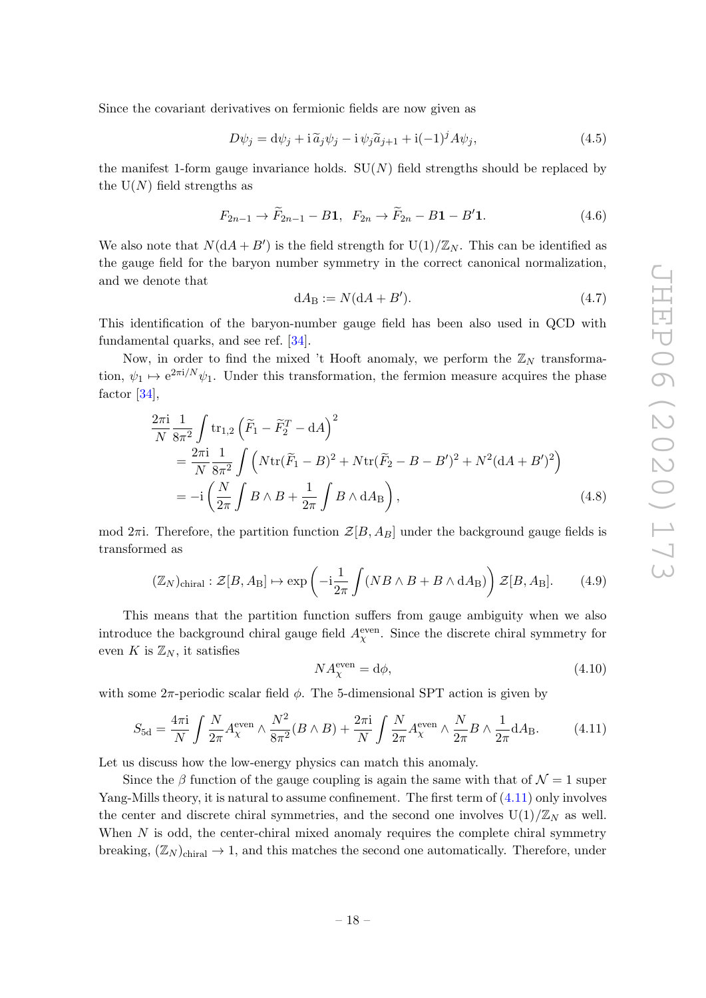Since the covariant derivatives on fermionic fields are now given as

$$
D\psi_j = d\psi_j + i\tilde{a}_j \psi_j - i\psi_j \tilde{a}_{j+1} + i(-1)^j A \psi_j,
$$
\n(4.5)

the manifest 1-form gauge invariance holds.  $SU(N)$  field strengths should be replaced by the  $U(N)$  field strengths as

$$
F_{2n-1} \to \widetilde{F}_{2n-1} - B_1, \quad F_{2n} \to \widetilde{F}_{2n} - B_1 - B_1'. \tag{4.6}
$$

We also note that  $N(dA + B')$  is the field strength for  $U(1)/\mathbb{Z}_N$ . This can be identified as the gauge field for the baryon number symmetry in the correct canonical normalization, and we denote that

$$
dA_B := N(dA + B'). \tag{4.7}
$$

This identification of the baryon-number gauge field has been also used in QCD with fundamental quarks, and see ref. [\[34\]](#page-32-3).

Now, in order to find the mixed 't Hooft anomaly, we perform the  $\mathbb{Z}_N$  transformation,  $\psi_1 \mapsto e^{2\pi i/N} \psi_1$ . Under this transformation, the fermion measure acquires the phase factor [\[34\]](#page-32-3),

$$
\frac{2\pi i}{N} \frac{1}{8\pi^2} \int tr_{1,2} (\tilde{F}_1 - \tilde{F}_2^T - dA)^2
$$
\n
$$
= \frac{2\pi i}{N} \frac{1}{8\pi^2} \int \left( Ntr(\tilde{F}_1 - B)^2 + Ntr(\tilde{F}_2 - B - B')^2 + N^2 (dA + B')^2 \right)
$$
\n
$$
= -i \left( \frac{N}{2\pi} \int B \wedge B + \frac{1}{2\pi} \int B \wedge dA_B \right), \tag{4.8}
$$

mod  $2\pi$ i. Therefore, the partition function  $\mathcal{Z}[B, A_B]$  under the background gauge fields is transformed as

$$
(\mathbb{Z}_N)_{\text{chiral}} : \mathcal{Z}[B, A_B] \mapsto \exp\left(-i\frac{1}{2\pi} \int (NB \wedge B + B \wedge dA_B)\right) \mathcal{Z}[B, A_B]. \tag{4.9}
$$

This means that the partition function suffers from gauge ambiguity when we also introduce the background chiral gauge field  $A_{\chi}^{\text{even}}$ . Since the discrete chiral symmetry for even K is  $\mathbb{Z}_N$ , it satisfies

$$
NA_{\chi}^{\text{even}} = \text{d}\phi,\tag{4.10}
$$

with some  $2\pi$ -periodic scalar field  $\phi$ . The 5-dimensional SPT action is given by

<span id="page-18-0"></span>
$$
S_{\rm 5d} = \frac{4\pi \mathrm{i}}{N} \int \frac{N}{2\pi} A_{\chi}^{\rm even} \wedge \frac{N^2}{8\pi^2} (B \wedge B) + \frac{2\pi \mathrm{i}}{N} \int \frac{N}{2\pi} A_{\chi}^{\rm even} \wedge \frac{N}{2\pi} B \wedge \frac{1}{2\pi} \mathrm{d} A_{\rm B}.
$$
 (4.11)

Let us discuss how the low-energy physics can match this anomaly.

Since the  $\beta$  function of the gauge coupling is again the same with that of  $\mathcal{N}=1$  super Yang-Mills theory, it is natural to assume confinement. The first term of  $(4.11)$  only involves the center and discrete chiral symmetries, and the second one involves  $U(1)/\mathbb{Z}_N$  as well. When  $N$  is odd, the center-chiral mixed anomaly requires the complete chiral symmetry breaking,  $(\mathbb{Z}_N)_{\text{chiral}} \to 1$ , and this matches the second one automatically. Therefore, under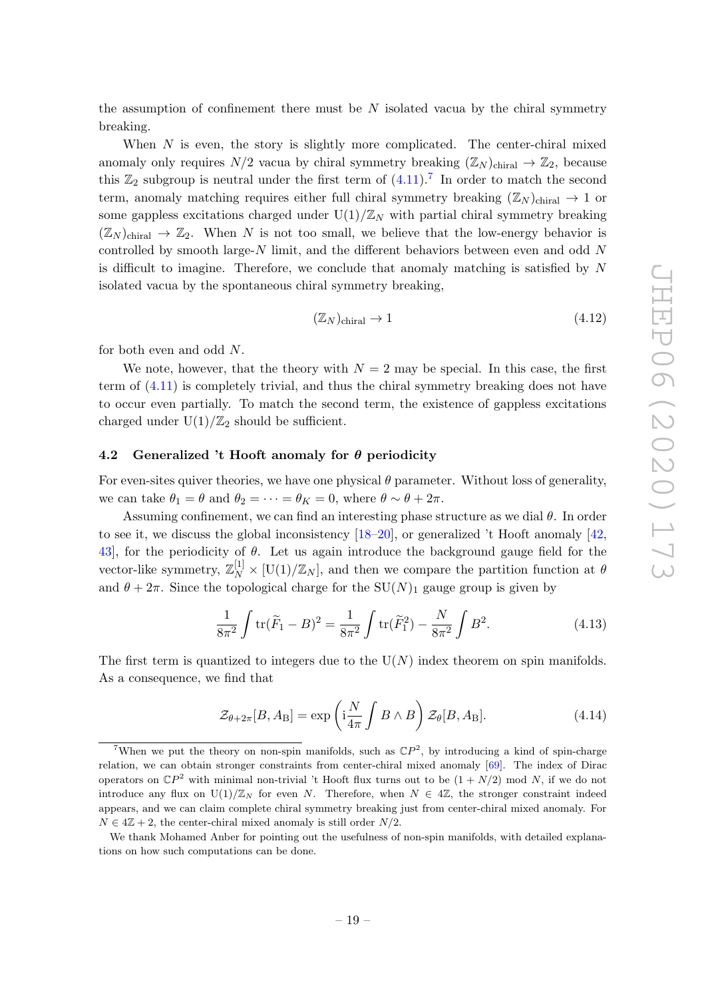the assumption of confinement there must be  $N$  isolated vacua by the chiral symmetry breaking.

When  $N$  is even, the story is slightly more complicated. The center-chiral mixed anomaly only requires  $N/2$  vacua by chiral symmetry breaking  $(\mathbb{Z}_N)_{\text{chiral}} \to \mathbb{Z}_2$ , because this  $\mathbb{Z}_2$  subgroup is neutral under the first term of  $(4.11)$ .<sup>[7](#page-19-1)</sup> In order to match the second term, anomaly matching requires either full chiral symmetry breaking  $(\mathbb{Z}_N)_{\text{chiral}} \to 1$  or some gappless excitations charged under  $U(1)/\mathbb{Z}_N$  with partial chiral symmetry breaking  $(\mathbb{Z}_N)_{\text{chiral}} \to \mathbb{Z}_2$ . When N is not too small, we believe that the low-energy behavior is controlled by smooth large- $N$  limit, and the different behaviors between even and odd  $N$ is difficult to imagine. Therefore, we conclude that anomaly matching is satisfied by N isolated vacua by the spontaneous chiral symmetry breaking,

$$
(\mathbb{Z}_N)_{\text{chiral}} \to 1\tag{4.12}
$$

for both even and odd N.

We note, however, that the theory with  $N = 2$  may be special. In this case, the first term of [\(4.11\)](#page-18-0) is completely trivial, and thus the chiral symmetry breaking does not have to occur even partially. To match the second term, the existence of gappless excitations charged under  $U(1)/\mathbb{Z}_2$  should be sufficient.

#### <span id="page-19-0"></span>4.2 Generalized 't Hooft anomaly for  $\theta$  periodicity

For even-sites quiver theories, we have one physical  $\theta$  parameter. Without loss of generality, we can take  $\theta_1 = \theta$  and  $\theta_2 = \cdots = \theta_K = 0$ , where  $\theta \sim \theta + 2\pi$ .

Assuming confinement, we can find an interesting phase structure as we dial  $\theta$ . In order to see it, we discuss the global inconsistency  $[18–20]$  $[18–20]$ , or generalized 't Hooft anomaly  $[42]$ , 43, for the periodicity of  $\theta$ . Let us again introduce the background gauge field for the vector-like symmetry,  $\mathbb{Z}_N^{[1]} \times [U(1)/\mathbb{Z}_N]$ , and then we compare the partition function at  $\theta$ and  $\theta + 2\pi$ . Since the topological charge for the SU(N)<sub>1</sub> gauge group is given by

$$
\frac{1}{8\pi^2} \int \text{tr}(\widetilde{F}_1 - B)^2 = \frac{1}{8\pi^2} \int \text{tr}(\widetilde{F}_1^2) - \frac{N}{8\pi^2} \int B^2.
$$
 (4.13)

The first term is quantized to integers due to the  $U(N)$  index theorem on spin manifolds. As a consequence, we find that

<span id="page-19-2"></span>
$$
\mathcal{Z}_{\theta+2\pi}[B, A_{\text{B}}] = \exp\left(\mathrm{i}\frac{N}{4\pi} \int B \wedge B\right) \mathcal{Z}_{\theta}[B, A_{\text{B}}]. \tag{4.14}
$$

<span id="page-19-1"></span><sup>&</sup>lt;sup>7</sup>When we put the theory on non-spin manifolds, such as  $\mathbb{C}P^2$ , by introducing a kind of spin-charge relation, we can obtain stronger constraints from center-chiral mixed anomaly [\[69\]](#page-34-7). The index of Dirac operators on  $\mathbb{C}P^2$  with minimal non-trivial 't Hooft flux turns out to be  $(1 + N/2)$  mod N, if we do not introduce any flux on  $U(1)/\mathbb{Z}_N$  for even N. Therefore, when  $N \in 4\mathbb{Z}$ , the stronger constraint indeed appears, and we can claim complete chiral symmetry breaking just from center-chiral mixed anomaly. For  $N \in 4\mathbb{Z} + 2$ , the center-chiral mixed anomaly is still order  $N/2$ .

We thank Mohamed Anber for pointing out the usefulness of non-spin manifolds, with detailed explanations on how such computations can be done.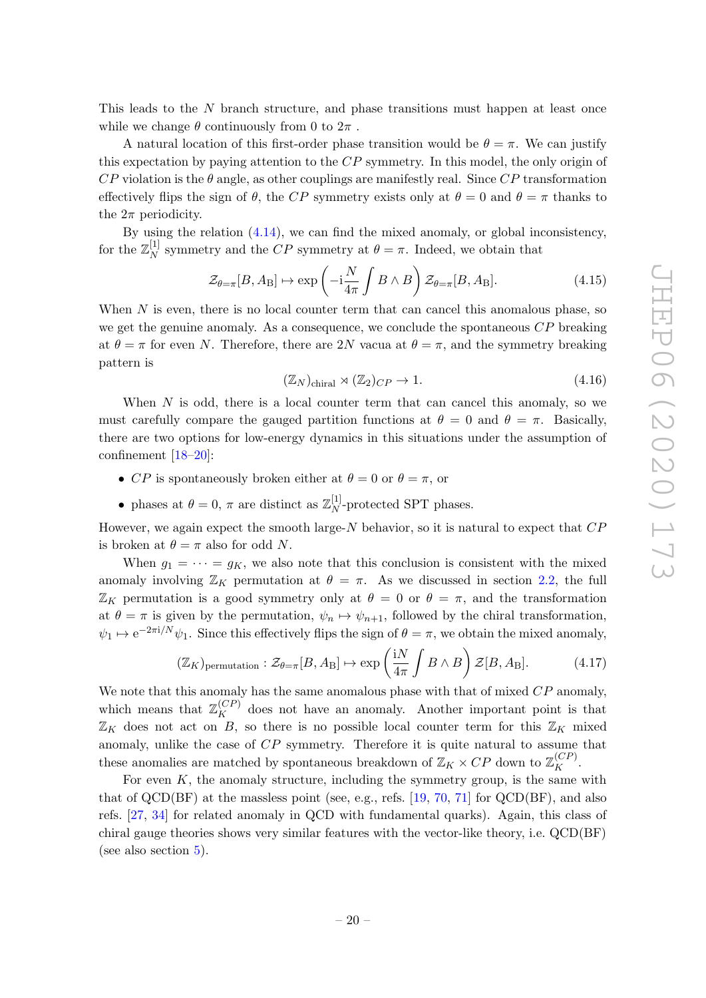This leads to the N branch structure, and phase transitions must happen at least once while we change  $\theta$  continuously from 0 to  $2\pi$ .

A natural location of this first-order phase transition would be  $\theta = \pi$ . We can justify this expectation by paying attention to the CP symmetry. In this model, the only origin of  $CP$  violation is the  $\theta$  angle, as other couplings are manifestly real. Since  $CP$  transformation effectively flips the sign of  $\theta$ , the CP symmetry exists only at  $\theta = 0$  and  $\theta = \pi$  thanks to the  $2\pi$  periodicity.

By using the relation [\(4.14\)](#page-19-2), we can find the mixed anomaly, or global inconsistency, for the  $\mathbb{Z}_N^{[1]}$  $_N^{\mu}$  symmetry and the CP symmetry at  $\theta = \pi$ . Indeed, we obtain that

$$
\mathcal{Z}_{\theta=\pi}[B, A_{\text{B}}] \mapsto \exp\left(-i\frac{N}{4\pi} \int B \wedge B\right) \mathcal{Z}_{\theta=\pi}[B, A_{\text{B}}]. \tag{4.15}
$$

When  $N$  is even, there is no local counter term that can cancel this anomalous phase, so we get the genuine anomaly. As a consequence, we conclude the spontaneous  $\mathbb{CP}$  breaking at  $\theta = \pi$  for even N. Therefore, there are 2N vacua at  $\theta = \pi$ , and the symmetry breaking pattern is

$$
(\mathbb{Z}_N)_{\text{chiral}} \rtimes (\mathbb{Z}_2)_{CP} \to 1. \tag{4.16}
$$

When  $N$  is odd, there is a local counter term that can cancel this anomaly, so we must carefully compare the gauged partition functions at  $\theta = 0$  and  $\theta = \pi$ . Basically, there are two options for low-energy dynamics in this situations under the assumption of confinement [\[18–](#page-31-12)[20\]](#page-31-13):

- CP is spontaneously broken either at  $\theta = 0$  or  $\theta = \pi$ , or
- phases at  $\theta = 0$ ,  $\pi$  are distinct as  $\mathbb{Z}_N^{[1]}$  $_N^{\text{[1]}}$ -protected SPT phases.

However, we again expect the smooth large- $N$  behavior, so it is natural to expect that  $CP$ is broken at  $\theta = \pi$  also for odd N.

When  $g_1 = \cdots = g_K$ , we also note that this conclusion is consistent with the mixed anomaly involving  $\mathbb{Z}_K$  permutation at  $\theta = \pi$ . As we discussed in section [2.2,](#page-11-0) the full  $\mathbb{Z}_K$  permutation is a good symmetry only at  $\theta = 0$  or  $\theta = \pi$ , and the transformation at  $\theta = \pi$  is given by the permutation,  $\psi_n \mapsto \psi_{n+1}$ , followed by the chiral transformation,  $\psi_1 \mapsto e^{-2\pi i/N} \psi_1$ . Since this effectively flips the sign of  $\theta = \pi$ , we obtain the mixed anomaly,

$$
(\mathbb{Z}_K)_{\text{permutation}} : \mathcal{Z}_{\theta=\pi}[B, A_\text{B}] \mapsto \exp\left(\frac{\mathrm{i}N}{4\pi} \int B \wedge B\right) \mathcal{Z}[B, A_\text{B}]. \tag{4.17}
$$

We note that this anomaly has the same anomalous phase with that of mixed  $\mathbb{CP}$  anomaly, which means that  $\mathbb{Z}_K^{(CP)}$  does not have an anomaly. Another important point is that  $\mathbb{Z}_K$  does not act on B, so there is no possible local counter term for this  $\mathbb{Z}_K$  mixed anomaly, unlike the case of CP symmetry. Therefore it is quite natural to assume that these anomalies are matched by spontaneous breakdown of  $\mathbb{Z}_K \times CP$  down to  $\mathbb{Z}_K^{(CP)}$ .

For even  $K$ , the anomaly structure, including the symmetry group, is the same with that of  $QCD(BF)$  at the massless point (see, e.g., refs. [\[19,](#page-31-14) [70,](#page-34-8) [71\]](#page-34-9) for  $QCD(BF)$ , and also refs. [\[27,](#page-32-4) [34\]](#page-32-3) for related anomaly in QCD with fundamental quarks). Again, this class of chiral gauge theories shows very similar features with the vector-like theory, i.e. QCD(BF) (see also section [5\)](#page-24-0).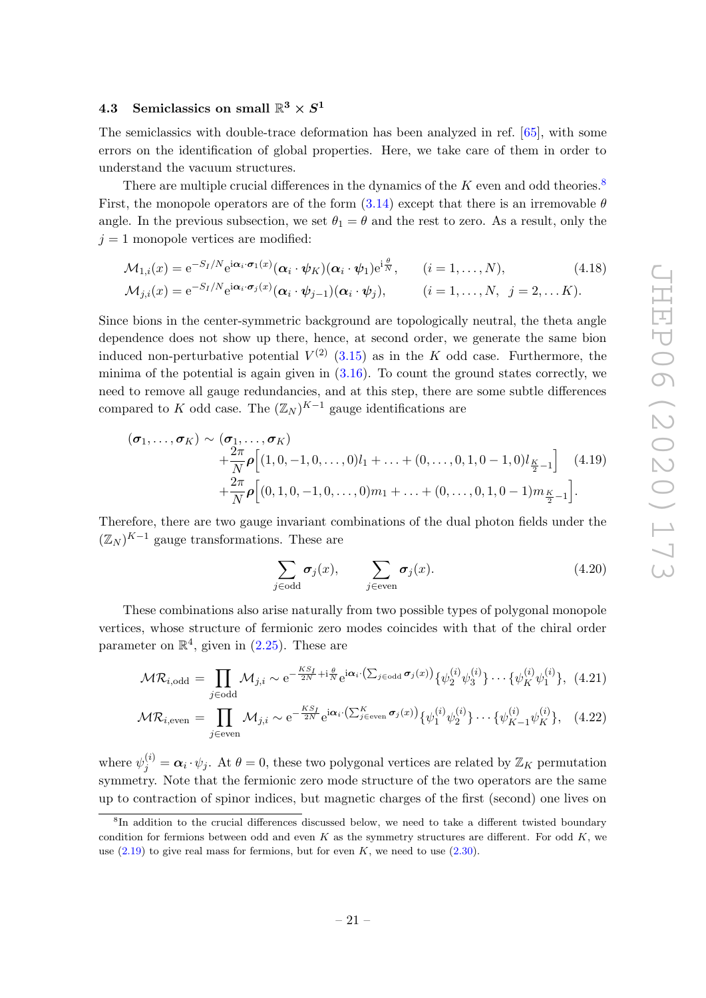# <span id="page-21-0"></span> $4.3 \quad \text{Semiclassics on small } \mathbb{R}^3 \times S^1$

The semiclassics with double-trace deformation has been analyzed in ref. [\[65\]](#page-34-3), with some errors on the identification of global properties. Here, we take care of them in order to understand the vacuum structures.

There are multiple crucial differences in the dynamics of the  $K$  even and odd theories.<sup>[8](#page-21-1)</sup> First, the monopole operators are of the form  $(3.14)$  except that there is an irremovable  $\theta$ angle. In the previous subsection, we set  $\theta_1 = \theta$  and the rest to zero. As a result, only the  $j = 1$  monopole vertices are modified:

$$
\mathcal{M}_{1,i}(x) = e^{-S_I/N} e^{i\alpha_i \cdot \boldsymbol{\sigma}_1(x)} (\boldsymbol{\alpha}_i \cdot \boldsymbol{\psi}_K) (\boldsymbol{\alpha}_i \cdot \boldsymbol{\psi}_1) e^{i\frac{\theta}{N}}, \qquad (i = 1, ..., N),
$$
\n
$$
\mathcal{M}_{j,i}(x) = e^{-S_I/N} e^{i\alpha_i \cdot \boldsymbol{\sigma}_j(x)} (\boldsymbol{\alpha}_i \cdot \boldsymbol{\psi}_{j-1}) (\boldsymbol{\alpha}_i \cdot \boldsymbol{\psi}_j), \qquad (i = 1, ..., N, j = 2, ... K).
$$
\n(4.18)

Since bions in the center-symmetric background are topologically neutral, the theta angle dependence does not show up there, hence, at second order, we generate the same bion induced non-perturbative potential  $V^{(2)}$  [\(3.15\)](#page-15-2) as in the K odd case. Furthermore, the minima of the potential is again given in  $(3.16)$ . To count the ground states correctly, we need to remove all gauge redundancies, and at this step, there are some subtle differences compared to K odd case. The  $(\mathbb{Z}_N)^{K-1}$  gauge identifications are

$$
(\sigma_1, ..., \sigma_K) \sim (\sigma_1, ..., \sigma_K)
$$
  
+  $\frac{2\pi}{N} \rho [(1, 0, -1, 0, ..., 0)l_1 + ... + (0, ..., 0, 1, 0 - 1, 0)l_{\frac{K}{2}-1}]$  (4.19)  
+  $\frac{2\pi}{N} \rho [(0, 1, 0, -1, 0, ..., 0)m_1 + ... + (0, ..., 0, 1, 0 - 1)m_{\frac{K}{2}-1}].$ 

Therefore, there are two gauge invariant combinations of the dual photon fields under the  $(\mathbb{Z}_N )^{K-1}$  gauge transformations. These are

<span id="page-21-2"></span>
$$
\sum_{j \in \text{odd}} \sigma_j(x), \qquad \sum_{j \in \text{even}} \sigma_j(x). \tag{4.20}
$$

These combinations also arise naturally from two possible types of polygonal monopole vertices, whose structure of fermionic zero modes coincides with that of the chiral order parameter on  $\mathbb{R}^4$ , given in  $(2.25)$ . These are

<span id="page-21-3"></span>
$$
\mathcal{MR}_{i,\text{odd}} = \prod_{j\in\text{odd}} \mathcal{M}_{j,i} \sim e^{-\frac{KS_f}{2N} + i\frac{\theta}{N}} e^{i\alpha_i \cdot (\sum_{j\in\text{odd}} \sigma_j(x))} \{ \psi_2^{(i)} \psi_3^{(i)} \} \cdots \{ \psi_K^{(i)} \psi_1^{(i)} \}, \tag{4.21}
$$

$$
\mathcal{MR}_{i,\text{even}} = \prod_{j \in \text{even}} \mathcal{M}_{j,i} \sim e^{-\frac{KS_f}{2N}} e^{i\alpha_i \cdot (\sum_{j \in \text{even}}^K \sigma_j(x))} \{ \psi_1^{(i)} \psi_2^{(i)} \} \cdots \{ \psi_{K-1}^{(i)} \psi_K^{(i)} \}, \quad (4.22)
$$

where  $\psi_j^{(i)} = \alpha_i \cdot \psi_j$ . At  $\theta = 0$ , these two polygonal vertices are related by  $\mathbb{Z}_K$  permutation symmetry. Note that the fermionic zero mode structure of the two operators are the same up to contraction of spinor indices, but magnetic charges of the first (second) one lives on

<span id="page-21-1"></span><sup>&</sup>lt;sup>8</sup>In addition to the crucial differences discussed below, we need to take a different twisted boundary condition for fermions between odd and even  $K$  as the symmetry structures are different. For odd  $K$ , we use  $(2.19)$  to give real mass for fermions, but for even K, we need to use  $(2.30)$ .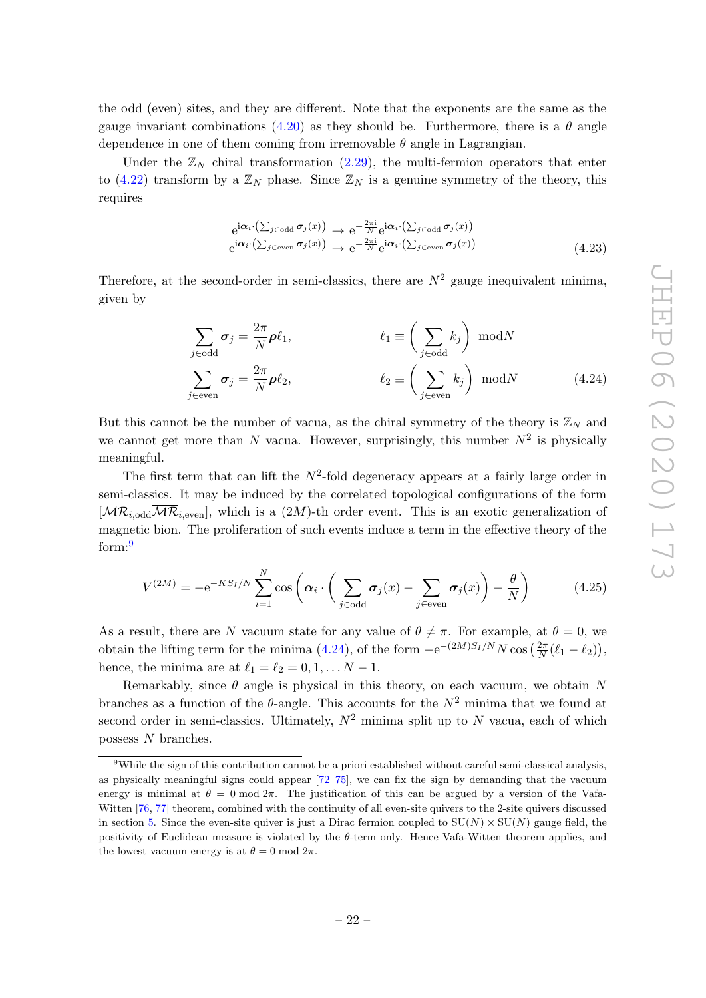the odd (even) sites, and they are different. Note that the exponents are the same as the gauge invariant combinations [\(4.20\)](#page-21-2) as they should be. Furthermore, there is a  $\theta$  angle dependence in one of them coming from irremovable  $\theta$  angle in Lagrangian.

Under the  $\mathbb{Z}_N$  chiral transformation [\(2.29\)](#page-10-1), the multi-fermion operators that enter to [\(4.22\)](#page-21-3) transform by a  $\mathbb{Z}_N$  phase. Since  $\mathbb{Z}_N$  is a genuine symmetry of the theory, this requires

<span id="page-22-1"></span>
$$
e^{i\alpha_i \cdot (\sum_{j \in odd} \sigma_j(x))} \to e^{-\frac{2\pi i}{N}} e^{i\alpha_i \cdot (\sum_{j \in odd} \sigma_j(x))}
$$
  
\n
$$
e^{i\alpha_i \cdot (\sum_{j \in even} \sigma_j(x))} \to e^{-\frac{2\pi i}{N}} e^{i\alpha_i \cdot (\sum_{j \in even} \sigma_j(x))}
$$
\n(4.23)

Therefore, at the second-order in semi-classics, there are  $N^2$  gauge inequivalent minima, given by

$$
\sum_{j \in odd} \sigma_j = \frac{2\pi}{N} \rho \ell_1, \qquad \qquad \ell_1 \equiv \left(\sum_{j \in odd} k_j\right) \mod N
$$
\n
$$
\sum_{j \in even} \sigma_j = \frac{2\pi}{N} \rho \ell_2, \qquad \qquad \ell_2 \equiv \left(\sum_{j \in even} k_j\right) \mod N \qquad (4.24)
$$

But this cannot be the number of vacua, as the chiral symmetry of the theory is  $\mathbb{Z}_N$  and we cannot get more than N vacua. However, surprisingly, this number  $N^2$  is physically meaningful.

The first term that can lift the  $N^2$ -fold degeneracy appears at a fairly large order in semi-classics. It may be induced by the correlated topological configurations of the form  $[\mathcal{MR}_{i,\text{odd}}\overline{\mathcal{MR}}_{i,\text{even}}]$ , which is a  $(2M)$ -th order event. This is an exotic generalization of magnetic bion. The proliferation of such events induce a term in the effective theory of the form:[9](#page-22-0)

$$
V^{(2M)} = -e^{-KS_I/N} \sum_{i=1}^{N} \cos \left( \alpha_i \cdot \left( \sum_{j \in odd} \sigma_j(x) - \sum_{j \in even} \sigma_j(x) \right) + \frac{\theta}{N} \right)
$$
(4.25)

As a result, there are N vacuum state for any value of  $\theta \neq \pi$ . For example, at  $\theta = 0$ , we obtain the lifting term for the minima  $(4.24)$ , of the form  $-e^{-(2M)S_I/N}N\cos\left(\frac{2\pi}{N}\right)$  $\frac{2\pi}{N}(\ell_1 - \ell_2)\big),$ hence, the minima are at  $\ell_1 = \ell_2 = 0, 1, \ldots N - 1$ .

Remarkably, since  $\theta$  angle is physical in this theory, on each vacuum, we obtain N branches as a function of the  $\theta$ -angle. This accounts for the  $N^2$  minima that we found at second order in semi-classics. Ultimately,  $N^2$  minima split up to N vacua, each of which possess N branches.

<span id="page-22-0"></span><sup>9</sup>While the sign of this contribution cannot be a priori established without careful semi-classical analysis, as physically meaningful signs could appear [\[72–](#page-34-10)[75\]](#page-34-11), we can fix the sign by demanding that the vacuum energy is minimal at  $\theta = 0 \mod 2\pi$ . The justification of this can be argued by a version of the Vafa-Witten [\[76,](#page-34-12) [77\]](#page-34-13) theorem, combined with the continuity of all even-site quivers to the 2-site quivers discussed in section [5.](#page-24-0) Since the even-site quiver is just a Dirac fermion coupled to  $SU(N) \times SU(N)$  gauge field, the positivity of Euclidean measure is violated by the θ-term only. Hence Vafa-Witten theorem applies, and the lowest vacuum energy is at  $\theta = 0 \mod 2\pi$ .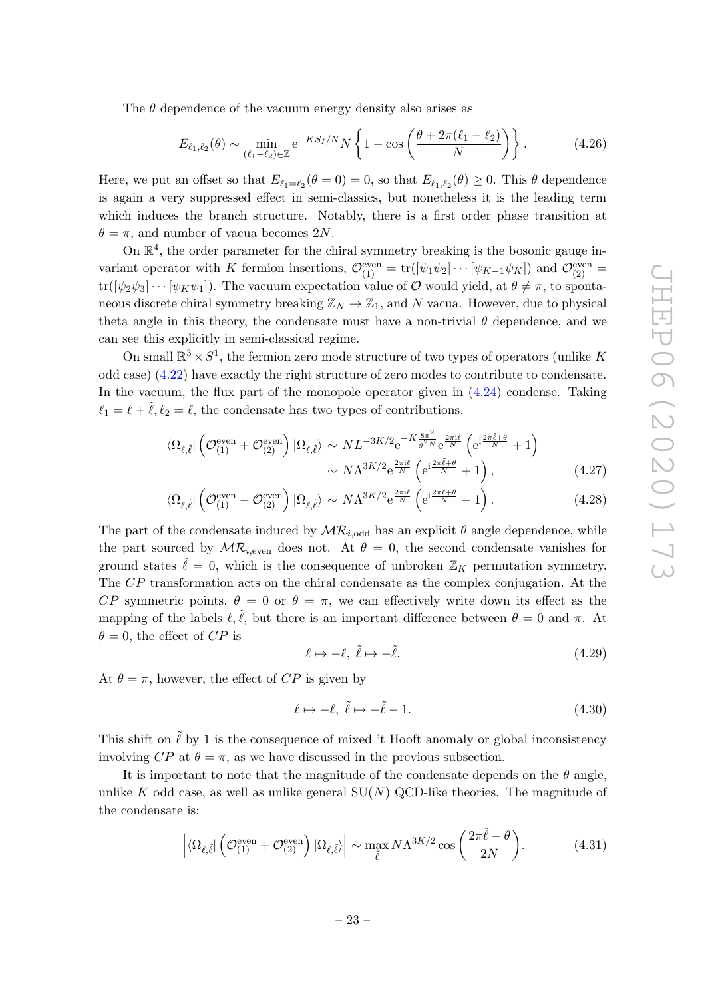The  $\theta$  dependence of the vacuum energy density also arises as

$$
E_{\ell_1,\ell_2}(\theta) \sim \min_{(\ell_1 - \ell_2) \in \mathbb{Z}} e^{-KS_I/N} N \left\{ 1 - \cos \left( \frac{\theta + 2\pi(\ell_1 - \ell_2)}{N} \right) \right\}.
$$
 (4.26)

Here, we put an offset so that  $E_{\ell_1=\ell_2}(\theta=0) = 0$ , so that  $E_{\ell_1,\ell_2}(\theta) \geq 0$ . This  $\theta$  dependence is again a very suppressed effect in semi-classics, but nonetheless it is the leading term which induces the branch structure. Notably, there is a first order phase transition at  $\theta = \pi$ , and number of vacua becomes 2N.

On  $\mathbb{R}^4$ , the order parameter for the chiral symmetry breaking is the bosonic gauge invariant operator with K fermion insertions,  $\mathcal{O}_{(1)}^{\text{even}} = \text{tr}([\psi_1 \psi_2] \cdots [\psi_{K-1} \psi_K])$  and  $\mathcal{O}_{(2)}^{\text{even}} =$  $tr([\psi_2 \psi_3] \cdots [\psi_K \psi_1])$ . The vacuum expectation value of O would yield, at  $\theta \neq \pi$ , to spontaneous discrete chiral symmetry breaking  $\mathbb{Z}_N \to \mathbb{Z}_1$ , and N vacua. However, due to physical theta angle in this theory, the condensate must have a non-trivial  $\theta$  dependence, and we can see this explicitly in semi-classical regime.

On small  $\mathbb{R}^3 \times S^1$ , the fermion zero mode structure of two types of operators (unlike K odd case) [\(4.22\)](#page-21-3) have exactly the right structure of zero modes to contribute to condensate. In the vacuum, the flux part of the monopole operator given in  $(4.24)$  condense. Taking  $\ell_1 = \ell + \tilde{\ell}, \ell_2 = \ell$ , the condensate has two types of contributions,

$$
\langle \Omega_{\ell,\tilde{\ell}} \vert \left( \mathcal{O}_{(1)}^{\text{even}} + \mathcal{O}_{(2)}^{\text{even}} \right) \vert \Omega_{\ell,\tilde{\ell}} \rangle \sim NL^{-3K/2} e^{-K \frac{8\pi^2}{g^2 N}} e^{\frac{2\pi i \ell}{N}} \left( e^{i \frac{2\pi \tilde{\ell} + \theta}{N}} + 1 \right) \sim N \Lambda^{3K/2} e^{\frac{2\pi i \ell}{N}} \left( e^{i \frac{2\pi \tilde{\ell} + \theta}{N}} + 1 \right),
$$
\n(4.27)

$$
\langle \Omega_{\ell,\tilde{\ell}} \vert \left( \mathcal{O}_{(1)}^{\text{even}} - \mathcal{O}_{(2)}^{\text{even}} \right) \vert \Omega_{\ell,\tilde{\ell}} \rangle \sim N \Lambda^{3K/2} e^{\frac{2\pi i \ell}{N}} \left( e^{i \frac{2\pi \tilde{\ell} + \theta}{N}} - 1 \right). \tag{4.28}
$$

The part of the condensate induced by  $\mathcal{MR}_{i,\text{odd}}$  has an explicit  $\theta$  angle dependence, while the part sourced by  $MR_{i,even}$  does not. At  $\theta = 0$ , the second condensate vanishes for ground states  $\tilde{\ell} = 0$ , which is the consequence of unbroken  $\mathbb{Z}_K$  permutation symmetry. The CP transformation acts on the chiral condensate as the complex conjugation. At the CP symmetric points,  $\theta = 0$  or  $\theta = \pi$ , we can effectively write down its effect as the mapping of the labels  $\ell, \tilde{\ell}$ , but there is an important difference between  $\theta = 0$  and  $\pi$ . At  $\theta = 0$ , the effect of CP is

$$
\ell \mapsto -\ell, \ \tilde{\ell} \mapsto -\tilde{\ell}. \tag{4.29}
$$

At  $\theta = \pi$ , however, the effect of CP is given by

$$
\ell \mapsto -\ell, \ \tilde{\ell} \mapsto -\tilde{\ell} - 1. \tag{4.30}
$$

This shift on  $\tilde{\ell}$  by 1 is the consequence of mixed 't Hooft anomaly or global inconsistency involving  $CP$  at  $\theta = \pi$ , as we have discussed in the previous subsection.

It is important to note that the magnitude of the condensate depends on the  $\theta$  angle, unlike K odd case, as well as unlike general  $SU(N)$  QCD-like theories. The magnitude of the condensate is:

$$
\left| \langle \Omega_{\ell, \tilde{\ell}} \right| \left( \mathcal{O}_{(1)}^{\text{even}} + \mathcal{O}_{(2)}^{\text{even}} \right) \left| \Omega_{\ell, \tilde{\ell}} \right> \right| \sim \max_{\tilde{\ell}} N \Lambda^{3K/2} \cos \left( \frac{2\pi \tilde{\ell} + \theta}{2N} \right). \tag{4.31}
$$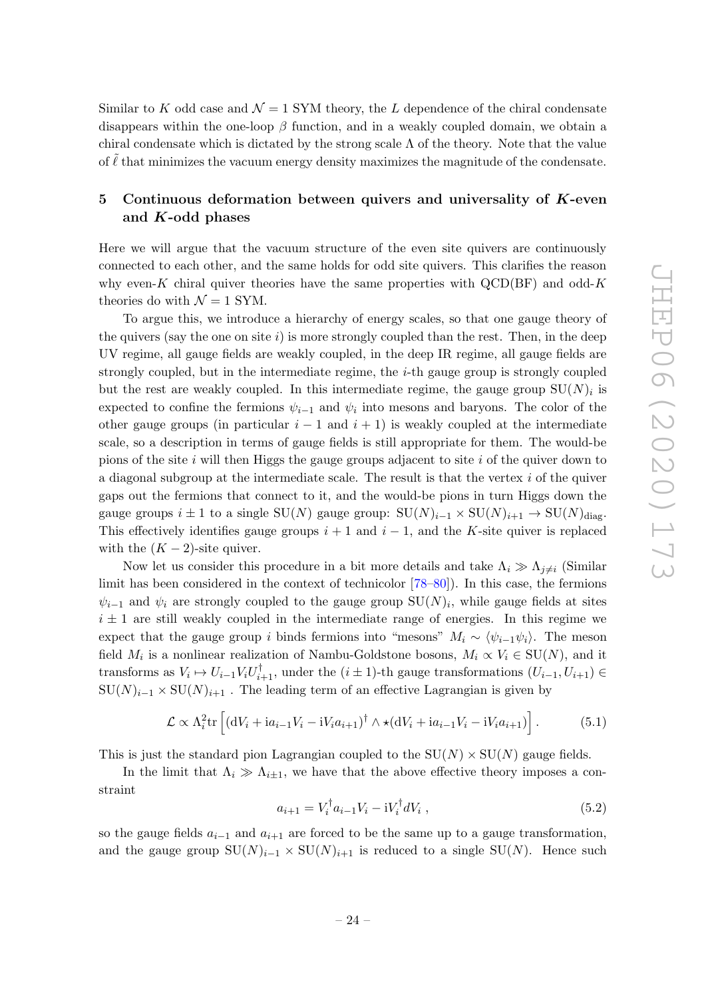Similar to K odd case and  $\mathcal{N} = 1$  SYM theory, the L dependence of the chiral condensate disappears within the one-loop  $\beta$  function, and in a weakly coupled domain, we obtain a chiral condensate which is dictated by the strong scale  $\Lambda$  of the theory. Note that the value of  $\ell$  that minimizes the vacuum energy density maximizes the magnitude of the condensate.

# <span id="page-24-0"></span>5 Continuous deformation between quivers and universality of  $K$ -even and K-odd phases

Here we will argue that the vacuum structure of the even site quivers are continuously connected to each other, and the same holds for odd site quivers. This clarifies the reason why even-K chiral quiver theories have the same properties with  $\text{QCD(BF)}$  and odd-K theories do with  $\mathcal{N}=1$  SYM.

To argue this, we introduce a hierarchy of energy scales, so that one gauge theory of the quivers (say the one on site  $i$ ) is more strongly coupled than the rest. Then, in the deep UV regime, all gauge fields are weakly coupled, in the deep IR regime, all gauge fields are strongly coupled, but in the intermediate regime, the  $i$ -th gauge group is strongly coupled but the rest are weakly coupled. In this intermediate regime, the gauge group  $SU(N)_i$  is expected to confine the fermions  $\psi_{i-1}$  and  $\psi_i$  into mesons and baryons. The color of the other gauge groups (in particular  $i - 1$  and  $i + 1$ ) is weakly coupled at the intermediate scale, so a description in terms of gauge fields is still appropriate for them. The would-be pions of the site  $i$  will then Higgs the gauge groups adjacent to site  $i$  of the quiver down to a diagonal subgroup at the intermediate scale. The result is that the vertex  $i$  of the quiver gaps out the fermions that connect to it, and the would-be pions in turn Higgs down the gauge groups  $i \pm 1$  to a single SU(N) gauge group:  $SU(N)_{i-1} \times SU(N)_{i+1} \rightarrow SU(N)_{diag}$ . This effectively identifies gauge groups  $i + 1$  and  $i - 1$ , and the K-site quiver is replaced with the  $(K-2)$ -site quiver.

Now let us consider this procedure in a bit more details and take  $\Lambda_i \gg \Lambda_{i \neq i}$  (Similar limit has been considered in the context of technicolor [\[78–](#page-34-14)[80\]](#page-35-0)). In this case, the fermions  $\psi_{i-1}$  and  $\psi_i$  are strongly coupled to the gauge group  $SU(N)_i$ , while gauge fields at sites  $i \pm 1$  are still weakly coupled in the intermediate range of energies. In this regime we expect that the gauge group i binds fermions into "mesons"  $M_i \sim \langle \psi_{i-1} \psi_i \rangle$ . The meson field  $M_i$  is a nonlinear realization of Nambu-Goldstone bosons,  $M_i \propto V_i \in SU(N)$ , and it transforms as  $V_i \mapsto U_{i-1}V_iU_{i+1}^{\dagger}$ , under the  $(i \pm 1)$ -th gauge transformations  $(U_{i-1}, U_{i+1}) \in$  $\text{SU}(N)_{i-1} \times \text{SU}(N)_{i+1}$ . The leading term of an effective Lagrangian is given by

$$
\mathcal{L} \propto \Lambda_i^2 \text{tr}\left[ \left( \mathrm{d}V_i + \mathrm{i}a_{i-1}V_i - \mathrm{i}V_i a_{i+1} \right)^\dagger \wedge \star \left( \mathrm{d}V_i + \mathrm{i}a_{i-1}V_i - \mathrm{i}V_i a_{i+1} \right) \right]. \tag{5.1}
$$

This is just the standard pion Lagrangian coupled to the  $SU(N) \times SU(N)$  gauge fields.

In the limit that  $\Lambda_i \gg \Lambda_{i\pm 1}$ , we have that the above effective theory imposes a constraint

$$
a_{i+1} = V_i^{\dagger} a_{i-1} V_i - i V_i^{\dagger} dV_i , \qquad (5.2)
$$

so the gauge fields  $a_{i-1}$  and  $a_{i+1}$  are forced to be the same up to a gauge transformation, and the gauge group  $SU(N)_{i-1} \times SU(N)_{i+1}$  is reduced to a single  $SU(N)$ . Hence such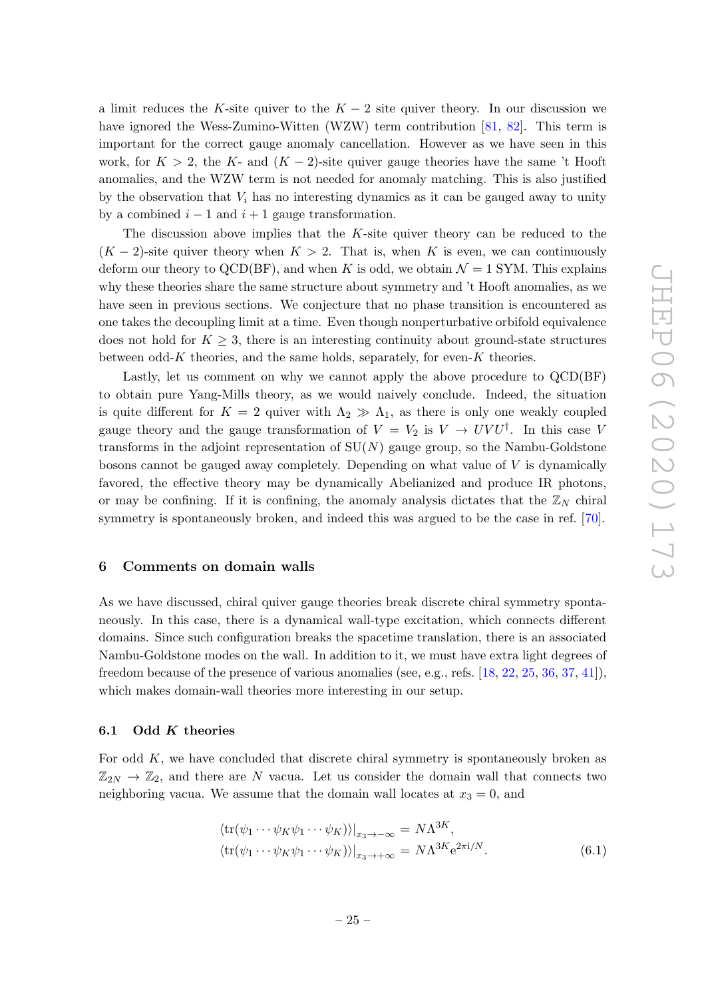a limit reduces the K-site quiver to the  $K - 2$  site quiver theory. In our discussion we have ignored the Wess-Zumino-Witten (WZW) term contribution [\[81,](#page-35-1) [82\]](#page-35-2). This term is important for the correct gauge anomaly cancellation. However as we have seen in this work, for  $K > 2$ , the K- and  $(K - 2)$ -site quiver gauge theories have the same 't Hooft anomalies, and the WZW term is not needed for anomaly matching. This is also justified by the observation that  $V_i$  has no interesting dynamics as it can be gauged away to unity by a combined  $i - 1$  and  $i + 1$  gauge transformation.

The discussion above implies that the  $K$ -site quiver theory can be reduced to the  $(K-2)$ -site quiver theory when  $K > 2$ . That is, when K is even, we can continuously deform our theory to QCD(BF), and when K is odd, we obtain  $\mathcal{N}=1$  SYM. This explains why these theories share the same structure about symmetry and 't Hooft anomalies, as we have seen in previous sections. We conjecture that no phase transition is encountered as one takes the decoupling limit at a time. Even though nonperturbative orbifold equivalence does not hold for  $K \geq 3$ , there is an interesting continuity about ground-state structures between odd-K theories, and the same holds, separately, for even-K theories.

Lastly, let us comment on why we cannot apply the above procedure to QCD(BF) to obtain pure Yang-Mills theory, as we would naively conclude. Indeed, the situation is quite different for  $K = 2$  quiver with  $\Lambda_2 \gg \Lambda_1$ , as there is only one weakly coupled gauge theory and the gauge transformation of  $V = V_2$  is  $V \to UVU^{\dagger}$ . In this case V transforms in the adjoint representation of  $SU(N)$  gauge group, so the Nambu-Goldstone bosons cannot be gauged away completely. Depending on what value of V is dynamically favored, the effective theory may be dynamically Abelianized and produce IR photons, or may be confining. If it is confining, the anomaly analysis dictates that the  $\mathbb{Z}_N$  chiral symmetry is spontaneously broken, and indeed this was argued to be the case in ref. [\[70\]](#page-34-8).

## <span id="page-25-0"></span>6 Comments on domain walls

As we have discussed, chiral quiver gauge theories break discrete chiral symmetry spontaneously. In this case, there is a dynamical wall-type excitation, which connects different domains. Since such configuration breaks the spacetime translation, there is an associated Nambu-Goldstone modes on the wall. In addition to it, we must have extra light degrees of freedom because of the presence of various anomalies (see, e.g., refs. [\[18,](#page-31-12) [22,](#page-31-11) [25,](#page-32-5) [36,](#page-32-6) [37,](#page-32-7) [41\]](#page-33-6)), which makes domain-wall theories more interesting in our setup.

#### <span id="page-25-1"></span>6.1 Odd  $K$  theories

For odd  $K$ , we have concluded that discrete chiral symmetry is spontaneously broken as  $\mathbb{Z}_{2N} \to \mathbb{Z}_2$ , and there are N vacua. Let us consider the domain wall that connects two neighboring vacua. We assume that the domain wall locates at  $x_3 = 0$ , and

<span id="page-25-2"></span>
$$
\langle \text{tr}(\psi_1 \cdots \psi_K \psi_1 \cdots \psi_K) \rangle |_{x_3 \to -\infty} = N \Lambda^{3K},
$$
  

$$
\langle \text{tr}(\psi_1 \cdots \psi_K \psi_1 \cdots \psi_K) \rangle |_{x_3 \to +\infty} = N \Lambda^{3K} e^{2\pi i/N}.
$$
 (6.1)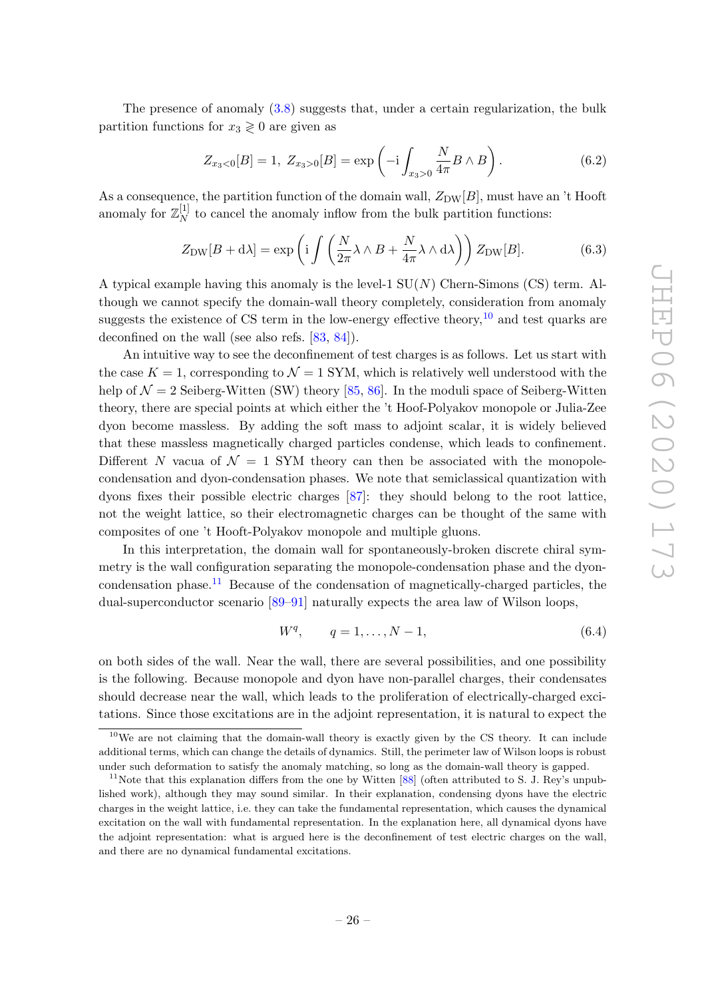The presence of anomaly [\(3.8\)](#page-14-1) suggests that, under a certain regularization, the bulk partition functions for  $x_3 \geq 0$  are given as

$$
Z_{x_3<0}[B] = 1, \ Z_{x_3>0}[B] = \exp\left(-i \int_{x_3>0} \frac{N}{4\pi} B \wedge B\right). \tag{6.2}
$$

As a consequence, the partition function of the domain wall,  $Z_{DW}[B]$ , must have an 't Hooft anomaly for  $\mathbb{Z}_N^{[1]}$  $N<sub>N</sub>$  to cancel the anomaly inflow from the bulk partition functions:

$$
Z_{\rm DW}[B + d\lambda] = \exp\left(i \int \left(\frac{N}{2\pi} \lambda \wedge B + \frac{N}{4\pi} \lambda \wedge d\lambda\right)\right) Z_{\rm DW}[B].\tag{6.3}
$$

A typical example having this anomaly is the level-1  $SU(N)$  Chern-Simons (CS) term. Although we cannot specify the domain-wall theory completely, consideration from anomaly suggests the existence of CS term in the low-energy effective theory,  $10$  and test quarks are deconfined on the wall (see also refs. [\[83,](#page-35-3) [84\]](#page-35-4)).

An intuitive way to see the deconfinement of test charges is as follows. Let us start with the case  $K = 1$ , corresponding to  $\mathcal{N} = 1$  SYM, which is relatively well understood with the help of  $\mathcal{N} = 2$  Seiberg-Witten (SW) theory [\[85,](#page-35-5) [86\]](#page-35-6). In the moduli space of Seiberg-Witten theory, there are special points at which either the 't Hoof-Polyakov monopole or Julia-Zee dyon become massless. By adding the soft mass to adjoint scalar, it is widely believed that these massless magnetically charged particles condense, which leads to confinement. Different N vacua of  $\mathcal{N} = 1$  SYM theory can then be associated with the monopolecondensation and dyon-condensation phases. We note that semiclassical quantization with dyons fixes their possible electric charges [\[87\]](#page-35-7): they should belong to the root lattice, not the weight lattice, so their electromagnetic charges can be thought of the same with composites of one 't Hooft-Polyakov monopole and multiple gluons.

In this interpretation, the domain wall for spontaneously-broken discrete chiral symmetry is the wall configuration separating the monopole-condensation phase and the dyon-condensation phase.<sup>[11](#page-26-1)</sup> Because of the condensation of magnetically-charged particles, the dual-superconductor scenario [\[89–](#page-35-8)[91\]](#page-35-9) naturally expects the area law of Wilson loops,

$$
W^{q}, \qquad q = 1, \dots, N - 1,\tag{6.4}
$$

on both sides of the wall. Near the wall, there are several possibilities, and one possibility is the following. Because monopole and dyon have non-parallel charges, their condensates should decrease near the wall, which leads to the proliferation of electrically-charged excitations. Since those excitations are in the adjoint representation, it is natural to expect the

<span id="page-26-0"></span> $10$ We are not claiming that the domain-wall theory is exactly given by the CS theory. It can include additional terms, which can change the details of dynamics. Still, the perimeter law of Wilson loops is robust under such deformation to satisfy the anomaly matching, so long as the domain-wall theory is gapped.

<span id="page-26-1"></span><sup>&</sup>lt;sup>11</sup>Note that this explanation differs from the one by Witten  $[88]$  (often attributed to S. J. Rey's unpublished work), although they may sound similar. In their explanation, condensing dyons have the electric charges in the weight lattice, i.e. they can take the fundamental representation, which causes the dynamical excitation on the wall with fundamental representation. In the explanation here, all dynamical dyons have the adjoint representation: what is argued here is the deconfinement of test electric charges on the wall, and there are no dynamical fundamental excitations.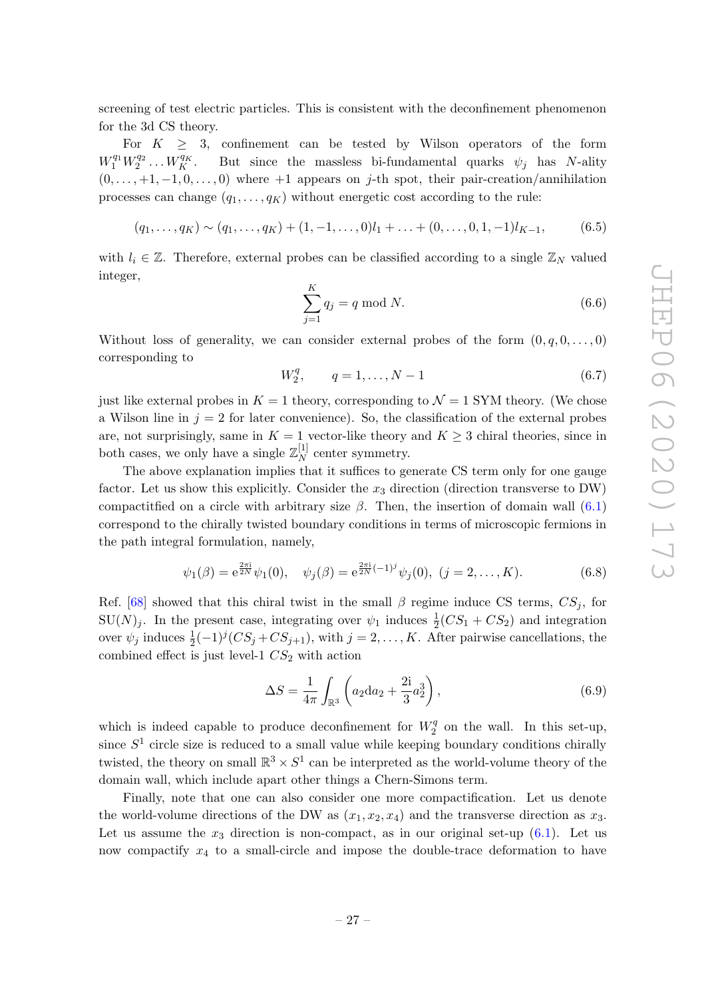screening of test electric particles. This is consistent with the deconfinement phenomenon for the 3d CS theory.

For  $K \geq 3$ , confinement can be tested by Wilson operators of the form  $W_1^{q_1} W_2^{q_2} \ldots W_K^{q_K}$ But since the massless bi-fundamental quarks  $\psi_i$  has N-ality  $(0, \ldots, +1, -1, 0, \ldots, 0)$  where  $+1$  appears on j-th spot, their pair-creation/annihilation processes can change  $(q_1, \ldots, q_K)$  without energetic cost according to the rule:

$$
(q_1, \ldots, q_K) \sim (q_1, \ldots, q_K) + (1, -1, \ldots, 0)l_1 + \ldots + (0, \ldots, 0, 1, -1)l_{K-1},
$$
 (6.5)

with  $l_i \in \mathbb{Z}$ . Therefore, external probes can be classified according to a single  $\mathbb{Z}_N$  valued integer,

$$
\sum_{j=1}^{K} q_j = q \bmod N. \tag{6.6}
$$

Without loss of generality, we can consider external probes of the form  $(0, q, 0, \ldots, 0)$ corresponding to

$$
W_2^q, \qquad q = 1, \dots, N - 1 \tag{6.7}
$$

just like external probes in  $K = 1$  theory, corresponding to  $\mathcal{N} = 1$  SYM theory. (We chose a Wilson line in  $j = 2$  for later convenience). So, the classification of the external probes are, not surprisingly, same in  $K = 1$  vector-like theory and  $K \geq 3$  chiral theories, since in both cases, we only have a single  $\mathbb{Z}_N^{[1]}$  $N^{\lfloor 1 \rfloor}$  center symmetry.

The above explanation implies that it suffices to generate CS term only for one gauge factor. Let us show this explicitly. Consider the  $x_3$  direction (direction transverse to DW) compactitied on a circle with arbitrary size  $\beta$ . Then, the insertion of domain wall [\(6.1\)](#page-25-2) correspond to the chirally twisted boundary conditions in terms of microscopic fermions in the path integral formulation, namely,

$$
\psi_1(\beta) = e^{\frac{2\pi i}{2N}} \psi_1(0), \quad \psi_j(\beta) = e^{\frac{2\pi i}{2N}(-1)^j} \psi_j(0), \ (j = 2, \dots, K).
$$
 (6.8)

Ref. [\[68\]](#page-34-6) showed that this chiral twist in the small  $\beta$  regime induce CS terms,  $CS_j$ , for  $SU(N)_j$ . In the present case, integrating over  $\psi_1$  induces  $\frac{1}{2}(CS_1 + CS_2)$  and integration over  $\psi_j$  induces  $\frac{1}{2}(-1)^j (CS_j + CS_{j+1}),$  with  $j = 2, \ldots, K$ . After pairwise cancellations, the combined effect is just level-1  $CS_2$  with action

$$
\Delta S = \frac{1}{4\pi} \int_{\mathbb{R}^3} \left( a_2 \mathrm{d} a_2 + \frac{2\mathrm{i}}{3} a_2^3 \right),\tag{6.9}
$$

which is indeed capable to produce deconfinement for  $W_2^q$  $2<sup>q</sup>$  on the wall. In this set-up, since  $S<sup>1</sup>$  circle size is reduced to a small value while keeping boundary conditions chirally twisted, the theory on small  $\mathbb{R}^3 \times S^1$  can be interpreted as the world-volume theory of the domain wall, which include apart other things a Chern-Simons term.

Finally, note that one can also consider one more compactification. Let us denote the world-volume directions of the DW as  $(x_1, x_2, x_4)$  and the transverse direction as  $x_3$ . Let us assume the  $x_3$  direction is non-compact, as in our original set-up  $(6.1)$ . Let us now compactify  $x_4$  to a small-circle and impose the double-trace deformation to have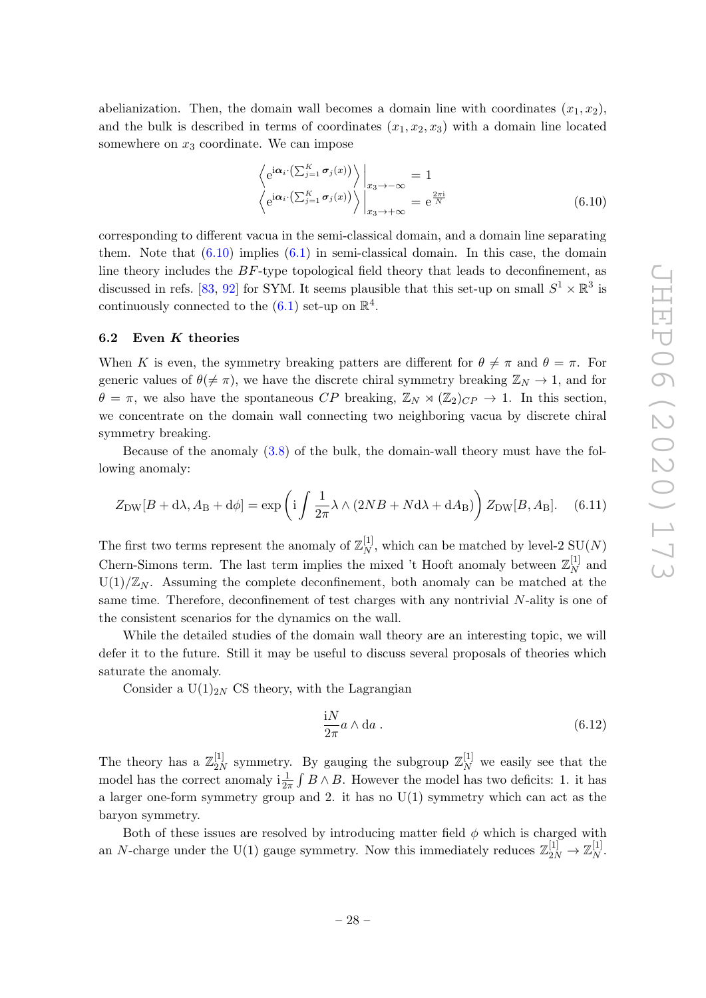abelianization. Then, the domain wall becomes a domain line with coordinates  $(x_1, x_2)$ , and the bulk is described in terms of coordinates  $(x_1, x_2, x_3)$  with a domain line located somewhere on  $x_3$  coordinate. We can impose

<span id="page-28-1"></span>
$$
\left\langle e^{i\boldsymbol{\alpha}_i \cdot (\sum_{j=1}^K \boldsymbol{\sigma}_j(x))} \right\rangle \Big|_{x_3 \to -\infty} = 1
$$
\n
$$
\left\langle e^{i\boldsymbol{\alpha}_i \cdot (\sum_{j=1}^K \boldsymbol{\sigma}_j(x))} \right\rangle \Big|_{x_3 \to +\infty} = e^{\frac{2\pi i}{N}}
$$
\n(6.10)

corresponding to different vacua in the semi-classical domain, and a domain line separating them. Note that  $(6.10)$  implies  $(6.1)$  in semi-classical domain. In this case, the domain line theory includes the BF-type topological field theory that leads to deconfinement, as discussed in refs. [\[83,](#page-35-3) [92\]](#page-35-11) for SYM. It seems plausible that this set-up on small  $S^1 \times \mathbb{R}^3$  is continuously connected to the  $(6.1)$  set-up on  $\mathbb{R}^4$ .

#### <span id="page-28-0"></span>6.2 Even  $K$  theories

When K is even, the symmetry breaking patters are different for  $\theta \neq \pi$  and  $\theta = \pi$ . For generic values of  $\theta(\neq \pi)$ , we have the discrete chiral symmetry breaking  $\mathbb{Z}_N \to 1$ , and for  $\theta = \pi$ , we also have the spontaneous CP breaking,  $\mathbb{Z}_N \rtimes (\mathbb{Z}_2)_{CP} \to 1$ . In this section, we concentrate on the domain wall connecting two neighboring vacua by discrete chiral symmetry breaking.

Because of the anomaly [\(3.8\)](#page-14-1) of the bulk, the domain-wall theory must have the following anomaly:

$$
Z_{\rm DW}[B + d\lambda, A_{\rm B} + d\phi] = \exp\left(i \int \frac{1}{2\pi} \lambda \wedge (2NB + Nd\lambda + dA_{\rm B})\right) Z_{\rm DW}[B, A_{\rm B}]. \tag{6.11}
$$

The first two terms represent the anomaly of  $\mathbb{Z}_N^{[1]}$  $_{N}^{[1]}$ , which can be matched by level-2 SU(N) Chern-Simons term. The last term implies the mixed 't Hooft anomaly between  $\mathbb{Z}_N^{[1]}$  $N^{\lfloor 1 \rfloor}$  and  $U(1)/\mathbb{Z}_N$ . Assuming the complete deconfinement, both anomaly can be matched at the same time. Therefore, deconfinement of test charges with any nontrivial N-ality is one of the consistent scenarios for the dynamics on the wall.

While the detailed studies of the domain wall theory are an interesting topic, we will defer it to the future. Still it may be useful to discuss several proposals of theories which saturate the anomaly.

Consider a  $U(1)_{2N}$  CS theory, with the Lagrangian

$$
\frac{\mathrm{i}N}{2\pi}a \wedge \mathrm{d}a \,. \tag{6.12}
$$

The theory has a  $\mathbb{Z}_{2N}^{[1]}$  $\mathbb{Z}_2^{[1]}$  symmetry. By gauging the subgroup  $\mathbb{Z}_N^{[1]}$  we easily see that the model has the correct anomaly  $i\frac{1}{2\pi} \int B \wedge B$ . However the model has two deficits: 1. it has a larger one-form symmetry group and 2. it has no  $U(1)$  symmetry which can act as the baryon symmetry.

Both of these issues are resolved by introducing matter field  $\phi$  which is charged with an N-charge under the U(1) gauge symmetry. Now this immediately reduces  $\mathbb{Z}_{2N}^{[1]} \to \mathbb{Z}_N^{[1]}$  $\frac{1}{N}$ .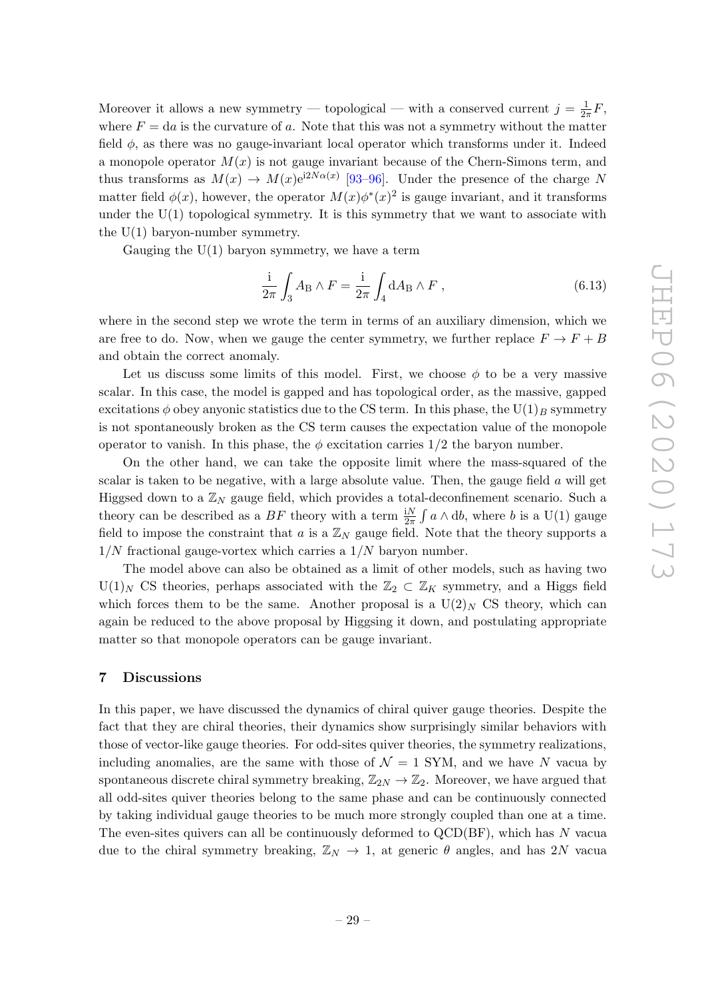Moreover it allows a new symmetry — topological — with a conserved current  $j = \frac{1}{2i}$  $\frac{1}{2\pi}F,$ where  $F = da$  is the curvature of a. Note that this was not a symmetry without the matter field  $\phi$ , as there was no gauge-invariant local operator which transforms under it. Indeed a monopole operator  $M(x)$  is not gauge invariant because of the Chern-Simons term, and thus transforms as  $M(x) \to M(x) e^{i2N\alpha(x)}$  [\[93–](#page-35-12)[96\]](#page-35-13). Under the presence of the charge N matter field  $\phi(x)$ , however, the operator  $M(x)\phi^*(x)^2$  is gauge invariant, and it transforms under the  $U(1)$  topological symmetry. It is this symmetry that we want to associate with the  $U(1)$  baryon-number symmetry.

Gauging the  $U(1)$  baryon symmetry, we have a term

$$
\frac{\mathrm{i}}{2\pi} \int_{3} A_{\mathrm{B}} \wedge F = \frac{\mathrm{i}}{2\pi} \int_{4} \mathrm{d}A_{\mathrm{B}} \wedge F , \qquad (6.13)
$$

where in the second step we wrote the term in terms of an auxiliary dimension, which we are free to do. Now, when we gauge the center symmetry, we further replace  $F \to F + B$ and obtain the correct anomaly.

Let us discuss some limits of this model. First, we choose  $\phi$  to be a very massive scalar. In this case, the model is gapped and has topological order, as the massive, gapped excitations  $\phi$  obey anyonic statistics due to the CS term. In this phase, the U(1)<sub>B</sub> symmetry is not spontaneously broken as the CS term causes the expectation value of the monopole operator to vanish. In this phase, the  $\phi$  excitation carries 1/2 the baryon number.

On the other hand, we can take the opposite limit where the mass-squared of the scalar is taken to be negative, with a large absolute value. Then, the gauge field  $a$  will get Higgsed down to a  $\mathbb{Z}_N$  gauge field, which provides a total-deconfinement scenario. Such a theory can be described as a  $BF$  theory with a term  $\frac{N}{2\pi} \int a \wedge db$ , where b is a U(1) gauge field to impose the constraint that a is a  $\mathbb{Z}_N$  gauge field. Note that the theory supports a  $1/N$  fractional gauge-vortex which carries a  $1/N$  baryon number.

The model above can also be obtained as a limit of other models, such as having two  $U(1)_N$  CS theories, perhaps associated with the  $\mathbb{Z}_2 \subset \mathbb{Z}_K$  symmetry, and a Higgs field which forces them to be the same. Another proposal is a  $U(2)_N$  CS theory, which can again be reduced to the above proposal by Higgsing it down, and postulating appropriate matter so that monopole operators can be gauge invariant.

#### <span id="page-29-0"></span>7 Discussions

In this paper, we have discussed the dynamics of chiral quiver gauge theories. Despite the fact that they are chiral theories, their dynamics show surprisingly similar behaviors with those of vector-like gauge theories. For odd-sites quiver theories, the symmetry realizations, including anomalies, are the same with those of  $\mathcal{N}=1$  SYM, and we have N vacua by spontaneous discrete chiral symmetry breaking,  $\mathbb{Z}_{2N} \to \mathbb{Z}_2$ . Moreover, we have argued that all odd-sites quiver theories belong to the same phase and can be continuously connected by taking individual gauge theories to be much more strongly coupled than one at a time. The even-sites quivers can all be continuously deformed to  $QCD(BF)$ , which has N vacua due to the chiral symmetry breaking,  $\mathbb{Z}_N \to 1$ , at generic  $\theta$  angles, and has 2N vacual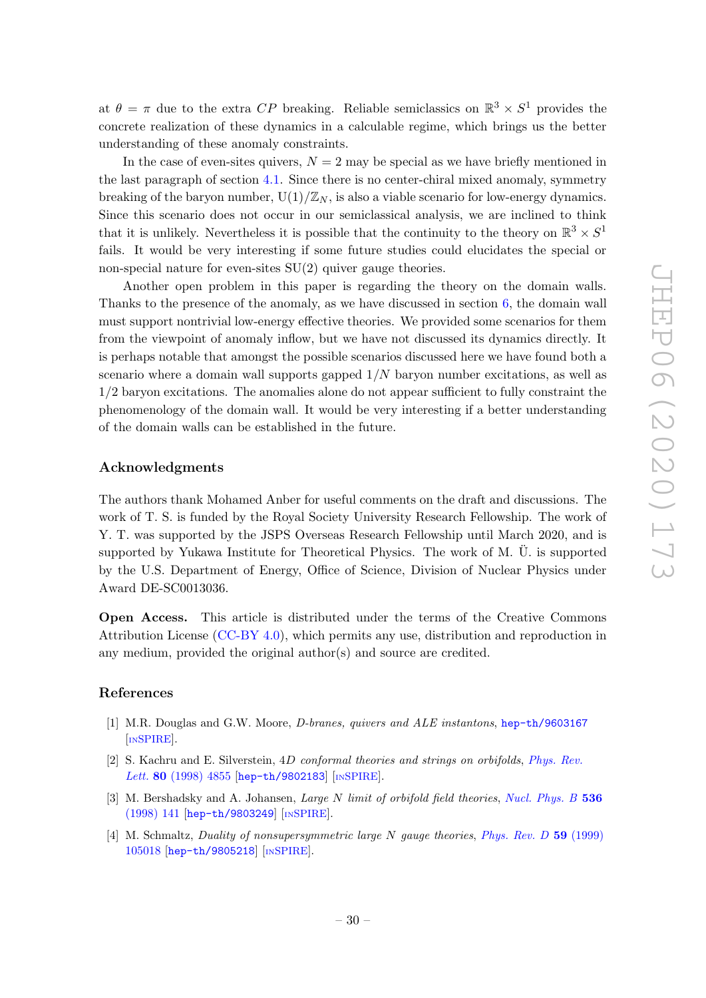at  $\theta = \pi$  due to the extra CP breaking. Reliable semiclassics on  $\mathbb{R}^3 \times S^1$  provides the concrete realization of these dynamics in a calculable regime, which brings us the better understanding of these anomaly constraints.

In the case of even-sites quivers,  $N = 2$  may be special as we have briefly mentioned in the last paragraph of section [4.1.](#page-17-1) Since there is no center-chiral mixed anomaly, symmetry breaking of the baryon number,  $U(1)/\mathbb{Z}_N$ , is also a viable scenario for low-energy dynamics. Since this scenario does not occur in our semiclassical analysis, we are inclined to think that it is unlikely. Nevertheless it is possible that the continuity to the theory on  $\mathbb{R}^3 \times S^1$ fails. It would be very interesting if some future studies could elucidates the special or non-special nature for even-sites  $SU(2)$  quiver gauge theories.

Another open problem in this paper is regarding the theory on the domain walls. Thanks to the presence of the anomaly, as we have discussed in section [6,](#page-25-0) the domain wall must support nontrivial low-energy effective theories. We provided some scenarios for them from the viewpoint of anomaly inflow, but we have not discussed its dynamics directly. It is perhaps notable that amongst the possible scenarios discussed here we have found both a scenario where a domain wall supports gapped 1/N baryon number excitations, as well as 1/2 baryon excitations. The anomalies alone do not appear sufficient to fully constraint the phenomenology of the domain wall. It would be very interesting if a better understanding of the domain walls can be established in the future.

#### Acknowledgments

The authors thank Mohamed Anber for useful comments on the draft and discussions. The work of T. S. is funded by the Royal Society University Research Fellowship. The work of Y. T. was supported by the JSPS Overseas Research Fellowship until March 2020, and is supported by Yukawa Institute for Theoretical Physics. The work of  $M$ . U. is supported by the U.S. Department of Energy, Office of Science, Division of Nuclear Physics under Award DE-SC0013036.

Open Access. This article is distributed under the terms of the Creative Commons Attribution License [\(CC-BY 4.0\)](https://creativecommons.org/licenses/by/4.0/), which permits any use, distribution and reproduction in any medium, provided the original author(s) and source are credited.

## References

- <span id="page-30-0"></span>[1] M.R. Douglas and G.W. Moore, D-branes, quivers and ALE instantons, [hep-th/9603167](https://arxiv.org/abs/hep-th/9603167) [IN[SPIRE](https://inspirehep.net/search?p=find+EPRINT%2Bhep-th%2F9603167)].
- <span id="page-30-1"></span>[2] S. Kachru and E. Silverstein, 4D conformal theories and strings on orbifolds, [Phys. Rev.](https://doi.org/10.1103/PhysRevLett.80.4855) Lett. 80 [\(1998\) 4855](https://doi.org/10.1103/PhysRevLett.80.4855) [[hep-th/9802183](https://arxiv.org/abs/hep-th/9802183)] [IN[SPIRE](https://inspirehep.net/search?p=find+EPRINT%2Bhep-th%2F9802183)].
- <span id="page-30-2"></span>[3] M. Bershadsky and A. Johansen, *Large N limit of orbifold field theories*, *[Nucl. Phys. B](https://doi.org/10.1016/S0550-3213(98)00526-4)* 536 [\(1998\) 141](https://doi.org/10.1016/S0550-3213(98)00526-4) [[hep-th/9803249](https://arxiv.org/abs/hep-th/9803249)] [IN[SPIRE](https://inspirehep.net/search?p=find+EPRINT%2Bhep-th%2F9803249)].
- <span id="page-30-3"></span>[4] M. Schmaltz, Duality of nonsupersymmetric large N gauge theories, [Phys. Rev. D](https://doi.org/10.1103/PhysRevD.59.105018) 59 (1999) [105018](https://doi.org/10.1103/PhysRevD.59.105018) [[hep-th/9805218](https://arxiv.org/abs/hep-th/9805218)] [IN[SPIRE](https://inspirehep.net/search?p=find+EPRINT%2Bhep-th%2F9805218)].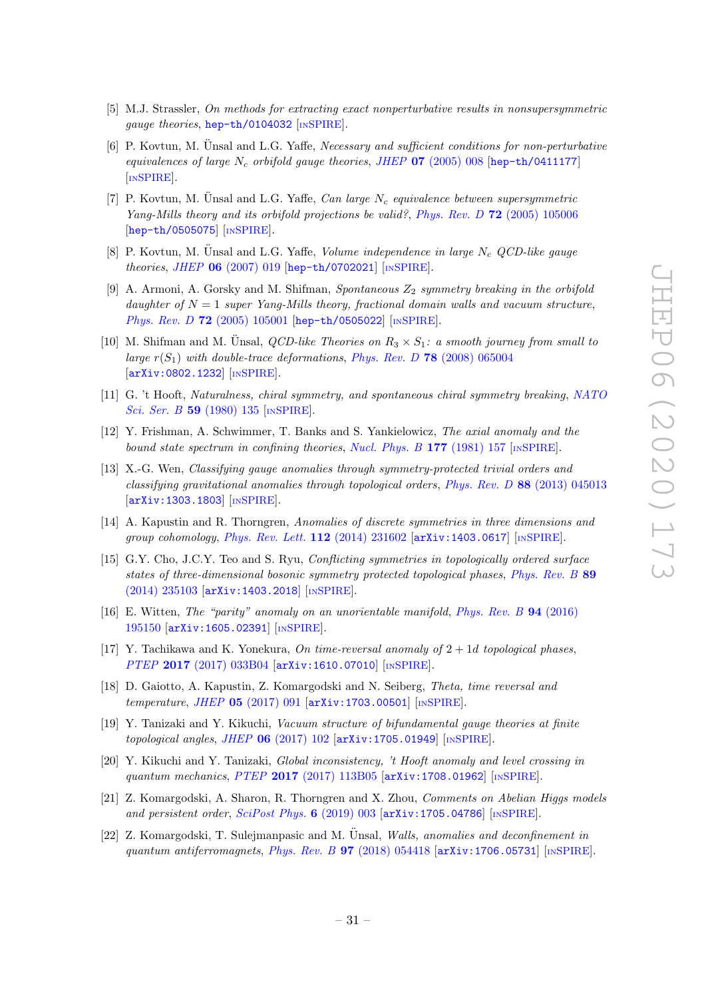- <span id="page-31-0"></span>[5] M.J. Strassler, On methods for extracting exact nonperturbative results in nonsupersymmetric gauge theories, [hep-th/0104032](https://arxiv.org/abs/hep-th/0104032) [IN[SPIRE](https://inspirehep.net/search?p=find+EPRINT%2Bhep-th%2F0104032)].
- <span id="page-31-1"></span>[6] P. Kovtun, M. Unsal and L.G. Yaffe, *Necessary and sufficient conditions for non-perturbative* equivalences of large  $N_c$  orbifold gauge theories, JHEP 07 [\(2005\) 008](https://doi.org/10.1088/1126-6708/2005/07/008) [[hep-th/0411177](https://arxiv.org/abs/hep-th/0411177)] [IN[SPIRE](https://inspirehep.net/search?p=find+EPRINT%2Bhep-th%2F0411177)].
- <span id="page-31-3"></span>[7] P. Kovtun, M. Unsal and L.G. Yaffe, *Can large N<sub>c</sub>* equivalence between supersymmetric Yang-Mills theory and its orbifold projections be valid?, Phys. Rev. D 72 [\(2005\) 105006](https://doi.org/10.1103/PhysRevD.72.105006) [[hep-th/0505075](https://arxiv.org/abs/hep-th/0505075)] [IN[SPIRE](https://inspirehep.net/search?p=find+EPRINT%2Bhep-th%2F0505075)].
- <span id="page-31-2"></span>[8] P. Kovtun, M. Ünsal and L.G. Yaffe, Volume independence in large  $N_c$  QCD-like gauge theories, JHEP 06 [\(2007\) 019](https://doi.org/10.1088/1126-6708/2007/06/019) [[hep-th/0702021](https://arxiv.org/abs/hep-th/0702021)] [IN[SPIRE](https://inspirehep.net/search?p=find+EPRINT%2Bhep-th%2F0702021)].
- <span id="page-31-4"></span>[9] A. Armoni, A. Gorsky and M. Shifman, Spontaneous  $Z_2$  symmetry breaking in the orbifold daughter of  $N = 1$  super Yang-Mills theory, fractional domain walls and vacuum structure, Phys. Rev. D 72 [\(2005\) 105001](https://doi.org/10.1103/PhysRevD.72.105001) [[hep-th/0505022](https://arxiv.org/abs/hep-th/0505022)] [IN[SPIRE](https://inspirehep.net/search?p=find+EPRINT%2Bhep-th%2F0505022)].
- <span id="page-31-5"></span>[10] M. Shifman and M. Unsal, *QCD-like Theories on*  $R_3 \times S_1$ : a smooth journey from small to large  $r(S_1)$  with double-trace deformations, Phys. Rev. D 78 [\(2008\) 065004](https://doi.org/10.1103/PhysRevD.78.065004) [[arXiv:0802.1232](https://arxiv.org/abs/0802.1232)] [IN[SPIRE](https://inspirehep.net/search?p=find+EPRINT%2BarXiv%3A0802.1232)].
- <span id="page-31-6"></span>[11] G. 't Hooft, Naturalness, chiral symmetry, and spontaneous chiral symmetry breaking, [NATO](https://doi.org/10.1007/978-1-4684-7571-5_9) [Sci. Ser. B](https://doi.org/10.1007/978-1-4684-7571-5_9) 59 (1980) 135 [IN[SPIRE](https://inspirehep.net/search?p=find+144074)].
- <span id="page-31-7"></span>[12] Y. Frishman, A. Schwimmer, T. Banks and S. Yankielowicz, The axial anomaly and the bound state spectrum in confining theories, [Nucl. Phys. B](https://doi.org/10.1016/0550-3213(81)90268-6) 177 (1981) 157  $\text{[inSPIRE]}$  $\text{[inSPIRE]}$  $\text{[inSPIRE]}$ .
- <span id="page-31-8"></span>[13] X.-G. Wen, Classifying gauge anomalies through symmetry-protected trivial orders and classifying gravitational anomalies through topological orders, Phys. Rev. D 88 [\(2013\) 045013](https://doi.org/10.1103/PhysRevD.88.045013) [[arXiv:1303.1803](https://arxiv.org/abs/1303.1803)] [IN[SPIRE](https://inspirehep.net/search?p=find+EPRINT%2BarXiv%3A1303.1803)].
- [14] A. Kapustin and R. Thorngren, Anomalies of discrete symmetries in three dimensions and group cohomology, [Phys. Rev. Lett.](https://doi.org/10.1103/PhysRevLett.112.231602) 112 (2014) 231602 [[arXiv:1403.0617](https://arxiv.org/abs/1403.0617)] [IN[SPIRE](https://inspirehep.net/search?p=find+EPRINT%2BarXiv%3A1403.0617)].
- <span id="page-31-9"></span>[15] G.Y. Cho, J.C.Y. Teo and S. Ryu, Conflicting symmetries in topologically ordered surface states of three-dimensional bosonic symmetry protected topological phases, [Phys. Rev. B](https://doi.org/10.1103/PhysRevB.89.235103) 89 [\(2014\) 235103](https://doi.org/10.1103/PhysRevB.89.235103) [[arXiv:1403.2018](https://arxiv.org/abs/1403.2018)] [IN[SPIRE](https://inspirehep.net/search?p=find+EPRINT%2BarXiv%3A1403.2018)].
- <span id="page-31-10"></span>[16] E. Witten, The "parity" anomaly on an unorientable manifold, [Phys. Rev. B](https://doi.org/10.1103/PhysRevB.94.195150) 94 (2016) [195150](https://doi.org/10.1103/PhysRevB.94.195150) [[arXiv:1605.02391](https://arxiv.org/abs/1605.02391)] [IN[SPIRE](https://inspirehep.net/search?p=find+EPRINT%2BarXiv%3A1605.02391)].
- [17] Y. Tachikawa and K. Yonekura, On time-reversal anomaly of  $2 + 1d$  topological phases, PTEP 2017 [\(2017\) 033B04](https://doi.org/10.1093/ptep/ptx010) [[arXiv:1610.07010](https://arxiv.org/abs/1610.07010)] [IN[SPIRE](https://inspirehep.net/search?p=find+EPRINT%2BarXiv%3A1610.07010)].
- <span id="page-31-12"></span>[18] D. Gaiotto, A. Kapustin, Z. Komargodski and N. Seiberg, Theta, time reversal and temperature, JHEP  $05$  [\(2017\) 091](https://doi.org/10.1007/JHEP05(2017)091)  $[\text{arXiv}:1703.00501]$   $[\text{insPIRE}]$ .
- <span id="page-31-14"></span>[19] Y. Tanizaki and Y. Kikuchi, Vacuum structure of bifundamental gauge theories at finite topological angles, JHEP  $06$  [\(2017\) 102](https://doi.org/10.1007/JHEP06(2017)102)  $\text{arXiv:1705.01949}$  $\text{arXiv:1705.01949}$  $\text{arXiv:1705.01949}$   $\text{[insPIRE]}$ .
- <span id="page-31-13"></span>[20] Y. Kikuchi and Y. Tanizaki, Global inconsistency, 't Hooft anomaly and level crossing in quantum mechanics, PTEP 2017 [\(2017\) 113B05](https://doi.org/10.1093/ptep/ptx148) [[arXiv:1708.01962](https://arxiv.org/abs/1708.01962)] [IN[SPIRE](https://inspirehep.net/search?p=find+EPRINT%2BarXiv%3A1708.01962)].
- [21] Z. Komargodski, A. Sharon, R. Thorngren and X. Zhou, Comments on Abelian Higgs models and persistent order, [SciPost Phys.](https://doi.org/10.21468/SciPostPhys.6.1.003) 6 (2019) 003 [[arXiv:1705.04786](https://arxiv.org/abs/1705.04786)] [IN[SPIRE](https://inspirehep.net/search?p=find+EPRINT%2BarXiv%3A1705.04786)].
- <span id="page-31-11"></span> $[22]$  Z. Komargodski, T. Sulejmanpasic and M. Ünsal, Walls, anomalies and deconfinement in quantum antiferromagnets, Phys. Rev. B  $97$  [\(2018\) 054418](https://doi.org/10.1103/PhysRevB.97.054418)  $\left[$ [arXiv:1706.05731](https://arxiv.org/abs/1706.05731) $\right]$  [IN[SPIRE](https://inspirehep.net/search?p=find+EPRINT%2BarXiv%3A1706.05731)].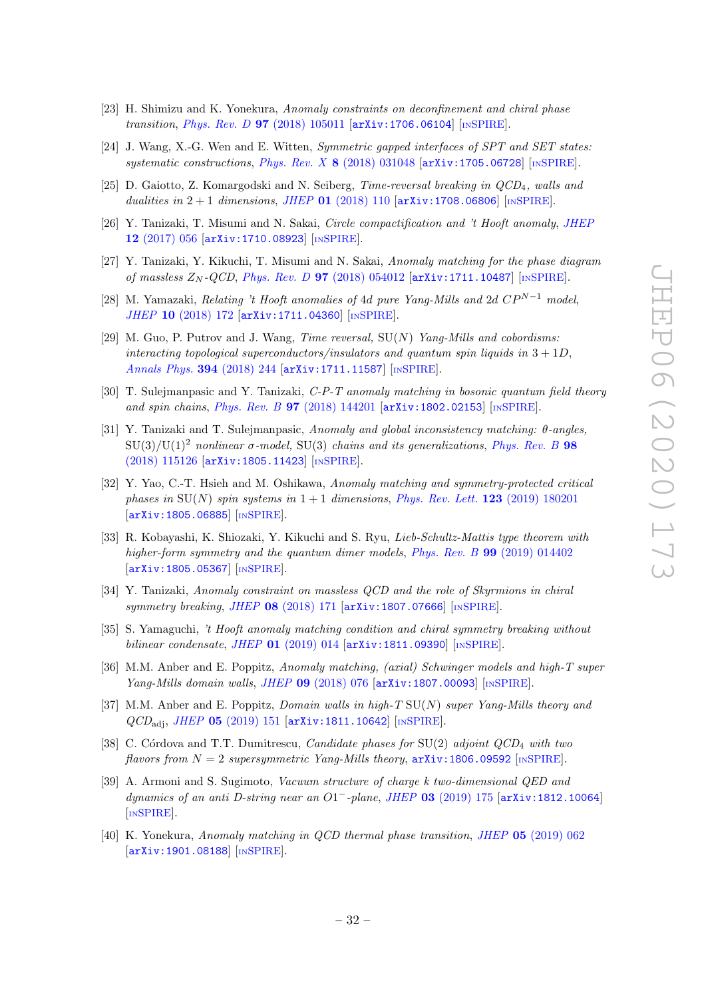- <span id="page-32-2"></span>[23] H. Shimizu and K. Yonekura, Anomaly constraints on deconfinement and chiral phase transition, Phys. Rev. D 97 [\(2018\) 105011](https://doi.org/10.1103/PhysRevD.97.105011) [[arXiv:1706.06104](https://arxiv.org/abs/1706.06104)] [IN[SPIRE](https://inspirehep.net/search?p=find+EPRINT%2BarXiv%3A1706.06104)].
- [24] J. Wang, X.-G. Wen and E. Witten, Symmetric gapped interfaces of SPT and SET states: systematic constructions, Phys. Rev.  $X \cdot 8$  [\(2018\) 031048](https://doi.org/10.1103/PhysRevX.8.031048) [[arXiv:1705.06728](https://arxiv.org/abs/1705.06728)] [IN[SPIRE](https://inspirehep.net/search?p=find+EPRINT%2BarXiv%3A1705.06728)].
- <span id="page-32-5"></span>[25] D. Gaiotto, Z. Komargodski and N. Seiberg, Time-reversal breaking in QCD4, walls and dualities in  $2+1$  dimensions, JHEP 01 [\(2018\) 110](https://doi.org/10.1007/JHEP01(2018)110)  $\vert$ [arXiv:1708.06806](https://arxiv.org/abs/1708.06806)] [IN[SPIRE](https://inspirehep.net/search?p=find+EPRINT%2BarXiv%3A1708.06806)].
- <span id="page-32-0"></span>[26] Y. Tanizaki, T. Misumi and N. Sakai, Circle compactification and 't Hooft anomaly, [JHEP](https://doi.org/10.1007/JHEP12(2017)056) 12 [\(2017\) 056](https://doi.org/10.1007/JHEP12(2017)056) [[arXiv:1710.08923](https://arxiv.org/abs/1710.08923)] [IN[SPIRE](https://inspirehep.net/search?p=find+EPRINT%2BarXiv%3A1710.08923)].
- <span id="page-32-4"></span>[27] Y. Tanizaki, Y. Kikuchi, T. Misumi and N. Sakai, Anomaly matching for the phase diagram of massless  $Z_N$ -QCD, Phys. Rev. D 97 [\(2018\) 054012](https://doi.org/10.1103/PhysRevD.97.054012)  $\left[$ [arXiv:1711.10487](https://arxiv.org/abs/1711.10487) $\right]$   $\left[$ IN[SPIRE](https://inspirehep.net/search?p=find+EPRINT%2BarXiv%3A1711.10487) $\right]$ .
- <span id="page-32-1"></span>[28] M. Yamazaki, Relating 't Hooft anomalies of 4d pure Yang-Mills and 2d  $CP^{N-1}$  model, JHEP 10 [\(2018\) 172](https://doi.org/10.1007/JHEP10(2018)172) [[arXiv:1711.04360](https://arxiv.org/abs/1711.04360)] [IN[SPIRE](https://inspirehep.net/search?p=find+EPRINT%2BarXiv%3A1711.04360)].
- [29] M. Guo, P. Putrov and J. Wang, *Time reversal*,  $SU(N)$  *Yang-Mills and cobordisms:* interacting topological superconductors/insulators and quantum spin liquids in  $3 + 1D$ , [Annals Phys.](https://doi.org/10.1016/j.aop.2018.04.025) 394 (2018) 244 [[arXiv:1711.11587](https://arxiv.org/abs/1711.11587)] [IN[SPIRE](https://inspirehep.net/search?p=find+EPRINT%2BarXiv%3A1711.11587)].
- [30] T. Sulejmanpasic and Y. Tanizaki, C-P-T anomaly matching in bosonic quantum field theory and spin chains, Phys. Rev. B 97 [\(2018\) 144201](https://doi.org/10.1103/PhysRevB.97.144201) [[arXiv:1802.02153](https://arxiv.org/abs/1802.02153)] [IN[SPIRE](https://inspirehep.net/search?p=find+EPRINT%2BarXiv%3A1802.02153)].
- [31] Y. Tanizaki and T. Sulejmanpasic, Anomaly and global inconsistency matching: θ-angles,  $SU(3)/U(1)^2$  nonlinear  $\sigma$ -model,  $SU(3)$  chains and its generalizations, [Phys. Rev. B](https://doi.org/10.1103/PhysRevB.98.115126) 98 [\(2018\) 115126](https://doi.org/10.1103/PhysRevB.98.115126) [[arXiv:1805.11423](https://arxiv.org/abs/1805.11423)] [IN[SPIRE](https://inspirehep.net/search?p=find+EPRINT%2BarXiv%3A1805.11423)].
- [32] Y. Yao, C.-T. Hsieh and M. Oshikawa, Anomaly matching and symmetry-protected critical phases in  $SU(N)$  spin systems in  $1+1$  dimensions, [Phys. Rev. Lett.](https://doi.org/10.1103/PhysRevLett.123.180201) 123 (2019) 180201 [[arXiv:1805.06885](https://arxiv.org/abs/1805.06885)] [IN[SPIRE](https://inspirehep.net/search?p=find+EPRINT%2BarXiv%3A1805.06885)].
- [33] R. Kobayashi, K. Shiozaki, Y. Kikuchi and S. Ryu, Lieb-Schultz-Mattis type theorem with higher-form symmetry and the quantum dimer models, Phys. Rev. B 99 [\(2019\) 014402](https://doi.org/10.1103/PhysRevB.99.014402) [[arXiv:1805.05367](https://arxiv.org/abs/1805.05367)] [IN[SPIRE](https://inspirehep.net/search?p=find+EPRINT%2BarXiv%3A1805.05367)].
- <span id="page-32-3"></span>[34] Y. Tanizaki, Anomaly constraint on massless QCD and the role of Skyrmions in chiral symmetry breaking, JHEP 08 [\(2018\) 171](https://doi.org/10.1007/JHEP08(2018)171) [[arXiv:1807.07666](https://arxiv.org/abs/1807.07666)] [IN[SPIRE](https://inspirehep.net/search?p=find+EPRINT%2BarXiv%3A1807.07666)].
- [35] S. Yamaguchi, 't Hooft anomaly matching condition and chiral symmetry breaking without bilinear condensate, JHEP  $01$  [\(2019\) 014](https://doi.org/10.1007/JHEP01(2019)014)  $\vert$ [arXiv:1811.09390](https://arxiv.org/abs/1811.09390) $\vert$  [IN[SPIRE](https://inspirehep.net/search?p=find+EPRINT%2BarXiv%3A1811.09390)].
- <span id="page-32-6"></span>[36] M.M. Anber and E. Poppitz, Anomaly matching, (axial) Schwinger models and high-T super Yang-Mills domain walls, JHEP 09 [\(2018\) 076](https://doi.org/10.1007/JHEP09(2018)076) [[arXiv:1807.00093](https://arxiv.org/abs/1807.00093)] [IN[SPIRE](https://inspirehep.net/search?p=find+EPRINT%2BarXiv%3A1807.00093)].
- <span id="page-32-7"></span>[37] M.M. Anber and E. Poppitz, *Domain walls in high-T*  $SU(N)$  super Yang-Mills theory and  $QCD_{\text{adj}}$ , JHEP 05 [\(2019\) 151](https://doi.org/10.1007/JHEP05(2019)151)  $\text{arXiv:1811.10642}$  $\text{arXiv:1811.10642}$  $\text{arXiv:1811.10642}$  [IN[SPIRE](https://inspirehep.net/search?p=find+EPRINT%2BarXiv%3A1811.10642)].
- [38] C. Córdova and T.T. Dumitrescu, *Candidate phases for*  $SU(2)$  *adjoint QCD<sub>4</sub> with two* flavors from  $N = 2$  supersymmetric Yang-Mills theory,  $\arXiv:1806.09592$  $\arXiv:1806.09592$  [IN[SPIRE](https://inspirehep.net/search?p=find+EPRINT%2BarXiv%3A1806.09592)].
- [39] A. Armoni and S. Sugimoto, Vacuum structure of charge k two-dimensional QED and dynamics of an anti D-string near an O1<sup>-</sup>-plane, JHEP 03 [\(2019\) 175](https://doi.org/10.1007/JHEP03(2019)175) [[arXiv:1812.10064](https://arxiv.org/abs/1812.10064)] [IN[SPIRE](https://inspirehep.net/search?p=find+EPRINT%2BarXiv%3A1812.10064)].
- [40] K. Yonekura, Anomaly matching in QCD thermal phase transition, JHEP 05 [\(2019\) 062](https://doi.org/10.1007/JHEP05(2019)062) [[arXiv:1901.08188](https://arxiv.org/abs/1901.08188)] [IN[SPIRE](https://inspirehep.net/search?p=find+EPRINT%2BarXiv%3A1901.08188)].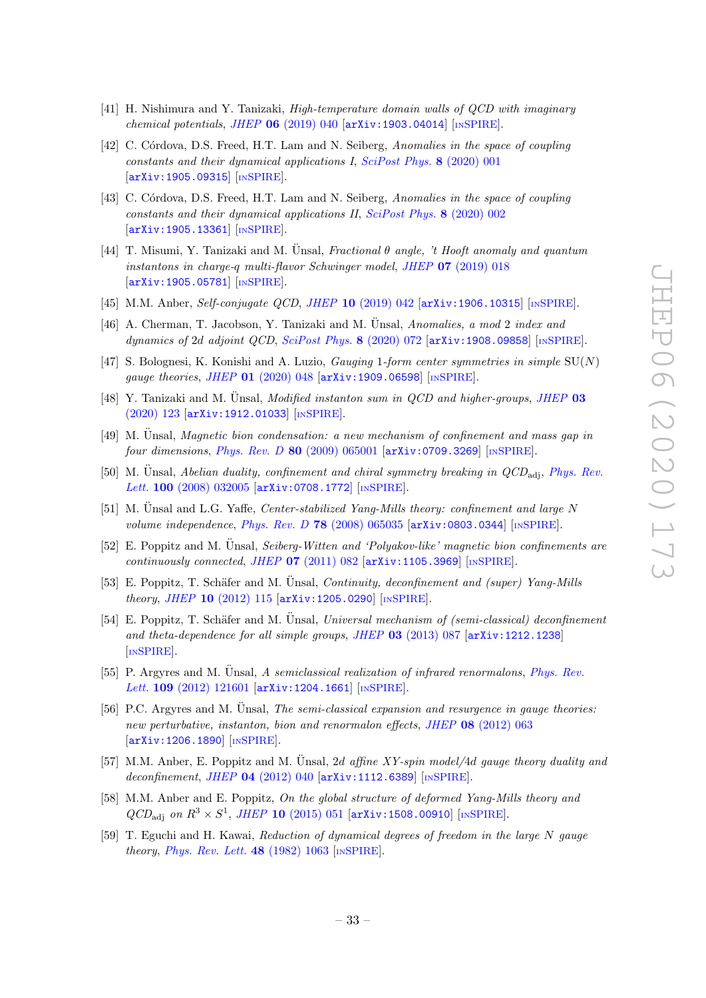- <span id="page-33-6"></span>[41] H. Nishimura and Y. Tanizaki, High-temperature domain walls of QCD with imaginary chemical potentials, JHEP  $06$  [\(2019\) 040](https://doi.org/10.1007/JHEP06(2019)040) [[arXiv:1903.04014](https://arxiv.org/abs/1903.04014)] [IN[SPIRE](https://inspirehep.net/search?p=find+EPRINT%2BarXiv%3A1903.04014)].
- <span id="page-33-4"></span>[42] C. Córdova, D.S. Freed, H.T. Lam and N. Seiberg, Anomalies in the space of coupling constants and their dynamical applications I, [SciPost Phys.](https://doi.org/10.21468/SciPostPhys.8.1.001) 8 (2020) 001 [[arXiv:1905.09315](https://arxiv.org/abs/1905.09315)] [IN[SPIRE](https://inspirehep.net/search?p=find+EPRINT%2BarXiv%3A1905.09315)].
- <span id="page-33-5"></span>[43] C. Córdova, D.S. Freed, H.T. Lam and N. Seiberg, Anomalies in the space of coupling constants and their dynamical applications II, [SciPost Phys.](https://doi.org/10.21468/SciPostPhys.8.1.002) 8 (2020) 002 [[arXiv:1905.13361](https://arxiv.org/abs/1905.13361)] [IN[SPIRE](https://inspirehep.net/search?p=find+EPRINT%2BarXiv%3A1905.13361)].
- [44] T. Misumi, Y. Tanizaki and M. Unsal, Fractional  $\theta$  angle, 't Hooft anomaly and quantum instantons in charge-q multi-flavor Schwinger model, JHEP 07 [\(2019\) 018](https://doi.org/10.1007/JHEP07(2019)018) [[arXiv:1905.05781](https://arxiv.org/abs/1905.05781)] [IN[SPIRE](https://inspirehep.net/search?p=find+EPRINT%2BarXiv%3A1905.05781)].
- [45] M.M. Anber, Self-conjugate QCD, JHEP 10 [\(2019\) 042](https://doi.org/10.1007/JHEP10(2019)042) [[arXiv:1906.10315](https://arxiv.org/abs/1906.10315)] [IN[SPIRE](https://inspirehep.net/search?p=find+EPRINT%2BarXiv%3A1906.10315)].
- [46] A. Cherman, T. Jacobson, Y. Tanizaki and M. Unsal, Anomalies, a mod 2 index and dynamics of 2d adjoint QCD, [SciPost Phys.](https://doi.org/10.21468/SciPostPhys.8.5.072) 8 (2020) 072 [[arXiv:1908.09858](https://arxiv.org/abs/1908.09858)] [IN[SPIRE](https://inspirehep.net/search?p=find+EPRINT%2BarXiv%3A1908.09858)].
- [47] S. Bolognesi, K. Konishi and A. Luzio, *Gauging 1-form center symmetries in simple*  $SU(N)$ gauge theories, JHEP 01 [\(2020\) 048](https://doi.org/10.1007/JHEP01(2020)048) [[arXiv:1909.06598](https://arxiv.org/abs/1909.06598)] [IN[SPIRE](https://inspirehep.net/search?p=find+EPRINT%2BarXiv%3A1909.06598)].
- <span id="page-33-0"></span>[48] Y. Tanizaki and M. Ünsal, *Modified instanton sum in QCD and higher-groups*, *[JHEP](https://doi.org/10.1007/JHEP03(2020)123)* 03 [\(2020\) 123](https://doi.org/10.1007/JHEP03(2020)123) [[arXiv:1912.01033](https://arxiv.org/abs/1912.01033)] [IN[SPIRE](https://inspirehep.net/search?p=find+EPRINT%2BarXiv%3A1912.01033)].
- <span id="page-33-1"></span> $[49]$  M. Unsal, *Magnetic bion condensation: a new mechanism of confinement and mass gap in* four dimensions, Phys. Rev. D 80 [\(2009\) 065001](https://doi.org/10.1103/PhysRevD.80.065001) [[arXiv:0709.3269](https://arxiv.org/abs/0709.3269)] [IN[SPIRE](https://inspirehep.net/search?p=find+EPRINT%2BarXiv%3A0709.3269)].
- [50] M. Ünsal, Abelian duality, confinement and chiral symmetry breaking in  $QCD_{\text{adj}}$ , [Phys. Rev.](https://doi.org/10.1103/PhysRevLett.100.032005) Lett. 100 [\(2008\) 032005](https://doi.org/10.1103/PhysRevLett.100.032005) [[arXiv:0708.1772](https://arxiv.org/abs/0708.1772)] [IN[SPIRE](https://inspirehep.net/search?p=find+EPRINT%2BarXiv%3A0708.1772)].
- [51] M. Unsal and L.G. Yaffe, *Center-stabilized Yang-Mills theory: confinement and large N* volume independence, Phys. Rev. D 78 [\(2008\) 065035](https://doi.org/10.1103/PhysRevD.78.065035)  $arXiv:0803.0344$  [IN[SPIRE](https://inspirehep.net/search?p=find+EPRINT%2BarXiv%3A0803.0344)].
- [52] E. Poppitz and M. Unsal, Seiberg-Witten and 'Polyakov-like' magnetic bion confinements are continuously connected, JHEP  $07$  [\(2011\) 082](https://doi.org/10.1007/JHEP07(2011)082)  $\text{arXiv:1105.3969}$  $\text{arXiv:1105.3969}$  $\text{arXiv:1105.3969}$  [IN[SPIRE](https://inspirehep.net/search?p=find+EPRINT%2BarXiv%3A1105.3969)].
- [53] E. Poppitz, T. Schäfer and M. Ünsal, *Continuity, deconfinement and (super) Yang-Mills* theory, JHEP 10 [\(2012\) 115](https://doi.org/10.1007/JHEP10(2012)115) [[arXiv:1205.0290](https://arxiv.org/abs/1205.0290)] [IN[SPIRE](https://inspirehep.net/search?p=find+EPRINT%2BarXiv%3A1205.0290)].
- [54] E. Poppitz, T. Schäfer and M. Ünsal, Universal mechanism of (semi-classical) deconfinement and theta-dependence for all simple groups, JHEP 03 [\(2013\) 087](https://doi.org/10.1007/JHEP03(2013)087) [[arXiv:1212.1238](https://arxiv.org/abs/1212.1238)] [IN[SPIRE](https://inspirehep.net/search?p=find+EPRINT%2BarXiv%3A1212.1238)].
- [55] P. Argyres and M. Unsal, A semiclassical realization of infrared renormalons, [Phys. Rev.](https://doi.org/10.1103/PhysRevLett.109.121601) Lett. 109 [\(2012\) 121601](https://doi.org/10.1103/PhysRevLett.109.121601) [[arXiv:1204.1661](https://arxiv.org/abs/1204.1661)] [IN[SPIRE](https://inspirehep.net/search?p=find+EPRINT%2BarXiv%3A1204.1661)].
- [56] P.C. Argyres and M. Unsal, *The semi-classical expansion and resurgence in gauge theories:* new perturbative, instanton, bion and renormalon effects, JHEP 08 [\(2012\) 063](https://doi.org/10.1007/JHEP08(2012)063) [[arXiv:1206.1890](https://arxiv.org/abs/1206.1890)] [IN[SPIRE](https://inspirehep.net/search?p=find+EPRINT%2BarXiv%3A1206.1890)].
- [57] M.M. Anber, E. Poppitz and M. Unsal, 2d affine  $XY\text{-}spin model/4d$  gauge theory duality and deconfinement, JHEP  $04$  [\(2012\) 040](https://doi.org/10.1007/JHEP04(2012)040)  $\text{arXiv:1112.6389}$  $\text{arXiv:1112.6389}$  $\text{arXiv:1112.6389}$  [IN[SPIRE](https://inspirehep.net/search?p=find+EPRINT%2BarXiv%3A1112.6389)].
- <span id="page-33-2"></span>[58] M.M. Anber and E. Poppitz, On the global structure of deformed Yang-Mills theory and  $QCD_{\text{adj}}$  on  $R^3 \times S^1$ , JHEP 10 [\(2015\) 051](https://doi.org/10.1007/JHEP10(2015)051) [[arXiv:1508.00910](https://arxiv.org/abs/1508.00910)] [IN[SPIRE](https://inspirehep.net/search?p=find+EPRINT%2BarXiv%3A1508.00910)].
- <span id="page-33-3"></span>[59] T. Eguchi and H. Kawai, Reduction of dynamical degrees of freedom in the large N gauge theory, [Phys. Rev. Lett.](https://doi.org/10.1103/PhysRevLett.48.1063)  $48$  (1982) 1063 [IN[SPIRE](https://inspirehep.net/search?p=find+J%20%22Phys.Rev.Lett.%2C48%2C1063%22)].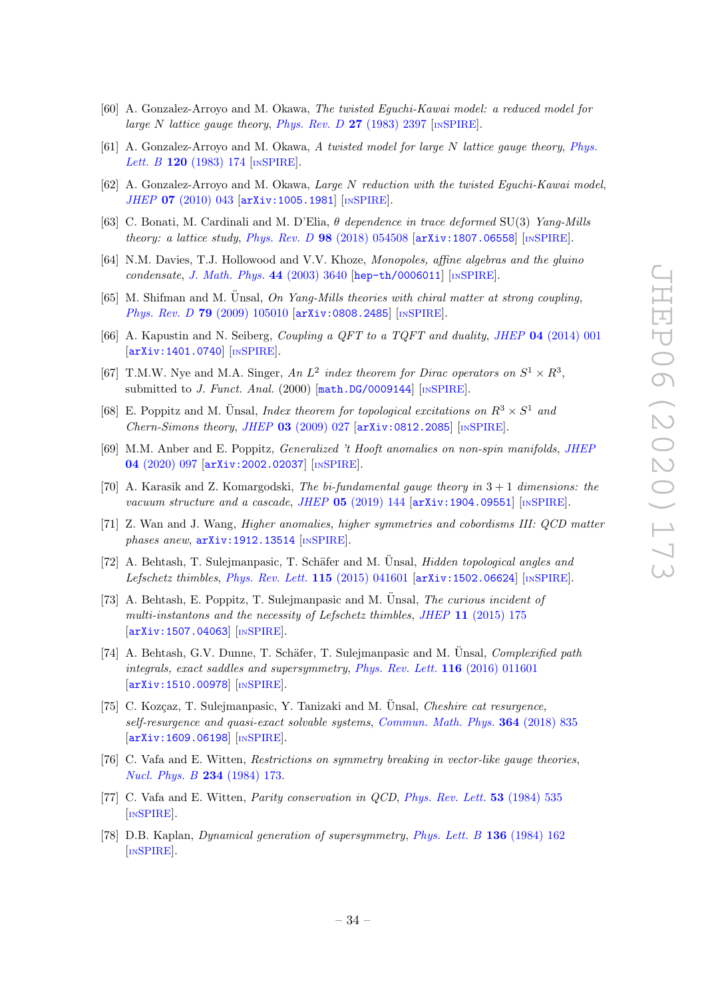- [60] A. Gonzalez-Arroyo and M. Okawa, The twisted Eguchi-Kawai model: a reduced model for large N lattice gauge theory, [Phys. Rev. D](https://doi.org/10.1103/PhysRevD.27.2397)  $27$  (1983) 2397 [IN[SPIRE](https://inspirehep.net/search?p=find+J%20%22Phys.Rev.%2CD27%2C2397%22)].
- [61] A. Gonzalez-Arroyo and M. Okawa, A twisted model for large N lattice gauge theory, [Phys.](https://doi.org/10.1016/0370-2693(83)90647-0) Lett. B 120 [\(1983\) 174](https://doi.org/10.1016/0370-2693(83)90647-0) [IN[SPIRE](https://inspirehep.net/search?p=find+J%20%22Phys.Lett.%2C120B%2C174%22)].
- <span id="page-34-0"></span>[62] A. Gonzalez-Arroyo and M. Okawa, Large N reduction with the twisted Eguchi-Kawai model, JHEP 07 [\(2010\) 043](https://doi.org/10.1007/JHEP07(2010)043) [[arXiv:1005.1981](https://arxiv.org/abs/1005.1981)] [IN[SPIRE](https://inspirehep.net/search?p=find+EPRINT%2BarXiv%3A1005.1981)].
- <span id="page-34-1"></span>[63] C. Bonati, M. Cardinali and M. D'Elia,  $\theta$  dependence in trace deformed SU(3) Yang-Mills theory: a lattice study, Phys. Rev. D  $98$  [\(2018\) 054508](https://doi.org/10.1103/PhysRevD.98.054508) [[arXiv:1807.06558](https://arxiv.org/abs/1807.06558)] [IN[SPIRE](https://inspirehep.net/search?p=find+EPRINT%2BarXiv%3A1807.06558)].
- <span id="page-34-2"></span>[64] N.M. Davies, T.J. Hollowood and V.V. Khoze, Monopoles, affine algebras and the gluino condensate, [J. Math. Phys.](https://doi.org/10.1063/1.1586477) 44  $(2003)$  3640 [[hep-th/0006011](https://arxiv.org/abs/hep-th/0006011)] [IN[SPIRE](https://inspirehep.net/search?p=find+EPRINT%2Bhep-th%2F0006011)].
- <span id="page-34-3"></span>[65] M. Shifman and M. Unsal, On Yang-Mills theories with chiral matter at strong coupling, Phys. Rev. D 79 [\(2009\) 105010](https://doi.org/10.1103/PhysRevD.79.105010) [[arXiv:0808.2485](https://arxiv.org/abs/0808.2485)] [IN[SPIRE](https://inspirehep.net/search?p=find+EPRINT%2BarXiv%3A0808.2485)].
- <span id="page-34-4"></span>[66] A. Kapustin and N. Seiberg, Coupling a QFT to a TQFT and duality, JHEP 04 [\(2014\) 001](https://doi.org/10.1007/JHEP04(2014)001) [[arXiv:1401.0740](https://arxiv.org/abs/1401.0740)] [IN[SPIRE](https://inspirehep.net/search?p=find+EPRINT%2BarXiv%3A1401.0740)].
- <span id="page-34-5"></span>[67] T.M.W. Nye and M.A. Singer, An  $L^2$  index theorem for Dirac operators on  $S^1 \times R^3$ , submitted to J. Funct. Anal.  $(2000)$   $[\text{math.DG}/0009144]$   $[\text{INSPIRE}]$  $[\text{INSPIRE}]$  $[\text{INSPIRE}]$ .
- <span id="page-34-6"></span>[68] E. Poppitz and M. Ünsal, Index theorem for topological excitations on  $R^3 \times S^1$  and Chern-Simons theory, JHEP  $03$  [\(2009\) 027](https://doi.org/10.1088/1126-6708/2009/03/027)  $\ar{xiv:}0812.2085$  [IN[SPIRE](https://inspirehep.net/search?p=find+EPRINT%2BarXiv%3A0812.2085)].
- <span id="page-34-7"></span>[69] M.M. Anber and E. Poppitz, Generalized 't Hooft anomalies on non-spin manifolds, [JHEP](https://doi.org/10.1007/JHEP04(2020)097) 04 [\(2020\) 097](https://doi.org/10.1007/JHEP04(2020)097) [[arXiv:2002.02037](https://arxiv.org/abs/2002.02037)] [IN[SPIRE](https://inspirehep.net/search?p=find+EPRINT%2BarXiv%3A2002.02037)].
- <span id="page-34-8"></span>[70] A. Karasik and Z. Komargodski, The bi-fundamental gauge theory in  $3 + 1$  dimensions: the vacuum structure and a cascade, JHEP  $05$  [\(2019\) 144](https://doi.org/10.1007/JHEP05(2019)144)  $\left[$ [arXiv:1904.09551](https://arxiv.org/abs/1904.09551) $\right]$  [IN[SPIRE](https://inspirehep.net/search?p=find+EPRINT%2BarXiv%3A1904.09551)].
- <span id="page-34-9"></span>[71] Z. Wan and J. Wang, Higher anomalies, higher symmetries and cobordisms III: QCD matter phases anew,  $arXiv:1912.13514$  [IN[SPIRE](https://inspirehep.net/search?p=find+EPRINT%2BarXiv%3A1912.13514)].
- <span id="page-34-10"></span>[72] A. Behtash, T. Sulejmanpasic, T. Schäfer and M. Unsal, *Hidden topological angles and* Lefschetz thimbles, [Phys. Rev. Lett.](https://doi.org/10.1103/PhysRevLett.115.041601) 115 (2015) 041601 [[arXiv:1502.06624](https://arxiv.org/abs/1502.06624)] [IN[SPIRE](https://inspirehep.net/search?p=find+EPRINT%2BarXiv%3A1502.06624)].
- [73] A. Behtash, E. Poppitz, T. Sulejmanpasic and M. Unsal, *The curious incident of* multi-instantons and the necessity of Lefschetz thimbles, JHEP 11 [\(2015\) 175](https://doi.org/10.1007/JHEP11(2015)175) [[arXiv:1507.04063](https://arxiv.org/abs/1507.04063)] [IN[SPIRE](https://inspirehep.net/search?p=find+EPRINT%2BarXiv%3A1507.04063)].
- [74] A. Behtash, G.V. Dunne, T. Schäfer, T. Sulejmanpasic and M. Unsal, *Complexified path* integrals, exact saddles and supersymmetry, [Phys. Rev. Lett.](https://doi.org/10.1103/PhysRevLett.116.011601) 116 (2016) 011601 [[arXiv:1510.00978](https://arxiv.org/abs/1510.00978)] [IN[SPIRE](https://inspirehep.net/search?p=find+EPRINT%2BarXiv%3A1510.00978)].
- <span id="page-34-11"></span>[75] C. Kozçaz, T. Sulejmanpasic, Y. Tanizaki and M. Ünsal, *Cheshire cat resurgence*, self-resurgence and quasi-exact solvable systems, [Commun. Math. Phys.](https://doi.org/10.1007/s00220-018-3281-y) 364 (2018) 835 [[arXiv:1609.06198](https://arxiv.org/abs/1609.06198)] [IN[SPIRE](https://inspirehep.net/search?p=find+EPRINT%2BarXiv%3A1609.06198)].
- <span id="page-34-12"></span>[76] C. Vafa and E. Witten, Restrictions on symmetry breaking in vector-like gauge theories, [Nucl. Phys. B](https://doi.org/10.1016/0550-3213(84)90230-x) 234 (1984) 173.
- <span id="page-34-13"></span>[77] C. Vafa and E. Witten, Parity conservation in QCD, [Phys. Rev. Lett.](https://doi.org/10.1103/PhysRevLett.53.535) 53 (1984) 535 [IN[SPIRE](https://inspirehep.net/search?p=find+J%20%22Phys.Rev.Lett.%2C53%2C535%22)].
- <span id="page-34-14"></span>[78] D.B. Kaplan, Dynamical generation of supersymmetry, [Phys. Lett. B](https://doi.org/10.1016/0370-2693(84)91172-9) 136 (1984) 162 [IN[SPIRE](https://inspirehep.net/search?p=find+J%20%22Phys.Lett.%2CB136%2C162%22)].